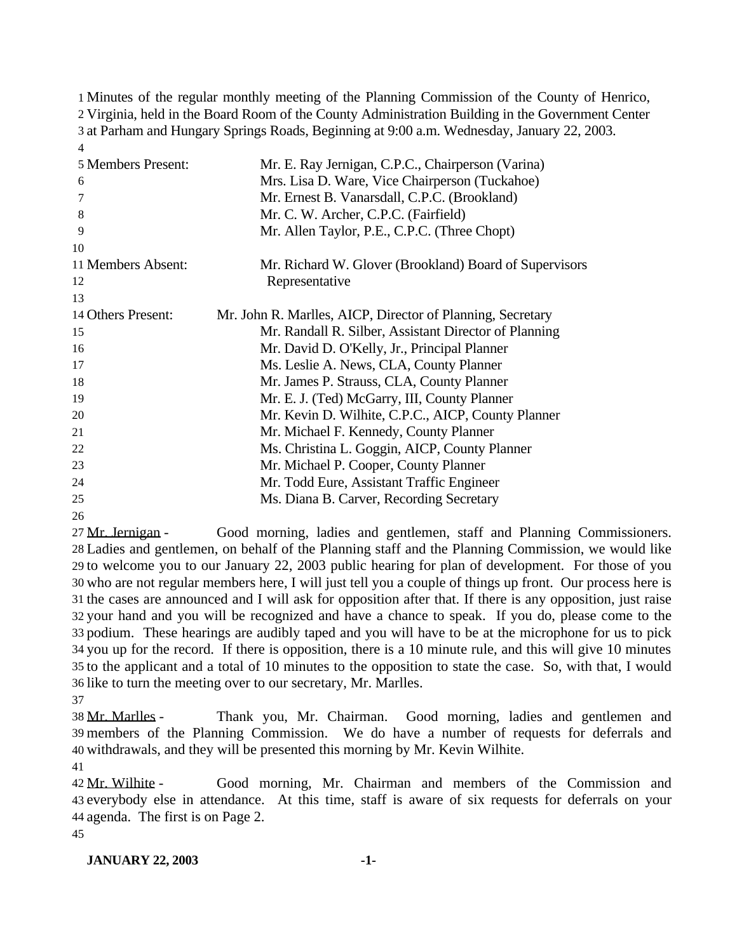Minutes of the regular monthly meeting of the Planning Commission of the County of Henrico, Virginia, held in the Board Room of the County Administration Building in the Government Center at Parham and Hungary Springs Roads, Beginning at 9:00 a.m. Wednesday, January 22, 2003. 

| 5 Members Present:<br>6<br>7<br>8<br>9<br>10 | Mr. E. Ray Jernigan, C.P.C., Chairperson (Varina)<br>Mrs. Lisa D. Ware, Vice Chairperson (Tuckahoe)<br>Mr. Ernest B. Vanarsdall, C.P.C. (Brookland)<br>Mr. C. W. Archer, C.P.C. (Fairfield)<br>Mr. Allen Taylor, P.E., C.P.C. (Three Chopt) |
|----------------------------------------------|---------------------------------------------------------------------------------------------------------------------------------------------------------------------------------------------------------------------------------------------|
| 11 Members Absent:                           | Mr. Richard W. Glover (Brookland) Board of Supervisors                                                                                                                                                                                      |
| 12                                           | Representative                                                                                                                                                                                                                              |
| 13                                           |                                                                                                                                                                                                                                             |
| 14 Others Present:                           | Mr. John R. Marlles, AICP, Director of Planning, Secretary                                                                                                                                                                                  |
| 15                                           | Mr. Randall R. Silber, Assistant Director of Planning                                                                                                                                                                                       |
| 16                                           | Mr. David D. O'Kelly, Jr., Principal Planner                                                                                                                                                                                                |
| 17                                           | Ms. Leslie A. News, CLA, County Planner                                                                                                                                                                                                     |
| 18                                           | Mr. James P. Strauss, CLA, County Planner                                                                                                                                                                                                   |
| 19                                           | Mr. E. J. (Ted) McGarry, III, County Planner                                                                                                                                                                                                |
| 20                                           | Mr. Kevin D. Wilhite, C.P.C., AICP, County Planner                                                                                                                                                                                          |
| 21                                           | Mr. Michael F. Kennedy, County Planner                                                                                                                                                                                                      |
| 22                                           | Ms. Christina L. Goggin, AICP, County Planner                                                                                                                                                                                               |
| 23                                           | Mr. Michael P. Cooper, County Planner                                                                                                                                                                                                       |
| 24                                           | Mr. Todd Eure, Assistant Traffic Engineer                                                                                                                                                                                                   |
| 25                                           | Ms. Diana B. Carver, Recording Secretary                                                                                                                                                                                                    |

 Mr. Jernigan - Good morning, ladies and gentlemen, staff and Planning Commissioners. Ladies and gentlemen, on behalf of the Planning staff and the Planning Commission, we would like to welcome you to our January 22, 2003 public hearing for plan of development. For those of you who are not regular members here, I will just tell you a couple of things up front. Our process here is the cases are announced and I will ask for opposition after that. If there is any opposition, just raise your hand and you will be recognized and have a chance to speak. If you do, please come to the podium. These hearings are audibly taped and you will have to be at the microphone for us to pick you up for the record. If there is opposition, there is a 10 minute rule, and this will give 10 minutes to the applicant and a total of 10 minutes to the opposition to state the case. So, with that, I would like to turn the meeting over to our secretary, Mr. Marlles.

 Mr. Marlles - Thank you, Mr. Chairman. Good morning, ladies and gentlemen and members of the Planning Commission. We do have a number of requests for deferrals and withdrawals, and they will be presented this morning by Mr. Kevin Wilhite.

 Mr. Wilhite - Good morning, Mr. Chairman and members of the Commission and everybody else in attendance. At this time, staff is aware of six requests for deferrals on your agenda. The first is on Page 2. 

#### **JANUARY 22, 2003 -1-**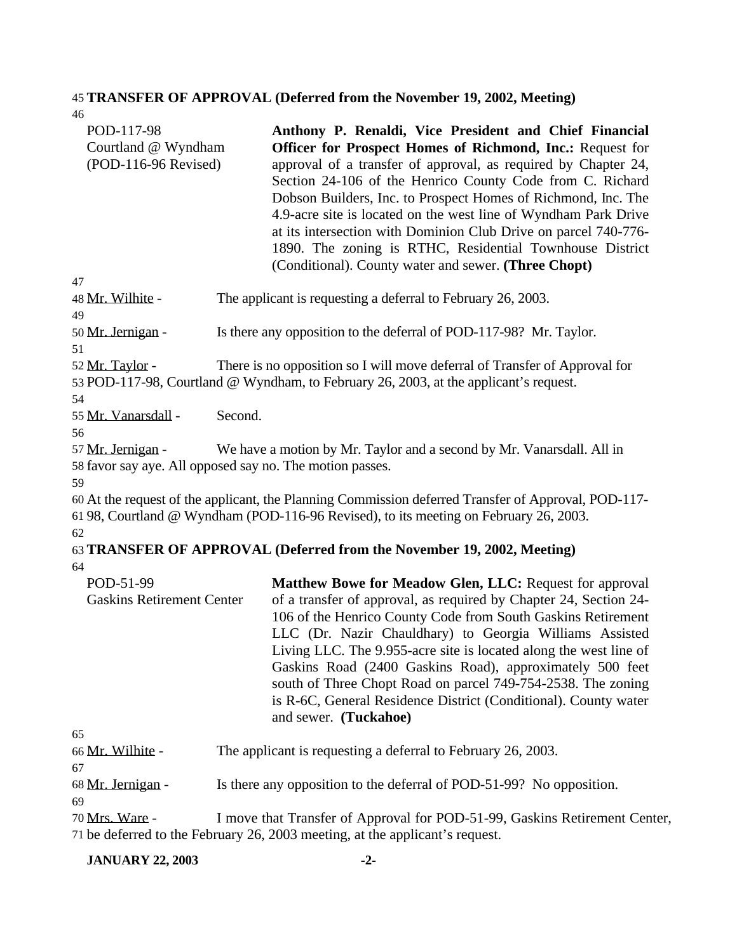# 45 **TRANSFER OF APPROVAL (Deferred from the November 19, 2002, Meeting)**

46

| POD-117-98<br>Courtland @ Wyndham<br>(POD-116-96 Revised)                     |         | Anthony P. Renaldi, Vice President and Chief Financial<br><b>Officer for Prospect Homes of Richmond, Inc.: Request for</b><br>approval of a transfer of approval, as required by Chapter 24,<br>Section 24-106 of the Henrico County Code from C. Richard<br>Dobson Builders, Inc. to Prospect Homes of Richmond, Inc. The<br>4.9-acre site is located on the west line of Wyndham Park Drive<br>at its intersection with Dominion Club Drive on parcel 740-776-<br>1890. The zoning is RTHC, Residential Townhouse District<br>(Conditional). County water and sewer. (Three Chopt) |
|-------------------------------------------------------------------------------|---------|--------------------------------------------------------------------------------------------------------------------------------------------------------------------------------------------------------------------------------------------------------------------------------------------------------------------------------------------------------------------------------------------------------------------------------------------------------------------------------------------------------------------------------------------------------------------------------------|
| 47<br>48 Mr. Wilhite -                                                        |         | The applicant is requesting a deferral to February 26, 2003.                                                                                                                                                                                                                                                                                                                                                                                                                                                                                                                         |
| 49                                                                            |         |                                                                                                                                                                                                                                                                                                                                                                                                                                                                                                                                                                                      |
| 50 Mr. Jernigan -<br>51                                                       |         | Is there any opposition to the deferral of POD-117-98? Mr. Taylor.                                                                                                                                                                                                                                                                                                                                                                                                                                                                                                                   |
| 52 Mr. Taylor -                                                               |         | There is no opposition so I will move deferral of Transfer of Approval for<br>53 POD-117-98, Courtland @ Wyndham, to February 26, 2003, at the applicant's request.                                                                                                                                                                                                                                                                                                                                                                                                                  |
| 54<br>55 Mr. Vanarsdall -                                                     | Second. |                                                                                                                                                                                                                                                                                                                                                                                                                                                                                                                                                                                      |
| 56                                                                            |         |                                                                                                                                                                                                                                                                                                                                                                                                                                                                                                                                                                                      |
| 57 Mr. Jernigan -<br>58 favor say aye. All opposed say no. The motion passes. |         | We have a motion by Mr. Taylor and a second by Mr. Vanarsdall. All in                                                                                                                                                                                                                                                                                                                                                                                                                                                                                                                |
| 59                                                                            |         | 60 At the request of the applicant, the Planning Commission deferred Transfer of Approval, POD-117-<br>61 98, Courtland @ Wyndham (POD-116-96 Revised), to its meeting on February 26, 2003.                                                                                                                                                                                                                                                                                                                                                                                         |
| 62                                                                            |         | 63 TRANSFER OF APPROVAL (Deferred from the November 19, 2002, Meeting)                                                                                                                                                                                                                                                                                                                                                                                                                                                                                                               |
| 64                                                                            |         |                                                                                                                                                                                                                                                                                                                                                                                                                                                                                                                                                                                      |
| POD-51-99<br><b>Gaskins Retirement Center</b>                                 |         | Matthew Bowe for Meadow Glen, LLC: Request for approval<br>of a transfer of approval, as required by Chapter 24, Section 24-<br>106 of the Henrico County Code from South Gaskins Retirement<br>LLC (Dr. Nazir Chauldhary) to Georgia Williams Assisted<br>Living LLC. The 9.955-acre site is located along the west line of<br>Gaskins Road (2400 Gaskins Road), approximately 500 feet<br>south of Three Chopt Road on parcel 749-754-2538. The zoning<br>is R-6C, General Residence District (Conditional). County water<br>and sewer. (Tuckahoe)                                 |
| 65                                                                            |         |                                                                                                                                                                                                                                                                                                                                                                                                                                                                                                                                                                                      |
| 66 Mr. Wilhite -                                                              |         | The applicant is requesting a deferral to February 26, 2003.                                                                                                                                                                                                                                                                                                                                                                                                                                                                                                                         |
| 67                                                                            |         |                                                                                                                                                                                                                                                                                                                                                                                                                                                                                                                                                                                      |
| 68 Mr. Jernigan -<br>69                                                       |         | Is there any opposition to the deferral of POD-51-99? No opposition.                                                                                                                                                                                                                                                                                                                                                                                                                                                                                                                 |
| 70 Mrs. Ware -                                                                |         | I move that Transfer of Approval for POD-51-99, Gaskins Retirement Center,                                                                                                                                                                                                                                                                                                                                                                                                                                                                                                           |
|                                                                               |         | 71 be deferred to the February 26, 2003 meeting, at the applicant's request.                                                                                                                                                                                                                                                                                                                                                                                                                                                                                                         |

# **JANUARY 22, 2003 -2-**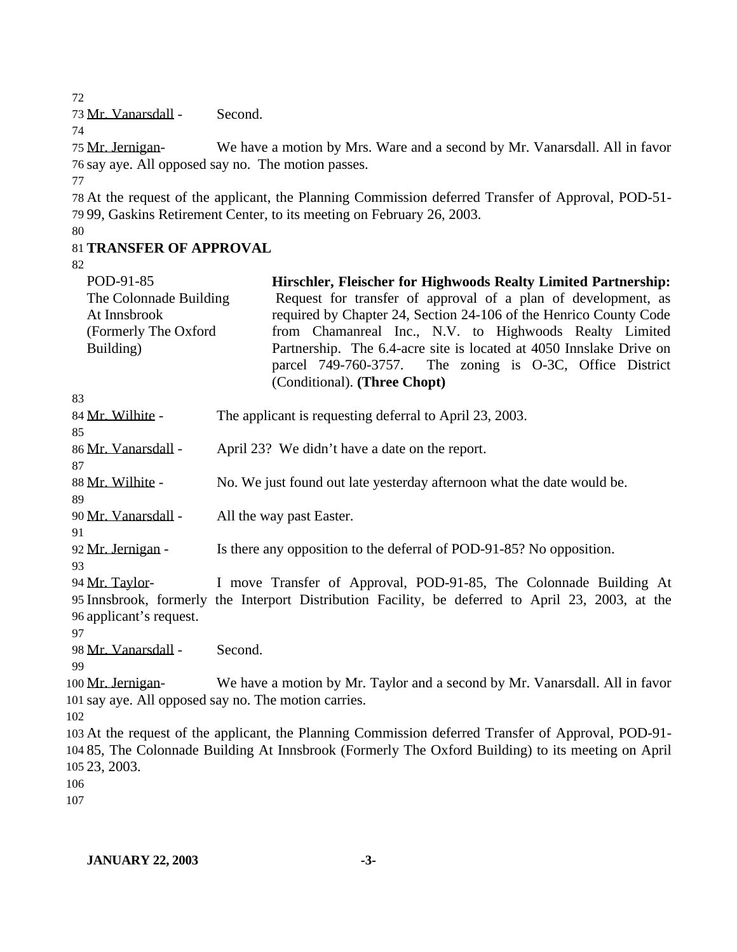Mr. Vanarsdall - Second.

 Mr. Jernigan- We have a motion by Mrs. Ware and a second by Mr. Vanarsdall. All in favor say aye. All opposed say no. The motion passes.

 At the request of the applicant, the Planning Commission deferred Transfer of Approval, POD-51- 99, Gaskins Retirement Center, to its meeting on February 26, 2003.

# **TRANSFER OF APPROVAL**

| POD-91-85               | Hirschler, Fleischer for Highwoods Realty Limited Partnership:                                      |
|-------------------------|-----------------------------------------------------------------------------------------------------|
| The Colonnade Building  | Request for transfer of approval of a plan of development, as                                       |
| At Innsbrook            | required by Chapter 24, Section 24-106 of the Henrico County Code                                   |
| (Formerly The Oxford    | from Chamanreal Inc., N.V. to Highwoods Realty Limited                                              |
| Building)               | Partnership. The 6.4-acre site is located at 4050 Innslake Drive on                                 |
|                         | parcel 749-760-3757. The zoning is O-3C, Office District                                            |
|                         | (Conditional). (Three Chopt)                                                                        |
| 83                      |                                                                                                     |
| 84 Mr. Wilhite -        | The applicant is requesting deferral to April 23, 2003.                                             |
| 85                      |                                                                                                     |
| 86 Mr. Vanarsdall -     | April 23? We didn't have a date on the report.                                                      |
| 87<br>88 Mr. Wilhite -  |                                                                                                     |
| 89                      | No. We just found out late yesterday afternoon what the date would be.                              |
| 90 Mr. Vanarsdall -     | All the way past Easter.                                                                            |
| 91                      |                                                                                                     |
| 92 Mr. Jernigan -       | Is there any opposition to the deferral of POD-91-85? No opposition.                                |
| 93                      |                                                                                                     |
| 94 Mr. Taylor-          | I move Transfer of Approval, POD-91-85, The Colonnade Building At                                   |
|                         | 95 Innsbrook, formerly the Interport Distribution Facility, be deferred to April 23, 2003, at the   |
| 96 applicant's request. |                                                                                                     |
| 97                      |                                                                                                     |
| 98 Mr. Vanarsdall -     | Second.                                                                                             |
| 99                      |                                                                                                     |
| 100 Mr. Jernigan-       | We have a motion by Mr. Taylor and a second by Mr. Vanarsdall. All in favor                         |
|                         | 101 say aye. All opposed say no. The motion carries.                                                |
| 102                     |                                                                                                     |
|                         | 103 At the request of the applicant, the Planning Commission deferred Transfer of Approval, POD-91- |
|                         | 104 85, The Colonnade Building At Innsbrook (Formerly The Oxford Building) to its meeting on April  |
| 105 23, 2003.           |                                                                                                     |
| 106<br>107              |                                                                                                     |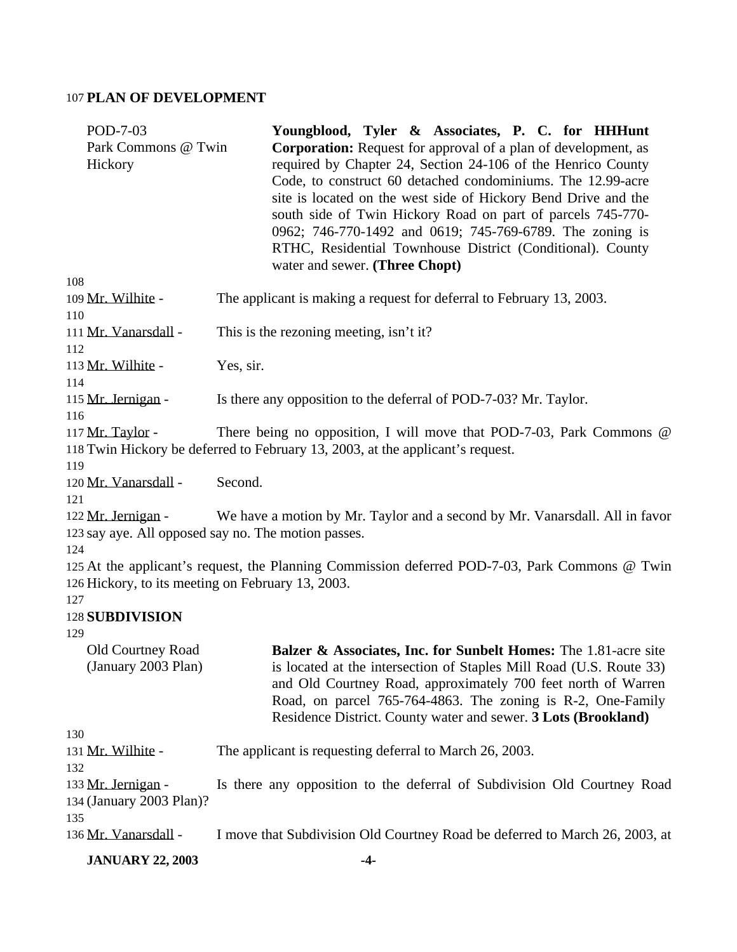## 107 **PLAN OF DEVELOPMENT**

| POD-7-03                                              | Youngblood, Tyler & Associates, P. C. for HHHunt                                                                                                                                                                                                                                                                                                                                                                                                                                                  |
|-------------------------------------------------------|---------------------------------------------------------------------------------------------------------------------------------------------------------------------------------------------------------------------------------------------------------------------------------------------------------------------------------------------------------------------------------------------------------------------------------------------------------------------------------------------------|
| Park Commons @ Twin<br>Hickory                        | <b>Corporation:</b> Request for approval of a plan of development, as<br>required by Chapter 24, Section 24-106 of the Henrico County<br>Code, to construct 60 detached condominiums. The 12.99-acre<br>site is located on the west side of Hickory Bend Drive and the<br>south side of Twin Hickory Road on part of parcels 745-770-<br>0962; 746-770-1492 and 0619; 745-769-6789. The zoning is<br>RTHC, Residential Townhouse District (Conditional). County<br>water and sewer. (Three Chopt) |
| 108                                                   |                                                                                                                                                                                                                                                                                                                                                                                                                                                                                                   |
| 109 Mr. Wilhite -<br>110                              | The applicant is making a request for deferral to February 13, 2003.                                                                                                                                                                                                                                                                                                                                                                                                                              |
| 111 Mr. Vanarsdall -<br>112                           | This is the rezoning meeting, isn't it?                                                                                                                                                                                                                                                                                                                                                                                                                                                           |
| 113 Mr. Wilhite -<br>114                              | Yes, sir.                                                                                                                                                                                                                                                                                                                                                                                                                                                                                         |
| 115 Mr. Jernigan -<br>116                             | Is there any opposition to the deferral of POD-7-03? Mr. Taylor.                                                                                                                                                                                                                                                                                                                                                                                                                                  |
| 117 Mr. Taylor -<br>119                               | There being no opposition, I will move that POD-7-03, Park Commons @<br>118 Twin Hickory be deferred to February 13, 2003, at the applicant's request.                                                                                                                                                                                                                                                                                                                                            |
| 120 Mr. Vanarsdall -<br>121                           | Second.                                                                                                                                                                                                                                                                                                                                                                                                                                                                                           |
| 122 Mr. Jernigan -<br>124                             | We have a motion by Mr. Taylor and a second by Mr. Vanarsdall. All in favor<br>123 say aye. All opposed say no. The motion passes.                                                                                                                                                                                                                                                                                                                                                                |
| 126 Hickory, to its meeting on February 13, 2003.     | 125 At the applicant's request, the Planning Commission deferred POD-7-03, Park Commons @ Twin                                                                                                                                                                                                                                                                                                                                                                                                    |
| 127<br>128 SUBDIVISION<br>129                         |                                                                                                                                                                                                                                                                                                                                                                                                                                                                                                   |
| <b>Old Courtney Road</b><br>(January 2003 Plan)       | <b>Balzer &amp; Associates, Inc. for Sunbelt Homes:</b> The 1.81-acre site<br>is located at the intersection of Staples Mill Road (U.S. Route 33)<br>and Old Courtney Road, approximately 700 feet north of Warren<br>Road, on parcel 765-764-4863. The zoning is R-2, One-Family<br>Residence District. County water and sewer. 3 Lots (Brookland)                                                                                                                                               |
| 130                                                   |                                                                                                                                                                                                                                                                                                                                                                                                                                                                                                   |
| 131 Mr. Wilhite -<br>132                              | The applicant is requesting deferral to March 26, 2003.                                                                                                                                                                                                                                                                                                                                                                                                                                           |
| 133 Mr. Jernigan -<br>134 (January 2003 Plan)?<br>135 | Is there any opposition to the deferral of Subdivision Old Courtney Road                                                                                                                                                                                                                                                                                                                                                                                                                          |
| 136 Mr. Vanarsdall -                                  | I move that Subdivision Old Courtney Road be deferred to March 26, 2003, at                                                                                                                                                                                                                                                                                                                                                                                                                       |
| <b>JANUARY 22, 2003</b>                               | $-4-$                                                                                                                                                                                                                                                                                                                                                                                                                                                                                             |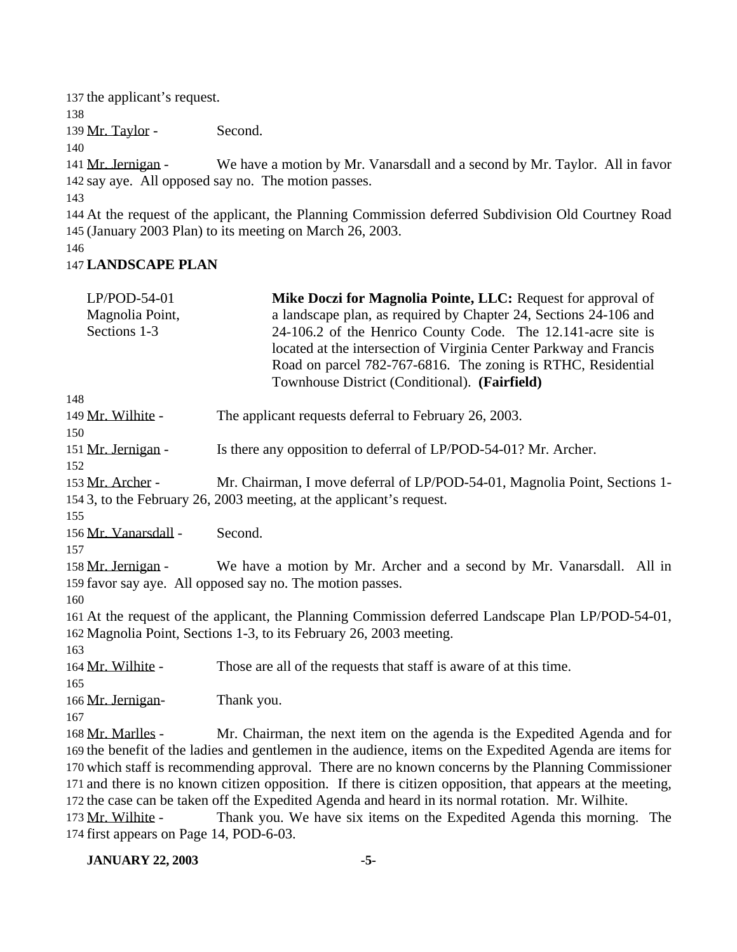137 the applicant's request. 138 139 Mr. Taylor - Second. 140 141 Mr. Jernigan - We have a motion by Mr. Vanarsdall and a second by Mr. Taylor. All in favor 142 say aye. All opposed say no. The motion passes. 143 144 At the request of the applicant, the Planning Commission deferred Subdivision Old Courtney Road 145 (January 2003 Plan) to its meeting on March 26, 2003. 146

#### 147 **LANDSCAPE PLAN**

| $LP/POD-54-01$                          | Mike Doczi for Magnolia Pointe, LLC: Request for approval of                                               |
|-----------------------------------------|------------------------------------------------------------------------------------------------------------|
| Magnolia Point,                         | a landscape plan, as required by Chapter 24, Sections 24-106 and                                           |
| Sections 1-3                            | 24-106.2 of the Henrico County Code. The 12.141-acre site is                                               |
|                                         | located at the intersection of Virginia Center Parkway and Francis                                         |
|                                         | Road on parcel 782-767-6816. The zoning is RTHC, Residential                                               |
|                                         | Townhouse District (Conditional). (Fairfield)                                                              |
| 148                                     |                                                                                                            |
| 149 Mr. Wilhite -                       | The applicant requests deferral to February 26, 2003.                                                      |
| 150                                     |                                                                                                            |
| 151 Mr. Jernigan -                      | Is there any opposition to deferral of LP/POD-54-01? Mr. Archer.                                           |
| 152                                     |                                                                                                            |
| 153 Mr. Archer -                        | Mr. Chairman, I move deferral of LP/POD-54-01, Magnolia Point, Sections 1-                                 |
|                                         | 154 3, to the February 26, 2003 meeting, at the applicant's request.                                       |
| 155                                     |                                                                                                            |
| 156 Mr. Vanarsdall -                    | Second.                                                                                                    |
| 157                                     |                                                                                                            |
| 158 Mr. Jernigan -                      | We have a motion by Mr. Archer and a second by Mr. Vanarsdall. All in                                      |
|                                         | 159 favor say aye. All opposed say no. The motion passes.                                                  |
| 160                                     |                                                                                                            |
|                                         | 161 At the request of the applicant, the Planning Commission deferred Landscape Plan LP/POD-54-01,         |
|                                         | 162 Magnolia Point, Sections 1-3, to its February 26, 2003 meeting.                                        |
| 163                                     |                                                                                                            |
| 164 Mr. Wilhite -                       | Those are all of the requests that staff is aware of at this time.                                         |
| 165                                     |                                                                                                            |
| 166 Mr. Jernigan-                       | Thank you.                                                                                                 |
| 167                                     |                                                                                                            |
| 168 Mr. Marlles -                       | Mr. Chairman, the next item on the agenda is the Expedited Agenda and for                                  |
|                                         | 169 the benefit of the ladies and gentlemen in the audience, items on the Expedited Agenda are items for   |
|                                         | 170 which staff is recommending approval. There are no known concerns by the Planning Commissioner         |
|                                         | 171 and there is no known citizen opposition. If there is citizen opposition, that appears at the meeting, |
|                                         | 172 the case can be taken off the Expedited Agenda and heard in its normal rotation. Mr. Wilhite.          |
| 173 Mr. Wilhite -                       | Thank you. We have six items on the Expedited Agenda this morning.<br>The                                  |
| 174 first appears on Page 14, POD-6-03. |                                                                                                            |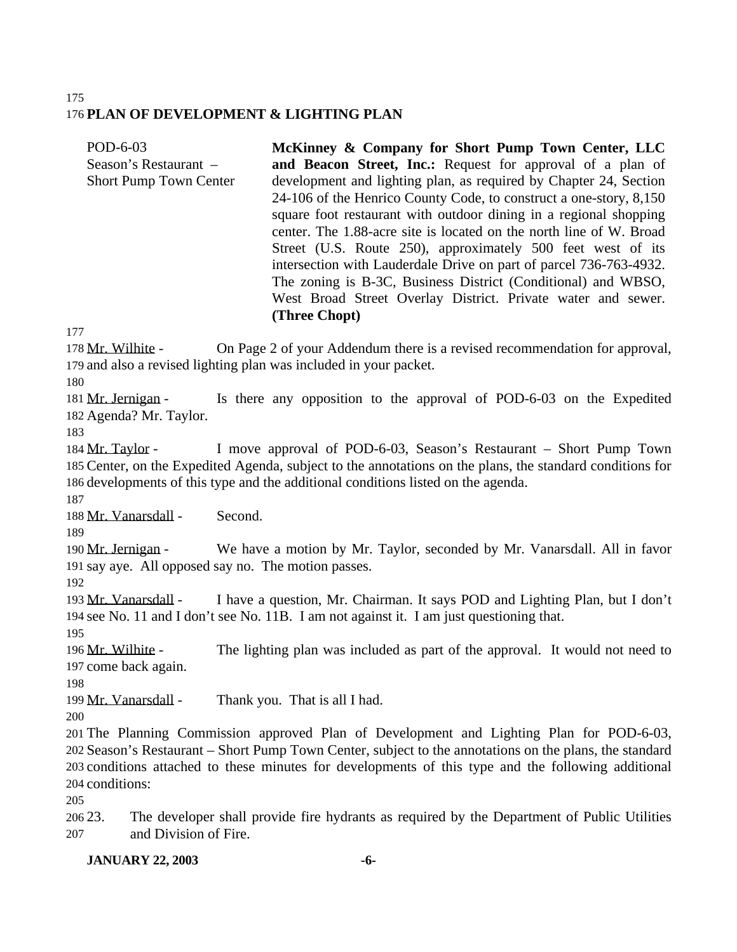#### 175 176 **PLAN OF DEVELOPMENT & LIGHTING PLAN**

POD-6-03 Season's Restaurant – Short Pump Town Center **McKinney & Company for Short Pump Town Center, LLC and Beacon Street, Inc.:** Request for approval of a plan of development and lighting plan, as required by Chapter 24, Section 24-106 of the Henrico County Code, to construct a one-story, 8,150 square foot restaurant with outdoor dining in a regional shopping center. The 1.88-acre site is located on the north line of W. Broad Street (U.S. Route 250), approximately 500 feet west of its intersection with Lauderdale Drive on part of parcel 736-763-4932. The zoning is B-3C, Business District (Conditional) and WBSO, West Broad Street Overlay District. Private water and sewer. **(Three Chopt)**

177

178 Mr. Wilhite - On Page 2 of your Addendum there is a revised recommendation for approval, 179 and also a revised lighting plan was included in your packet.

180

181 Mr. Jernigan - Is there any opposition to the approval of POD-6-03 on the Expedited 182 Agenda? Mr. Taylor.

183

184 Mr. Taylor - I move approval of POD-6-03, Season's Restaurant – Short Pump Town 185 Center, on the Expedited Agenda, subject to the annotations on the plans, the standard conditions for 186 developments of this type and the additional conditions listed on the agenda.

187

188 Mr. Vanarsdall - Second.

189

190 Mr. Jernigan - We have a motion by Mr. Taylor, seconded by Mr. Vanarsdall. All in favor 191 say aye. All opposed say no. The motion passes.

192

193 Mr. Vanarsdall - I have a question, Mr. Chairman. It says POD and Lighting Plan, but I don't 194 see No. 11 and I don't see No. 11B. I am not against it. I am just questioning that.

195 196 Mr. Wilhite - The lighting plan was included as part of the approval. It would not need to 197 come back again.

198

199 Mr. Vanarsdall - Thank you. That is all I had.

200

 The Planning Commission approved Plan of Development and Lighting Plan for POD-6-03, Season's Restaurant – Short Pump Town Center, subject to the annotations on the plans, the standard conditions attached to these minutes for developments of this type and the following additional conditions:

205

206 23. The developer shall provide fire hydrants as required by the Department of Public Utilities 207 and Division of Fire.

## **JANUARY 22, 2003 -6-**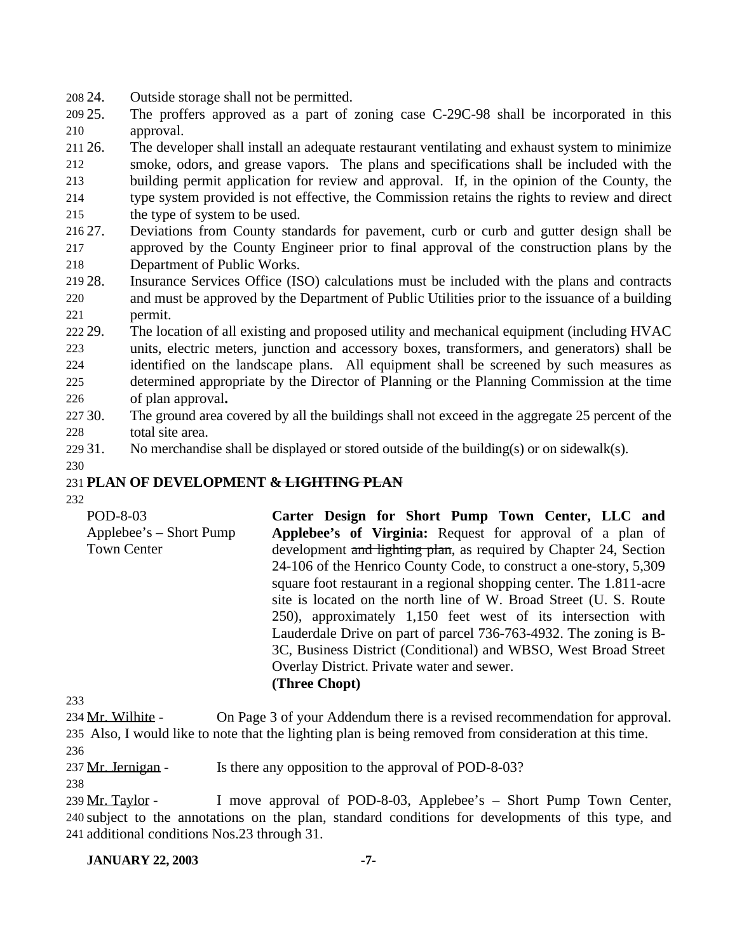- 24. Outside storage shall not be permitted.
- 25. The proffers approved as a part of zoning case C-29C-98 shall be incorporated in this approval.

26. The developer shall install an adequate restaurant ventilating and exhaust system to minimize

 smoke, odors, and grease vapors. The plans and specifications shall be included with the building permit application for review and approval. If, in the opinion of the County, the type system provided is not effective, the Commission retains the rights to review and direct

- the type of system to be used.
- 27. Deviations from County standards for pavement, curb or curb and gutter design shall be approved by the County Engineer prior to final approval of the construction plans by the Department of Public Works.
- 28. Insurance Services Office (ISO) calculations must be included with the plans and contracts and must be approved by the Department of Public Utilities prior to the issuance of a building permit.
- 29. The location of all existing and proposed utility and mechanical equipment (including HVAC units, electric meters, junction and accessory boxes, transformers, and generators) shall be identified on the landscape plans. All equipment shall be screened by such measures as determined appropriate by the Director of Planning or the Planning Commission at the time of plan approval**.**
- 30. The ground area covered by all the buildings shall not exceed in the aggregate 25 percent of the total site area.
- 31. No merchandise shall be displayed or stored outside of the building(s) or on sidewalk(s).
- 

## **PLAN OF DEVELOPMENT & LIGHTING PLAN**

| POD-8-03                  | Carter Design for Short Pump Town Center, LLC and                    |
|---------------------------|----------------------------------------------------------------------|
| $Applebee's - Short Pump$ | Applebee's of Virginia: Request for approval of a plan of            |
| <b>Town Center</b>        | development and lighting plan, as required by Chapter 24, Section    |
|                           | 24-106 of the Henrico County Code, to construct a one-story, 5,309   |
|                           | square foot restaurant in a regional shopping center. The 1.811-acre |
|                           | site is located on the north line of W. Broad Street (U. S. Route    |
|                           | 250), approximately 1,150 feet west of its intersection with         |
|                           | Lauderdale Drive on part of parcel 736-763-4932. The zoning is B-    |
|                           | 3C, Business District (Conditional) and WBSO, West Broad Street      |
|                           | Overlay District. Private water and sewer.                           |
|                           | (Three Chopt)                                                        |

234 Mr. Wilhite - On Page 3 of your Addendum there is a revised recommendation for approval. Also, I would like to note that the lighting plan is being removed from consideration at this time. 

237 Mr. Jernigan - Is there any opposition to the approval of POD-8-03?

239 Mr. Taylor - I move approval of POD-8-03, Applebee's – Short Pump Town Center, subject to the annotations on the plan, standard conditions for developments of this type, and additional conditions Nos.23 through 31.

#### **JANUARY 22, 2003 -7-**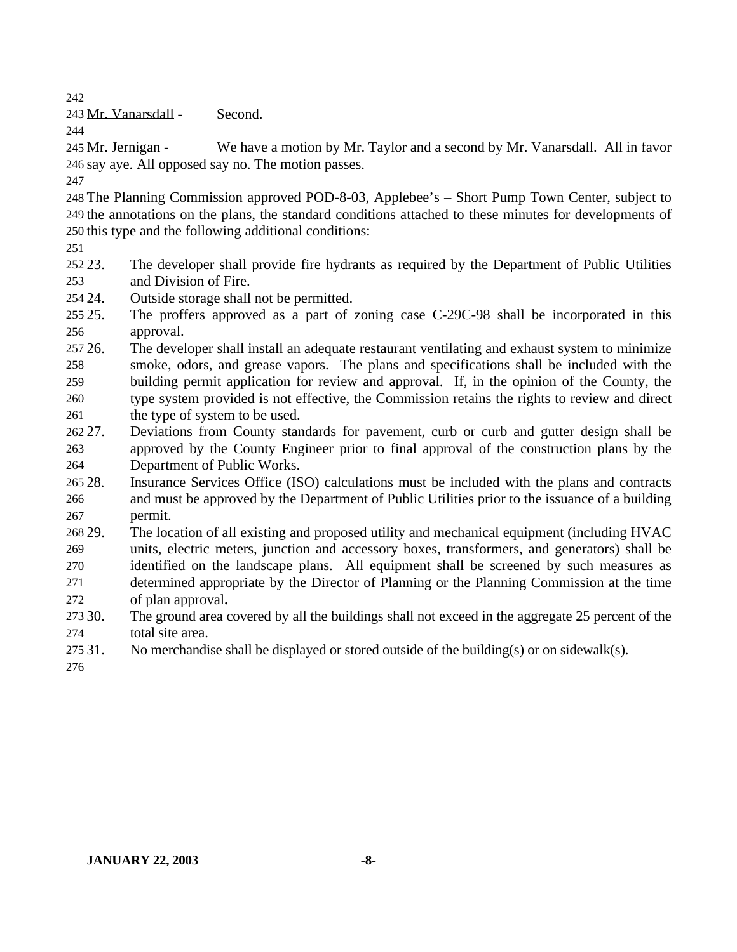Mr. Vanarsdall - Second.

245 Mr. Jernigan - We have a motion by Mr. Taylor and a second by Mr. Vanarsdall. All in favor say aye. All opposed say no. The motion passes.

 The Planning Commission approved POD-8-03, Applebee's – Short Pump Town Center, subject to the annotations on the plans, the standard conditions attached to these minutes for developments of this type and the following additional conditions:

 23. The developer shall provide fire hydrants as required by the Department of Public Utilities and Division of Fire.

- 24. Outside storage shall not be permitted.
- 25. The proffers approved as a part of zoning case C-29C-98 shall be incorporated in this approval.
- 26. The developer shall install an adequate restaurant ventilating and exhaust system to minimize smoke, odors, and grease vapors. The plans and specifications shall be included with the building permit application for review and approval. If, in the opinion of the County, the type system provided is not effective, the Commission retains the rights to review and direct 261 the type of system to be used.
- 27. Deviations from County standards for pavement, curb or curb and gutter design shall be approved by the County Engineer prior to final approval of the construction plans by the Department of Public Works.
- 28. Insurance Services Office (ISO) calculations must be included with the plans and contracts and must be approved by the Department of Public Utilities prior to the issuance of a building permit.
- 29. The location of all existing and proposed utility and mechanical equipment (including HVAC units, electric meters, junction and accessory boxes, transformers, and generators) shall be identified on the landscape plans. All equipment shall be screened by such measures as
- determined appropriate by the Director of Planning or the Planning Commission at the time of plan approval**.**
- 30. The ground area covered by all the buildings shall not exceed in the aggregate 25 percent of the total site area.
- 275 31. No merchandise shall be displayed or stored outside of the building(s) or on sidewalk(s).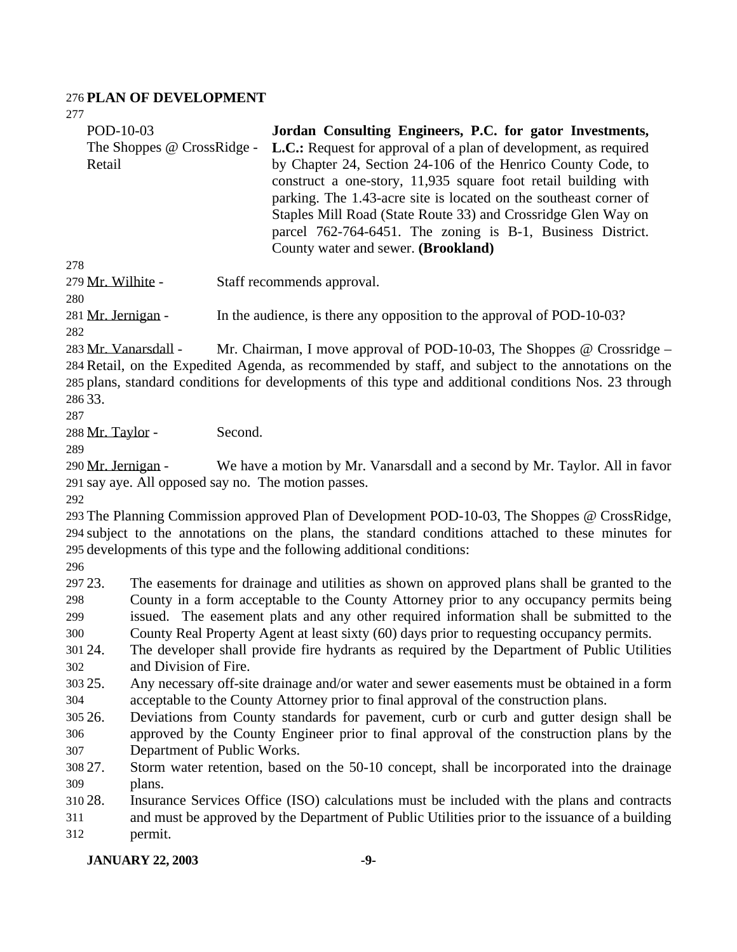#### **PLAN OF DEVELOPMENT**

| POD-10-03                              | Jordan Consulting Engineers, P.C. for gator Investments,                                                                                                                                                                                                                                                                                                                                                                                             |  |  |
|----------------------------------------|------------------------------------------------------------------------------------------------------------------------------------------------------------------------------------------------------------------------------------------------------------------------------------------------------------------------------------------------------------------------------------------------------------------------------------------------------|--|--|
| The Shoppes @ CrossRidge -<br>Retail   | <b>L.C.:</b> Request for approval of a plan of development, as required<br>by Chapter 24, Section 24-106 of the Henrico County Code, to<br>construct a one-story, 11,935 square foot retail building with<br>parking. The 1.43-acre site is located on the southeast corner of<br>Staples Mill Road (State Route 33) and Crossridge Glen Way on<br>parcel 762-764-6451. The zoning is B-1, Business District.<br>County water and sewer. (Brookland) |  |  |
| 278                                    |                                                                                                                                                                                                                                                                                                                                                                                                                                                      |  |  |
| 279 Mr. Wilhite -<br>280               | Staff recommends approval.                                                                                                                                                                                                                                                                                                                                                                                                                           |  |  |
| 281 Mr. Jernigan -<br>282              | In the audience, is there any opposition to the approval of POD-10-03?                                                                                                                                                                                                                                                                                                                                                                               |  |  |
| 283 Mr. Vanarsdall -<br>286 33.<br>287 | Mr. Chairman, I move approval of POD-10-03, The Shoppes $\omega$ Crossridge –<br>284 Retail, on the Expedited Agenda, as recommended by staff, and subject to the annotations on the<br>285 plans, standard conditions for developments of this type and additional conditions Nos. 23 through                                                                                                                                                       |  |  |
| 288 Mr. Taylor -                       | Second.                                                                                                                                                                                                                                                                                                                                                                                                                                              |  |  |
| 289                                    |                                                                                                                                                                                                                                                                                                                                                                                                                                                      |  |  |
| 290 Mr. Jernigan -                     | We have a motion by Mr. Vanarsdall and a second by Mr. Taylor. All in favor<br>291 say aye. All opposed say no. The motion passes.                                                                                                                                                                                                                                                                                                                   |  |  |
| 292                                    | 293 The Planning Commission approved Plan of Development POD-10-03, The Shoppes @ CrossRidge,<br>294 subject to the annotations on the plans, the standard conditions attached to these minutes for<br>295 developments of this type and the following additional conditions:                                                                                                                                                                        |  |  |
| 296<br>297 23.                         |                                                                                                                                                                                                                                                                                                                                                                                                                                                      |  |  |
| 298<br>299                             | The easements for drainage and utilities as shown on approved plans shall be granted to the<br>County in a form acceptable to the County Attorney prior to any occupancy permits being                                                                                                                                                                                                                                                               |  |  |
| 300                                    | issued. The easement plats and any other required information shall be submitted to the<br>County Real Property Agent at least sixty (60) days prior to requesting occupancy permits.                                                                                                                                                                                                                                                                |  |  |
| 301 24.                                | The developer shall provide fire hydrants as required by the Department of Public Utilities                                                                                                                                                                                                                                                                                                                                                          |  |  |
| and Division of Fire.<br>302           |                                                                                                                                                                                                                                                                                                                                                                                                                                                      |  |  |
| 303 25.                                | Any necessary off-site drainage and/or water and sewer easements must be obtained in a form                                                                                                                                                                                                                                                                                                                                                          |  |  |
| 304                                    | acceptable to the County Attorney prior to final approval of the construction plans.                                                                                                                                                                                                                                                                                                                                                                 |  |  |
| 305 26.                                | Deviations from County standards for pavement, curb or curb and gutter design shall be                                                                                                                                                                                                                                                                                                                                                               |  |  |
| 306                                    | approved by the County Engineer prior to final approval of the construction plans by the                                                                                                                                                                                                                                                                                                                                                             |  |  |
| 307                                    | Department of Public Works.                                                                                                                                                                                                                                                                                                                                                                                                                          |  |  |
| 308 27.                                | Storm water retention, based on the 50-10 concept, shall be incorporated into the drainage                                                                                                                                                                                                                                                                                                                                                           |  |  |
| 309<br>plans.                          |                                                                                                                                                                                                                                                                                                                                                                                                                                                      |  |  |
| 210.28                                 | Incurance Services Office (ISO) colculations must be included with the plans and contracts                                                                                                                                                                                                                                                                                                                                                           |  |  |

 28. Insurance Services Office (ISO) calculations must be included with the plans and contracts and must be approved by the Department of Public Utilities prior to the issuance of a building permit.

**JANUARY 22, 2003 -9-**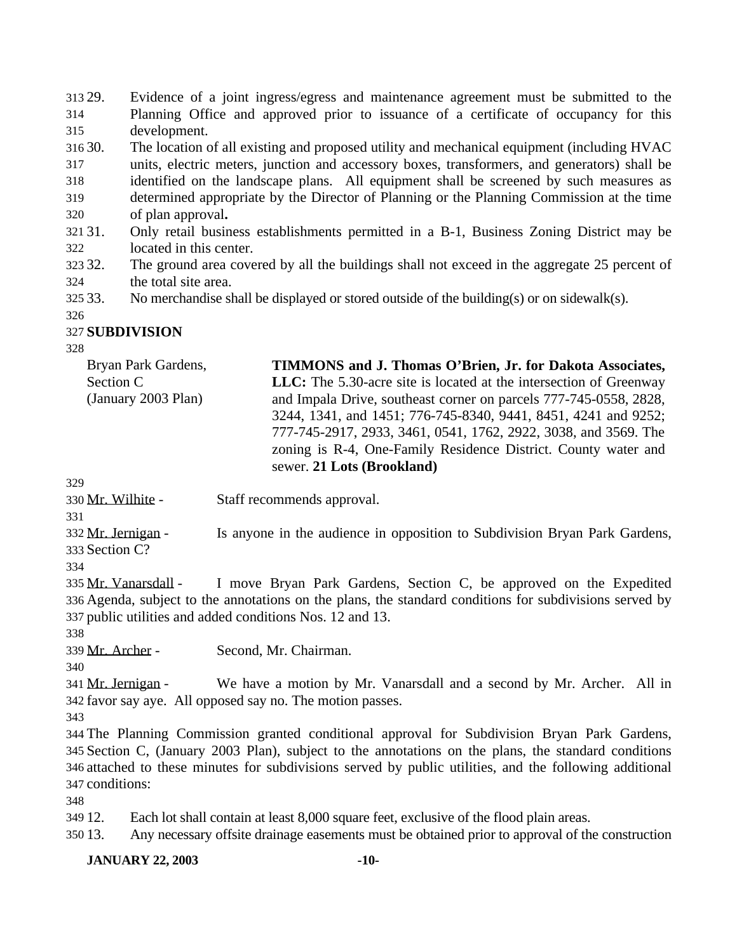29. Evidence of a joint ingress/egress and maintenance agreement must be submitted to the Planning Office and approved prior to issuance of a certificate of occupancy for this development.

30. The location of all existing and proposed utility and mechanical equipment (including HVAC

- units, electric meters, junction and accessory boxes, transformers, and generators) shall be identified on the landscape plans. All equipment shall be screened by such measures as determined appropriate by the Director of Planning or the Planning Commission at the time
- of plan approval**.**
- 31. Only retail business establishments permitted in a B-1, Business Zoning District may be located in this center.
- 32. The ground area covered by all the buildings shall not exceed in the aggregate 25 percent of the total site area.
- 325 33. No merchandise shall be displayed or stored outside of the building(s) or on sidewalk(s).

# **SUBDIVISION**

Mr. Wilhite - Staff recommends approval.

332 Mr. Jernigan - Is anyone in the audience in opposition to Subdivision Bryan Park Gardens, Section C?

 Mr. Vanarsdall - I move Bryan Park Gardens, Section C, be approved on the Expedited Agenda, subject to the annotations on the plans, the standard conditions for subdivisions served by public utilities and added conditions Nos. 12 and 13.

Mr. Archer - Second, Mr. Chairman.

 Mr. Jernigan - We have a motion by Mr. Vanarsdall and a second by Mr. Archer. All in favor say aye. All opposed say no. The motion passes.

 The Planning Commission granted conditional approval for Subdivision Bryan Park Gardens, Section C, (January 2003 Plan), subject to the annotations on the plans, the standard conditions attached to these minutes for subdivisions served by public utilities, and the following additional conditions:

12. Each lot shall contain at least 8,000 square feet, exclusive of the flood plain areas.

13. Any necessary offsite drainage easements must be obtained prior to approval of the construction

**JANUARY 22, 2003 -10-**

Bryan Park Gardens, Section C (January 2003 Plan) **TIMMONS and J. Thomas O'Brien, Jr. for Dakota Associates, LLC:** The 5.30-acre site is located at the intersection of Greenway and Impala Drive, southeast corner on parcels 777-745-0558, 2828, 3244, 1341, and 1451; 776-745-8340, 9441, 8451, 4241 and 9252; 777-745-2917, 2933, 3461, 0541, 1762, 2922, 3038, and 3569. The zoning is R-4, One-Family Residence District. County water and sewer. **21 Lots (Brookland)**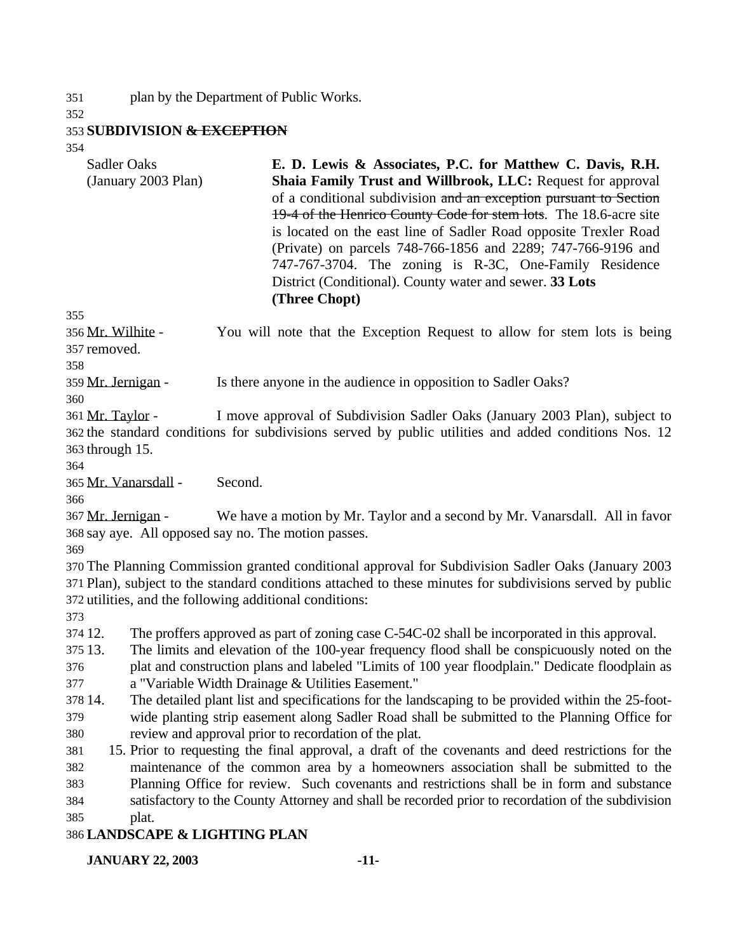plan by the Department of Public Works.

### **SUBDIVISION & EXCEPTION**

| 354                                        |                                                                                                                                                                                                                                                                                                                                                                                                                                                                                                                                              |
|--------------------------------------------|----------------------------------------------------------------------------------------------------------------------------------------------------------------------------------------------------------------------------------------------------------------------------------------------------------------------------------------------------------------------------------------------------------------------------------------------------------------------------------------------------------------------------------------------|
| <b>Sadler Oaks</b><br>(January 2003 Plan)  | E. D. Lewis & Associates, P.C. for Matthew C. Davis, R.H.<br>Shaia Family Trust and Willbrook, LLC: Request for approval<br>of a conditional subdivision and an exception pursuant to Section<br>19-4 of the Henrico County Code for stem lots. The 18.6-acre site<br>is located on the east line of Sadler Road opposite Trexler Road<br>(Private) on parcels 748-766-1856 and 2289; 747-766-9196 and<br>747-767-3704. The zoning is R-3C, One-Family Residence<br>District (Conditional). County water and sewer. 33 Lots<br>(Three Chopt) |
| 355                                        |                                                                                                                                                                                                                                                                                                                                                                                                                                                                                                                                              |
| 356 Mr. Wilhite -<br>357 removed.<br>358   | You will note that the Exception Request to allow for stem lots is being                                                                                                                                                                                                                                                                                                                                                                                                                                                                     |
| 359 Mr. Jernigan -                         | Is there anyone in the audience in opposition to Sadler Oaks?                                                                                                                                                                                                                                                                                                                                                                                                                                                                                |
| 360                                        |                                                                                                                                                                                                                                                                                                                                                                                                                                                                                                                                              |
| 361 Mr. Taylor -<br>363 through 15.<br>364 | I move approval of Subdivision Sadler Oaks (January 2003 Plan), subject to<br>362 the standard conditions for subdivisions served by public utilities and added conditions Nos. 12                                                                                                                                                                                                                                                                                                                                                           |
| 365 Mr. Vanarsdall -<br>366                | Second.                                                                                                                                                                                                                                                                                                                                                                                                                                                                                                                                      |
| 367 Mr. Jernigan -<br>369                  | We have a motion by Mr. Taylor and a second by Mr. Vanarsdall. All in favor<br>368 say aye. All opposed say no. The motion passes.                                                                                                                                                                                                                                                                                                                                                                                                           |
| 373                                        | 370 The Planning Commission granted conditional approval for Subdivision Sadler Oaks (January 2003<br>371 Plan), subject to the standard conditions attached to these minutes for subdivisions served by public<br>372 utilities, and the following additional conditions:                                                                                                                                                                                                                                                                   |
| 374 12.                                    | The proffers approved as part of zoning case C-54C-02 shall be incorporated in this approval.                                                                                                                                                                                                                                                                                                                                                                                                                                                |
| 375 13.                                    | The limits and elevation of the 100-year frequency flood shall be conspicuously noted on the                                                                                                                                                                                                                                                                                                                                                                                                                                                 |
| 376                                        | plat and construction plans and labeled "Limits of 100 year floodplain." Dedicate floodplain as                                                                                                                                                                                                                                                                                                                                                                                                                                              |
| 377                                        | a "Variable Width Drainage & Utilities Easement."                                                                                                                                                                                                                                                                                                                                                                                                                                                                                            |
| 378 14.                                    | The detailed plant list and specifications for the landscaping to be provided within the 25-foot-                                                                                                                                                                                                                                                                                                                                                                                                                                            |

 wide planting strip easement along Sadler Road shall be submitted to the Planning Office for review and approval prior to recordation of the plat.

 15. Prior to requesting the final approval, a draft of the covenants and deed restrictions for the maintenance of the common area by a homeowners association shall be submitted to the Planning Office for review. Such covenants and restrictions shall be in form and substance satisfactory to the County Attorney and shall be recorded prior to recordation of the subdivision plat.

#### **LANDSCAPE & LIGHTING PLAN**

**JANUARY 22, 2003 -11-**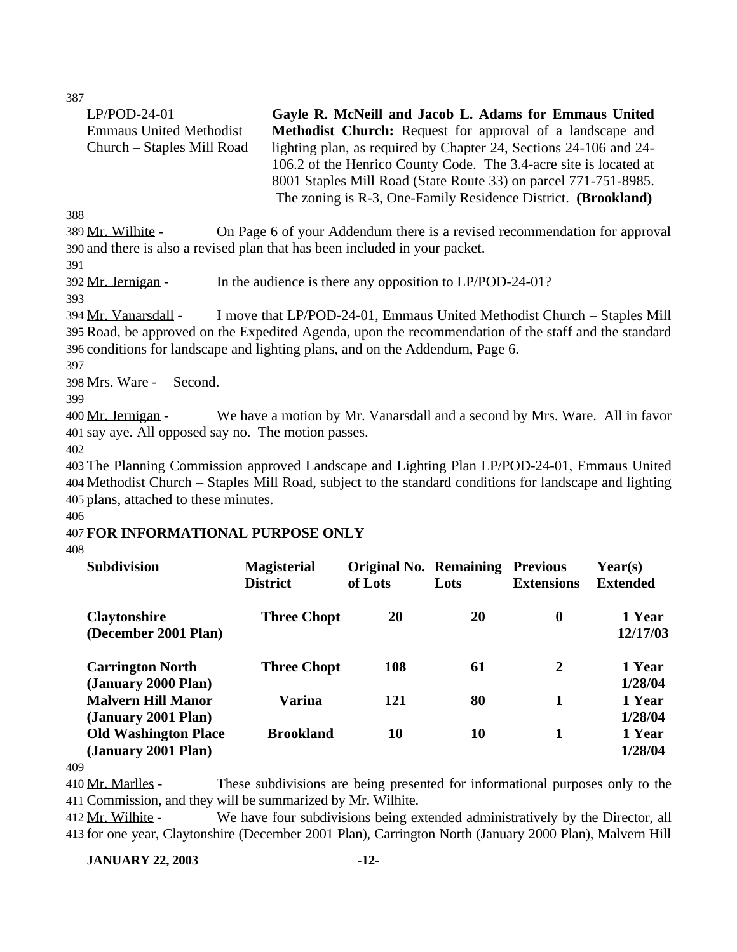| $LP/POD-24-01$                 | Gayle R. McNeill and Jacob L. Adams for Emmaus United             |
|--------------------------------|-------------------------------------------------------------------|
| <b>Emmaus United Methodist</b> | <b>Methodist Church:</b> Request for approval of a landscape and  |
| Church – Staples Mill Road     | lighting plan, as required by Chapter 24, Sections 24-106 and 24- |
|                                | 106.2 of the Henrico County Code. The 3.4-acre site is located at |
|                                | 8001 Staples Mill Road (State Route 33) on parcel 771-751-8985.   |
|                                | The zoning is R-3, One-Family Residence District. (Brookland)     |
| $\sim$                         |                                                                   |

388

389 Mr. Wilhite - On Page 6 of your Addendum there is a revised recommendation for approval 390 and there is also a revised plan that has been included in your packet.

391

392 Mr. Jernigan - In the audience is there any opposition to LP/POD-24-01?

393

394 Mr. Vanarsdall - I move that LP/POD-24-01, Emmaus United Methodist Church – Staples Mill 395 Road, be approved on the Expedited Agenda, upon the recommendation of the staff and the standard 396 conditions for landscape and lighting plans, and on the Addendum, Page 6.

397

398 Mrs. Ware - Second.

399

400 Mr. Jernigan - We have a motion by Mr. Vanarsdall and a second by Mrs. Ware. All in favor 401 say aye. All opposed say no. The motion passes.

402

403 The Planning Commission approved Landscape and Lighting Plan LP/POD-24-01, Emmaus United 404 Methodist Church – Staples Mill Road, subject to the standard conditions for landscape and lighting 405 plans, attached to these minutes.

406

## 407 **FOR INFORMATIONAL PURPOSE ONLY**

408

| <b>Subdivision</b>                                 | <b>Magisterial</b><br><b>District</b> | <b>Original No. Remaining</b><br>of Lots | Lots | <b>Previous</b><br><b>Extensions</b> | $\text{Year}(s)$<br><b>Extended</b> |
|----------------------------------------------------|---------------------------------------|------------------------------------------|------|--------------------------------------|-------------------------------------|
| <b>Claytonshire</b><br>(December 2001 Plan)        | <b>Three Chopt</b>                    | 20                                       | 20   | $\boldsymbol{0}$                     | 1 Year<br>12/17/03                  |
| <b>Carrington North</b><br>(January 2000 Plan)     | <b>Three Chopt</b>                    | 108                                      | 61   | $\overline{2}$                       | 1 Year<br>1/28/04                   |
| <b>Malvern Hill Manor</b><br>(January 2001 Plan)   | <b>Varina</b>                         | 121                                      | 80   | 1                                    | 1 Year<br>1/28/04                   |
| <b>Old Washington Place</b><br>(January 2001 Plan) | <b>Brookland</b>                      | 10                                       | 10   | 1                                    | 1 Year<br>1/28/04                   |

409

410 Mr. Marlles - These subdivisions are being presented for informational purposes only to the 411 Commission, and they will be summarized by Mr. Wilhite.

412 Mr. Wilhite - We have four subdivisions being extended administratively by the Director, all 413 for one year, Claytonshire (December 2001 Plan), Carrington North (January 2000 Plan), Malvern Hill

**JANUARY 22, 2003 -12-**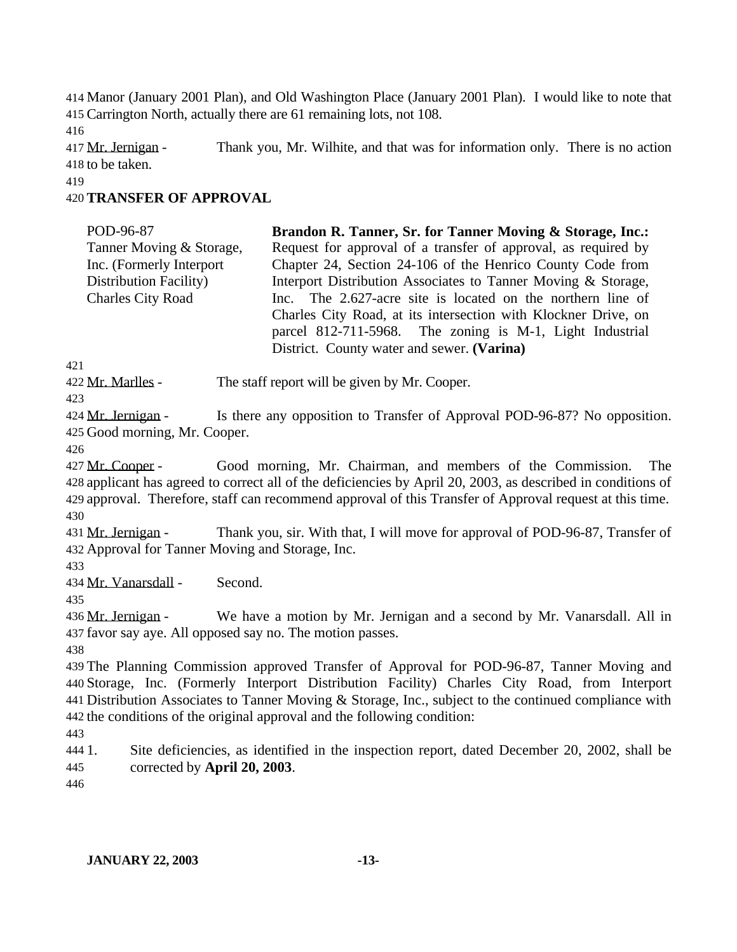414 Manor (January 2001 Plan), and Old Washington Place (January 2001 Plan). I would like to note that 415 Carrington North, actually there are 61 remaining lots, not 108.

416

417 Mr. Jernigan - Thank you, Mr. Wilhite, and that was for information only. There is no action 418 to be taken.

419

### 420 **TRANSFER OF APPROVAL**

| POD-96-87                 | Brandon R. Tanner, Sr. for Tanner Moving & Storage, Inc.:      |
|---------------------------|----------------------------------------------------------------|
| Tanner Moving & Storage,  | Request for approval of a transfer of approval, as required by |
| Inc. (Formerly Interport) | Chapter 24, Section 24-106 of the Henrico County Code from     |
| Distribution Facility)    | Interport Distribution Associates to Tanner Moving & Storage,  |
| <b>Charles City Road</b>  | Inc. The 2.627-acre site is located on the northern line of    |
|                           | Charles City Road, at its intersection with Klockner Drive, on |
|                           | parcel 812-711-5968. The zoning is M-1, Light Industrial       |
|                           | District. County water and sewer. (Varina)                     |

421

422 Mr. Marlles - The staff report will be given by Mr. Cooper.

423

424 Mr. Jernigan - Is there any opposition to Transfer of Approval POD-96-87? No opposition. 425 Good morning, Mr. Cooper.

426

 Mr. Cooper - Good morning, Mr. Chairman, and members of the Commission. The applicant has agreed to correct all of the deficiencies by April 20, 2003, as described in conditions of approval. Therefore, staff can recommend approval of this Transfer of Approval request at this time. 430

431 Mr. Jernigan - Thank you, sir. With that, I will move for approval of POD-96-87, Transfer of 432 Approval for Tanner Moving and Storage, Inc.

433

434 Mr. Vanarsdall - Second.

435

436 Mr. Jernigan - We have a motion by Mr. Jernigan and a second by Mr. Vanarsdall. All in 437 favor say aye. All opposed say no. The motion passes.

438

 The Planning Commission approved Transfer of Approval for POD-96-87, Tanner Moving and Storage, Inc. (Formerly Interport Distribution Facility) Charles City Road, from Interport Distribution Associates to Tanner Moving & Storage, Inc., subject to the continued compliance with the conditions of the original approval and the following condition:

443

444 1. Site deficiencies, as identified in the inspection report, dated December 20, 2002, shall be 445 corrected by **April 20, 2003**.

446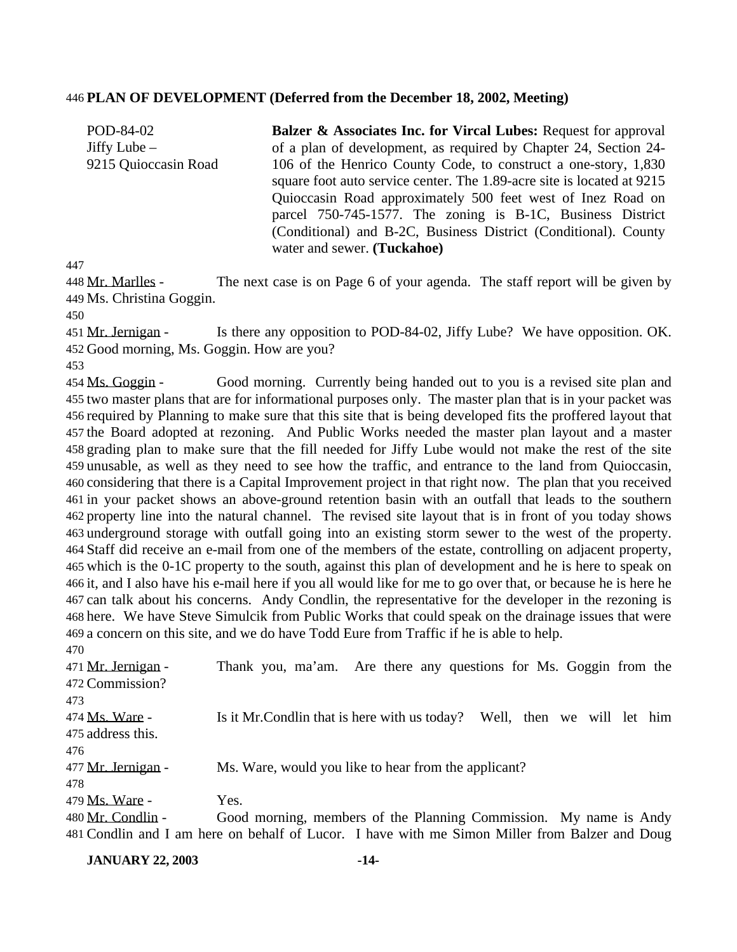#### **PLAN OF DEVELOPMENT (Deferred from the December 18, 2002, Meeting)**

POD-84-02 Jiffy Lube – 9215 Quioccasin Road **Balzer & Associates Inc. for Vircal Lubes:** Request for approval of a plan of development, as required by Chapter 24, Section 24- 106 of the Henrico County Code, to construct a one-story, 1,830 square foot auto service center. The 1.89-acre site is located at 9215 Quioccasin Road approximately 500 feet west of Inez Road on parcel 750-745-1577. The zoning is B-1C, Business District (Conditional) and B-2C, Business District (Conditional). County water and sewer. **(Tuckahoe)**

448 Mr. Marlles - The next case is on Page 6 of your agenda. The staff report will be given by Ms. Christina Goggin.

451 Mr. Jernigan - Is there any opposition to POD-84-02, Jiffy Lube? We have opposition. OK. Good morning, Ms. Goggin. How are you?

 Ms. Goggin - Good morning. Currently being handed out to you is a revised site plan and two master plans that are for informational purposes only. The master plan that is in your packet was required by Planning to make sure that this site that is being developed fits the proffered layout that the Board adopted at rezoning. And Public Works needed the master plan layout and a master grading plan to make sure that the fill needed for Jiffy Lube would not make the rest of the site unusable, as well as they need to see how the traffic, and entrance to the land from Quioccasin, considering that there is a Capital Improvement project in that right now. The plan that you received in your packet shows an above-ground retention basin with an outfall that leads to the southern property line into the natural channel. The revised site layout that is in front of you today shows underground storage with outfall going into an existing storm sewer to the west of the property. Staff did receive an e-mail from one of the members of the estate, controlling on adjacent property, which is the 0-1C property to the south, against this plan of development and he is here to speak on it, and I also have his e-mail here if you all would like for me to go over that, or because he is here he can talk about his concerns. Andy Condlin, the representative for the developer in the rezoning is here. We have Steve Simulcik from Public Works that could speak on the drainage issues that were a concern on this site, and we do have Todd Eure from Traffic if he is able to help. 

| 47 V                  |                                                                                                |
|-----------------------|------------------------------------------------------------------------------------------------|
| 471 Mr. Jernigan -    | Thank you, ma'am. Are there any questions for Ms. Goggin from the                              |
| 472 Commission?       |                                                                                                |
| 473.                  |                                                                                                |
| 474 <u>Ms. Ware</u> - | Is it Mr. Condlin that is here with us today? Well, then we will let him                       |
| 475 address this.     |                                                                                                |
| 476.                  |                                                                                                |
| 477 Mr. Jernigan -    | Ms. Ware, would you like to hear from the applicant?                                           |
| 478.                  |                                                                                                |
| 479 Ms. Ware -        | Yes.                                                                                           |
| 480 Mr. Condlin -     | Good morning, members of the Planning Commission. My name is Andy                              |
|                       | 481 Condlin and I am here on behalf of Lucor. I have with me Simon Miller from Balzer and Doug |

**JANUARY 22, 2003 -14-**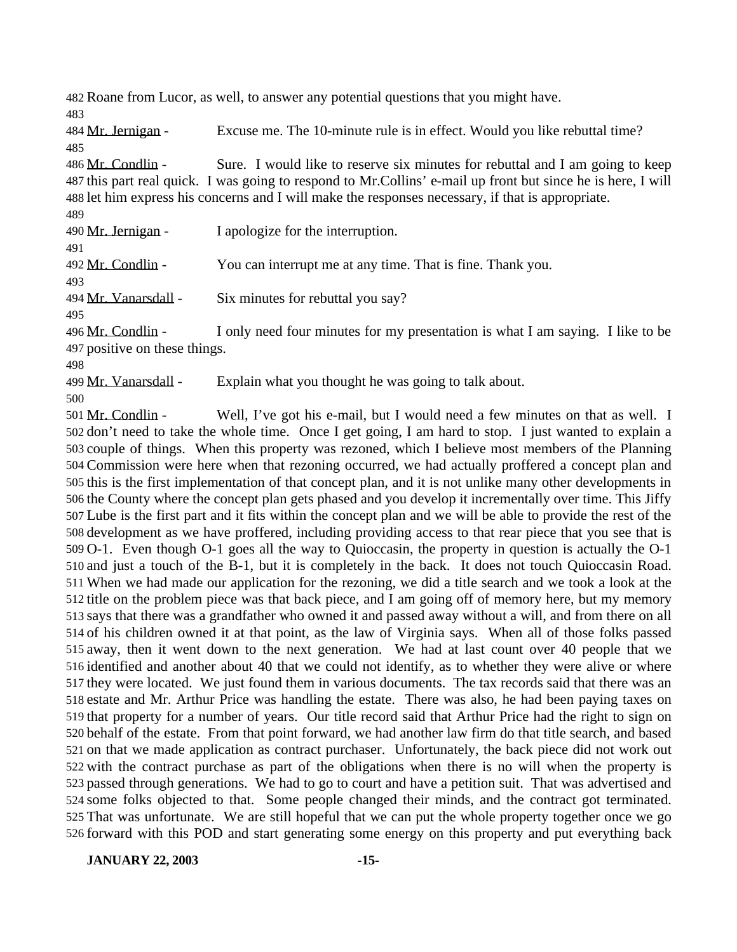Roane from Lucor, as well, to answer any potential questions that you might have.

 Mr. Jernigan - Excuse me. The 10-minute rule is in effect. Would you like rebuttal time? 

486 Mr. Condlin - Sure. I would like to reserve six minutes for rebuttal and I am going to keep this part real quick. I was going to respond to Mr.Collins' e-mail up front but since he is here, I will let him express his concerns and I will make the responses necessary, if that is appropriate.

490 Mr. Jernigan - I apologize for the interruption.

492 Mr. Condlin - You can interrupt me at any time. That is fine. Thank you.

494 Mr. Vanarsdall - Six minutes for rebuttal you say?

 Mr. Condlin - I only need four minutes for my presentation is what I am saying. I like to be

positive on these things.

499 Mr. Vanarsdall - Explain what you thought he was going to talk about.

501 Mr. Condlin - Well, I've got his e-mail, but I would need a few minutes on that as well. I don't need to take the whole time. Once I get going, I am hard to stop. I just wanted to explain a couple of things. When this property was rezoned, which I believe most members of the Planning Commission were here when that rezoning occurred, we had actually proffered a concept plan and this is the first implementation of that concept plan, and it is not unlike many other developments in the County where the concept plan gets phased and you develop it incrementally over time. This Jiffy Lube is the first part and it fits within the concept plan and we will be able to provide the rest of the development as we have proffered, including providing access to that rear piece that you see that is O-1. Even though O-1 goes all the way to Quioccasin, the property in question is actually the O-1 and just a touch of the B-1, but it is completely in the back. It does not touch Quioccasin Road. When we had made our application for the rezoning, we did a title search and we took a look at the title on the problem piece was that back piece, and I am going off of memory here, but my memory says that there was a grandfather who owned it and passed away without a will, and from there on all of his children owned it at that point, as the law of Virginia says. When all of those folks passed away, then it went down to the next generation. We had at last count over 40 people that we identified and another about 40 that we could not identify, as to whether they were alive or where they were located. We just found them in various documents. The tax records said that there was an estate and Mr. Arthur Price was handling the estate. There was also, he had been paying taxes on that property for a number of years. Our title record said that Arthur Price had the right to sign on behalf of the estate. From that point forward, we had another law firm do that title search, and based on that we made application as contract purchaser. Unfortunately, the back piece did not work out with the contract purchase as part of the obligations when there is no will when the property is passed through generations. We had to go to court and have a petition suit. That was advertised and some folks objected to that. Some people changed their minds, and the contract got terminated. That was unfortunate. We are still hopeful that we can put the whole property together once we go forward with this POD and start generating some energy on this property and put everything back

**JANUARY 22, 2003 -15-**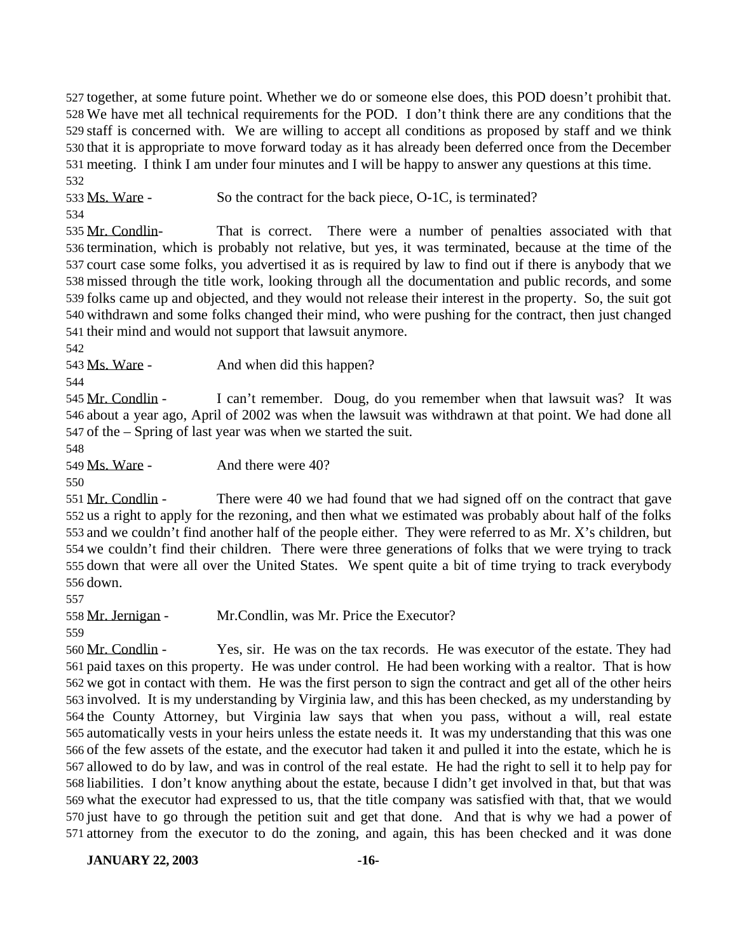together, at some future point. Whether we do or someone else does, this POD doesn't prohibit that. We have met all technical requirements for the POD. I don't think there are any conditions that the staff is concerned with. We are willing to accept all conditions as proposed by staff and we think that it is appropriate to move forward today as it has already been deferred once from the December meeting. I think I am under four minutes and I will be happy to answer any questions at this time. 

533 Ms. Ware - So the contract for the back piece, O-1C, is terminated? 

535 Mr. Condlin- That is correct. There were a number of penalties associated with that termination, which is probably not relative, but yes, it was terminated, because at the time of the court case some folks, you advertised it as is required by law to find out if there is anybody that we missed through the title work, looking through all the documentation and public records, and some folks came up and objected, and they would not release their interest in the property. So, the suit got withdrawn and some folks changed their mind, who were pushing for the contract, then just changed their mind and would not support that lawsuit anymore.

543 Ms. Ware - And when did this happen?

545 Mr. Condlin - I can't remember. Doug, do you remember when that lawsuit was? It was about a year ago, April of 2002 was when the lawsuit was withdrawn at that point. We had done all of the – Spring of last year was when we started the suit.

549 Ms. Ware - And there were 40?

551 Mr. Condlin - There were 40 we had found that we had signed off on the contract that gave us a right to apply for the rezoning, and then what we estimated was probably about half of the folks and we couldn't find another half of the people either. They were referred to as Mr. X's children, but we couldn't find their children. There were three generations of folks that we were trying to track down that were all over the United States. We spent quite a bit of time trying to track everybody down.

Mr. Jernigan - Mr.Condlin, was Mr. Price the Executor?

 Mr. Condlin - Yes, sir. He was on the tax records. He was executor of the estate. They had paid taxes on this property. He was under control. He had been working with a realtor. That is how we got in contact with them. He was the first person to sign the contract and get all of the other heirs involved. It is my understanding by Virginia law, and this has been checked, as my understanding by the County Attorney, but Virginia law says that when you pass, without a will, real estate automatically vests in your heirs unless the estate needs it. It was my understanding that this was one of the few assets of the estate, and the executor had taken it and pulled it into the estate, which he is allowed to do by law, and was in control of the real estate. He had the right to sell it to help pay for liabilities. I don't know anything about the estate, because I didn't get involved in that, but that was what the executor had expressed to us, that the title company was satisfied with that, that we would just have to go through the petition suit and get that done. And that is why we had a power of attorney from the executor to do the zoning, and again, this has been checked and it was done

**JANUARY 22, 2003 -16-**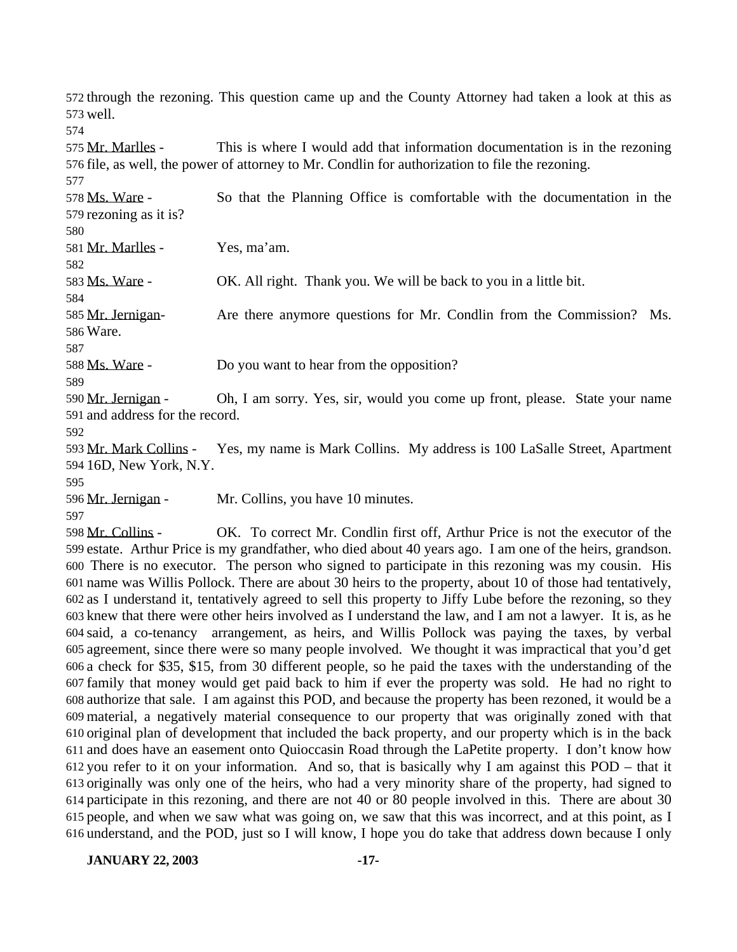through the rezoning. This question came up and the County Attorney had taken a look at this as well.

575 Mr. Marlles - This is where I would add that information documentation is in the rezoning file, as well, the power of attorney to Mr. Condlin for authorization to file the rezoning.

 Ms. Ware - So that the Planning Office is comfortable with the documentation in the rezoning as it is?

Mr. Marlles - Yes, ma'am.

Ms. Ware - OK. All right. Thank you. We will be back to you in a little bit.

 Mr. Jernigan- Are there anymore questions for Mr. Condlin from the Commission? Ms. Ware.

Ms. Ware - Do you want to hear from the opposition?

 Mr. Jernigan - Oh, I am sorry. Yes, sir, would you come up front, please. State your name and address for the record.

 Mr. Mark Collins - Yes, my name is Mark Collins. My address is 100 LaSalle Street, Apartment 16D, New York, N.Y.

596 Mr. Jernigan - Mr. Collins, you have 10 minutes.

 Mr. Collins - OK. To correct Mr. Condlin first off, Arthur Price is not the executor of the estate. Arthur Price is my grandfather, who died about 40 years ago. I am one of the heirs, grandson. There is no executor. The person who signed to participate in this rezoning was my cousin. His name was Willis Pollock. There are about 30 heirs to the property, about 10 of those had tentatively, as I understand it, tentatively agreed to sell this property to Jiffy Lube before the rezoning, so they knew that there were other heirs involved as I understand the law, and I am not a lawyer. It is, as he said, a co-tenancy arrangement, as heirs, and Willis Pollock was paying the taxes, by verbal agreement, since there were so many people involved. We thought it was impractical that you'd get a check for \$35, \$15, from 30 different people, so he paid the taxes with the understanding of the family that money would get paid back to him if ever the property was sold. He had no right to authorize that sale. I am against this POD, and because the property has been rezoned, it would be a material, a negatively material consequence to our property that was originally zoned with that original plan of development that included the back property, and our property which is in the back and does have an easement onto Quioccasin Road through the LaPetite property. I don't know how you refer to it on your information. And so, that is basically why I am against this POD – that it originally was only one of the heirs, who had a very minority share of the property, had signed to participate in this rezoning, and there are not 40 or 80 people involved in this. There are about 30 people, and when we saw what was going on, we saw that this was incorrect, and at this point, as I understand, and the POD, just so I will know, I hope you do take that address down because I only

**JANUARY 22, 2003 -17-**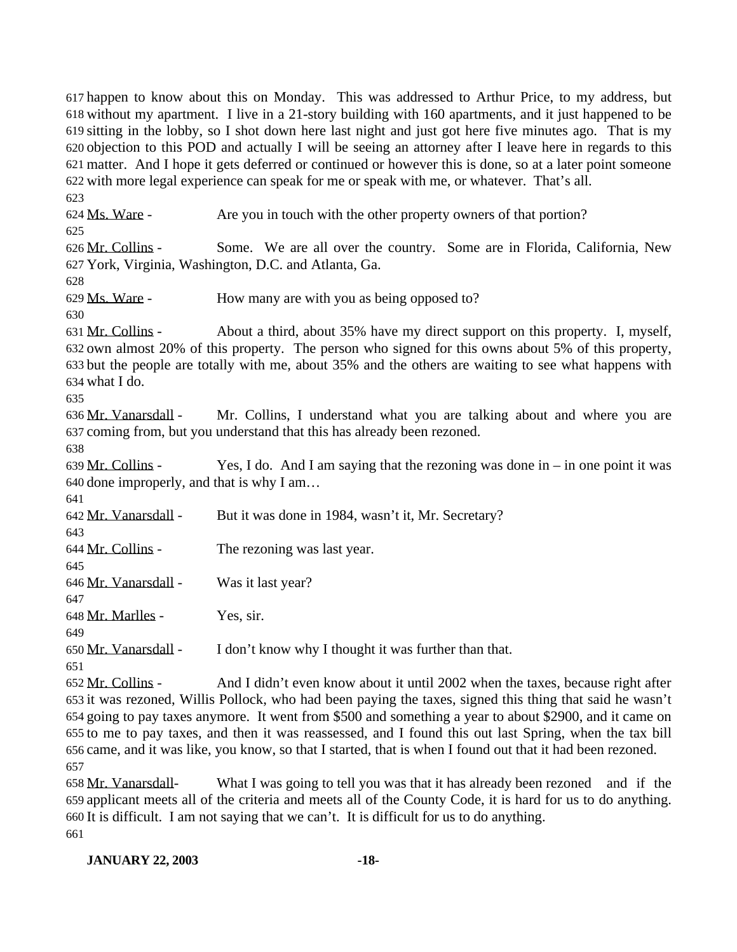happen to know about this on Monday. This was addressed to Arthur Price, to my address, but without my apartment. I live in a 21-story building with 160 apartments, and it just happened to be sitting in the lobby, so I shot down here last night and just got here five minutes ago. That is my objection to this POD and actually I will be seeing an attorney after I leave here in regards to this matter. And I hope it gets deferred or continued or however this is done, so at a later point someone with more legal experience can speak for me or speak with me, or whatever. That's all. Ms. Ware - Are you in touch with the other property owners of that portion? Mr. Collins - Some. We are all over the country. Some are in Florida, California, New York, Virginia, Washington, D.C. and Atlanta, Ga. Ms. Ware - How many are with you as being opposed to? Mr. Collins - About a third, about 35% have my direct support on this property. I, myself, own almost 20% of this property. The person who signed for this owns about 5% of this property, but the people are totally with me, about 35% and the others are waiting to see what happens with what I do. Mr. Vanarsdall - Mr. Collins, I understand what you are talking about and where you are coming from, but you understand that this has already been rezoned. 639 Mr. Collins - Yes, I do. And I am saying that the rezoning was done in – in one point it was done improperly, and that is why I am… Mr. Vanarsdall - But it was done in 1984, wasn't it, Mr. Secretary? Mr. Collins - The rezoning was last year. Mr. Vanarsdall - Was it last year? Mr. Marlles - Yes, sir. Mr. Vanarsdall - I don't know why I thought it was further than that. Mr. Collins - And I didn't even know about it until 2002 when the taxes, because right after it was rezoned, Willis Pollock, who had been paying the taxes, signed this thing that said he wasn't going to pay taxes anymore. It went from \$500 and something a year to about \$2900, and it came on

 to me to pay taxes, and then it was reassessed, and I found this out last Spring, when the tax bill came, and it was like, you know, so that I started, that is when I found out that it had been rezoned. 

 Mr. Vanarsdall- What I was going to tell you was that it has already been rezoned and if the applicant meets all of the criteria and meets all of the County Code, it is hard for us to do anything. It is difficult. I am not saying that we can't. It is difficult for us to do anything.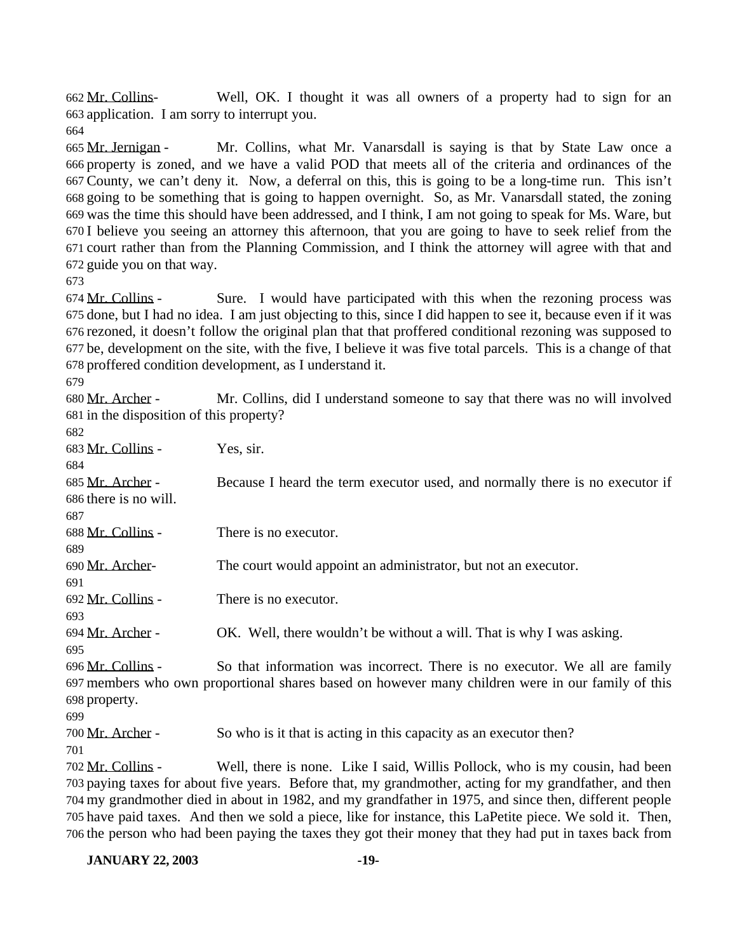Mr. Collins- Well, OK. I thought it was all owners of a property had to sign for an application. I am sorry to interrupt you.

 Mr. Jernigan - Mr. Collins, what Mr. Vanarsdall is saying is that by State Law once a property is zoned, and we have a valid POD that meets all of the criteria and ordinances of the County, we can't deny it. Now, a deferral on this, this is going to be a long-time run. This isn't going to be something that is going to happen overnight. So, as Mr. Vanarsdall stated, the zoning was the time this should have been addressed, and I think, I am not going to speak for Ms. Ware, but I believe you seeing an attorney this afternoon, that you are going to have to seek relief from the court rather than from the Planning Commission, and I think the attorney will agree with that and guide you on that way.

 Mr. Collins - Sure. I would have participated with this when the rezoning process was done, but I had no idea. I am just objecting to this, since I did happen to see it, because even if it was rezoned, it doesn't follow the original plan that that proffered conditional rezoning was supposed to be, development on the site, with the five, I believe it was five total parcels. This is a change of that proffered condition development, as I understand it.

 Mr. Archer - Mr. Collins, did I understand someone to say that there was no will involved in the disposition of this property? 

| 682                                                                                                      |                                                                                                         |  |
|----------------------------------------------------------------------------------------------------------|---------------------------------------------------------------------------------------------------------|--|
| 683 Mr. Collins -                                                                                        | Yes, sir.                                                                                               |  |
| 684                                                                                                      |                                                                                                         |  |
| 685 Mr. Archer -                                                                                         | Because I heard the term executor used, and normally there is no executor if                            |  |
| 686 there is no will.                                                                                    |                                                                                                         |  |
| 687                                                                                                      |                                                                                                         |  |
| 688 Mr. Collins -                                                                                        | There is no executor.                                                                                   |  |
| 689                                                                                                      |                                                                                                         |  |
| 690 Mr. Archer-                                                                                          | The court would appoint an administrator, but not an executor.                                          |  |
| 691                                                                                                      |                                                                                                         |  |
| 692 Mr. Collins -                                                                                        | There is no executor.                                                                                   |  |
| 693                                                                                                      |                                                                                                         |  |
| 694 Mr. Archer -                                                                                         | OK. Well, there wouldn't be without a will. That is why I was asking.                                   |  |
| 695                                                                                                      |                                                                                                         |  |
| 696 Mr. Collins -                                                                                        | So that information was incorrect. There is no executor. We all are family                              |  |
|                                                                                                          | 697 members who own proportional shares based on however many children were in our family of this       |  |
| 698 property.                                                                                            |                                                                                                         |  |
| 699                                                                                                      |                                                                                                         |  |
| 700 Mr. Archer -                                                                                         | So who is it that is acting in this capacity as an executor then?                                       |  |
| 701                                                                                                      |                                                                                                         |  |
| 702 Mr. Collins -                                                                                        | Well, there is none. Like I said, Willis Pollock, who is my cousin, had been                            |  |
|                                                                                                          | 703 paying taxes for about five years. Before that, my grandmother, acting for my grandfather, and then |  |
|                                                                                                          | 704 my grandmother died in about in 1982, and my grandfather in 1975, and since then, different people  |  |
| 705 have paid taxes. And then we sold a piece, like for instance, this LaPetite piece. We sold it. Then, |                                                                                                         |  |

**JANUARY 22, 2003 -19-**

the person who had been paying the taxes they got their money that they had put in taxes back from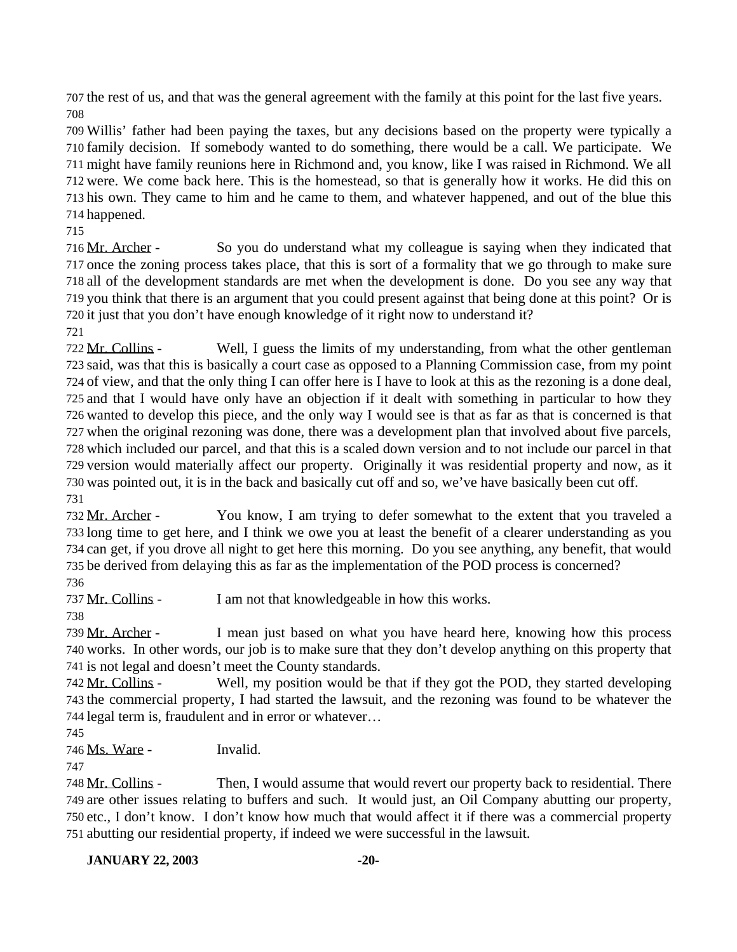the rest of us, and that was the general agreement with the family at this point for the last five years. 

 Willis' father had been paying the taxes, but any decisions based on the property were typically a family decision. If somebody wanted to do something, there would be a call. We participate. We might have family reunions here in Richmond and, you know, like I was raised in Richmond. We all were. We come back here. This is the homestead, so that is generally how it works. He did this on his own. They came to him and he came to them, and whatever happened, and out of the blue this happened.

 Mr. Archer - So you do understand what my colleague is saying when they indicated that once the zoning process takes place, that this is sort of a formality that we go through to make sure all of the development standards are met when the development is done. Do you see any way that you think that there is an argument that you could present against that being done at this point? Or is it just that you don't have enough knowledge of it right now to understand it?

 Mr. Collins - Well, I guess the limits of my understanding, from what the other gentleman said, was that this is basically a court case as opposed to a Planning Commission case, from my point of view, and that the only thing I can offer here is I have to look at this as the rezoning is a done deal, and that I would have only have an objection if it dealt with something in particular to how they wanted to develop this piece, and the only way I would see is that as far as that is concerned is that when the original rezoning was done, there was a development plan that involved about five parcels, which included our parcel, and that this is a scaled down version and to not include our parcel in that version would materially affect our property. Originally it was residential property and now, as it was pointed out, it is in the back and basically cut off and so, we've have basically been cut off. 

 Mr. Archer - You know, I am trying to defer somewhat to the extent that you traveled a long time to get here, and I think we owe you at least the benefit of a clearer understanding as you can get, if you drove all night to get here this morning. Do you see anything, any benefit, that would be derived from delaying this as far as the implementation of the POD process is concerned? 

737 Mr. Collins - I am not that knowledgeable in how this works.

739 Mr. Archer - I mean just based on what you have heard here, knowing how this process works. In other words, our job is to make sure that they don't develop anything on this property that is not legal and doesn't meet the County standards.

 Mr. Collins - Well, my position would be that if they got the POD, they started developing the commercial property, I had started the lawsuit, and the rezoning was found to be whatever the legal term is, fraudulent and in error or whatever…

Ms. Ware - Invalid.

 Mr. Collins - Then, I would assume that would revert our property back to residential. There are other issues relating to buffers and such. It would just, an Oil Company abutting our property, etc., I don't know. I don't know how much that would affect it if there was a commercial property abutting our residential property, if indeed we were successful in the lawsuit.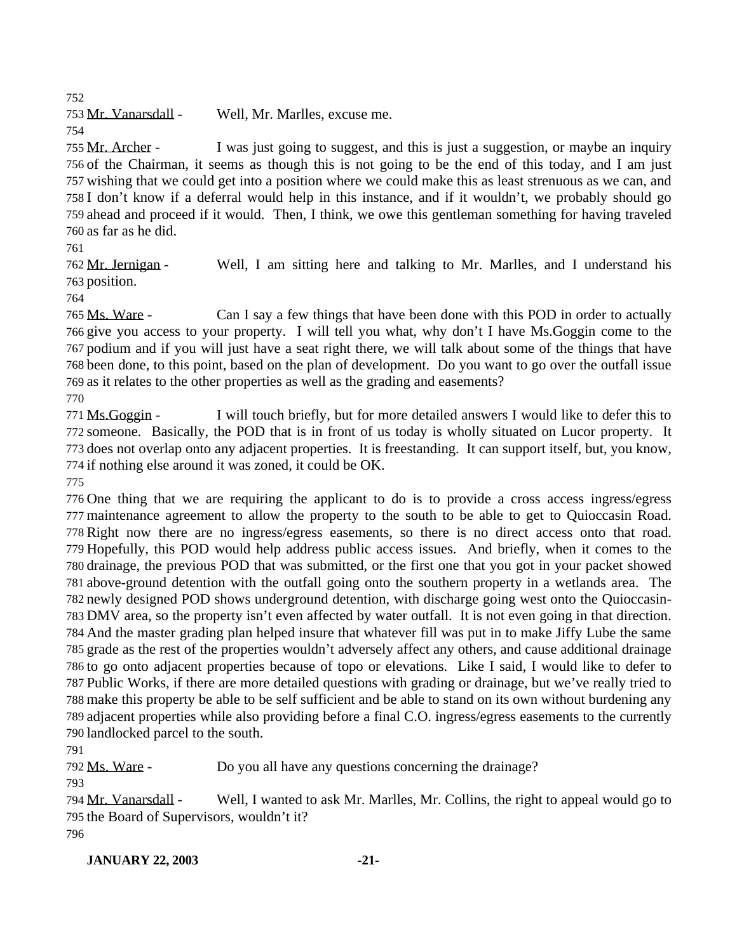Mr. Vanarsdall - Well, Mr. Marlles, excuse me.

 Mr. Archer - I was just going to suggest, and this is just a suggestion, or maybe an inquiry of the Chairman, it seems as though this is not going to be the end of this today, and I am just wishing that we could get into a position where we could make this as least strenuous as we can, and I don't know if a deferral would help in this instance, and if it wouldn't, we probably should go ahead and proceed if it would. Then, I think, we owe this gentleman something for having traveled as far as he did.

 Mr. Jernigan - Well, I am sitting here and talking to Mr. Marlles, and I understand his position.

765 Ms. Ware - Can I say a few things that have been done with this POD in order to actually give you access to your property. I will tell you what, why don't I have Ms.Goggin come to the podium and if you will just have a seat right there, we will talk about some of the things that have been done, to this point, based on the plan of development. Do you want to go over the outfall issue as it relates to the other properties as well as the grading and easements?

 Ms.Goggin - I will touch briefly, but for more detailed answers I would like to defer this to someone. Basically, the POD that is in front of us today is wholly situated on Lucor property. It does not overlap onto any adjacent properties. It is freestanding. It can support itself, but, you know, if nothing else around it was zoned, it could be OK.

 One thing that we are requiring the applicant to do is to provide a cross access ingress/egress maintenance agreement to allow the property to the south to be able to get to Quioccasin Road. Right now there are no ingress/egress easements, so there is no direct access onto that road. Hopefully, this POD would help address public access issues. And briefly, when it comes to the drainage, the previous POD that was submitted, or the first one that you got in your packet showed above-ground detention with the outfall going onto the southern property in a wetlands area. The newly designed POD shows underground detention, with discharge going west onto the Quioccasin- DMV area, so the property isn't even affected by water outfall. It is not even going in that direction. And the master grading plan helped insure that whatever fill was put in to make Jiffy Lube the same grade as the rest of the properties wouldn't adversely affect any others, and cause additional drainage to go onto adjacent properties because of topo or elevations. Like I said, I would like to defer to Public Works, if there are more detailed questions with grading or drainage, but we've really tried to make this property be able to be self sufficient and be able to stand on its own without burdening any adjacent properties while also providing before a final C.O. ingress/egress easements to the currently landlocked parcel to the south.

Ms. Ware - Do you all have any questions concerning the drainage?

 Mr. Vanarsdall - Well, I wanted to ask Mr. Marlles, Mr. Collins, the right to appeal would go to the Board of Supervisors, wouldn't it?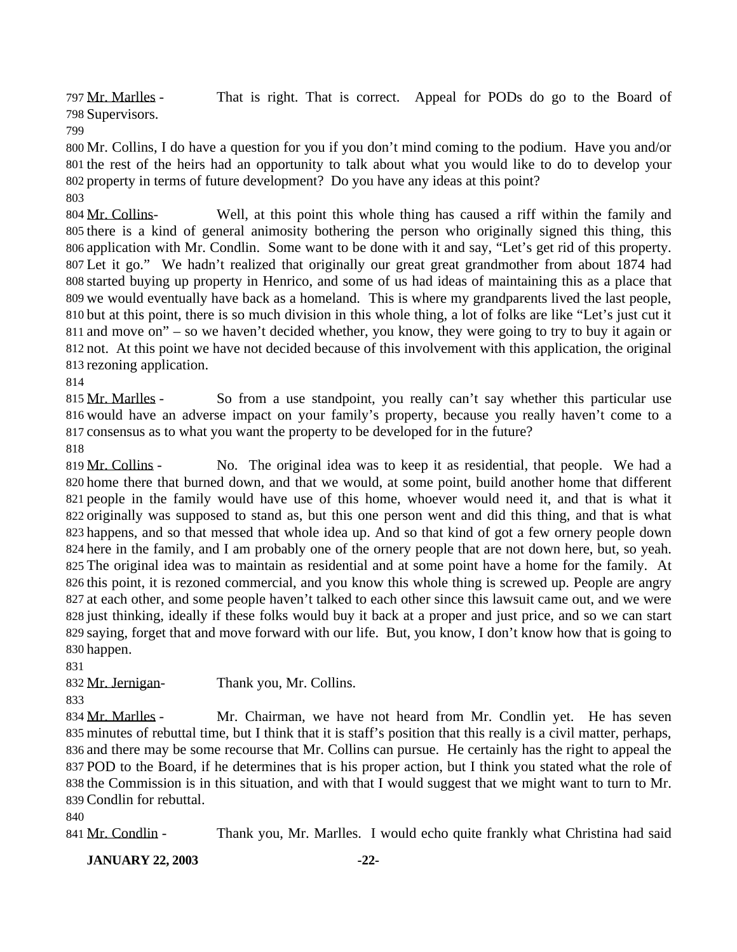797 Mr. Marlles - That is right. That is correct. Appeal for PODs do go to the Board of Supervisors.

 Mr. Collins, I do have a question for you if you don't mind coming to the podium. Have you and/or the rest of the heirs had an opportunity to talk about what you would like to do to develop your property in terms of future development? Do you have any ideas at this point?

 Mr. Collins- Well, at this point this whole thing has caused a riff within the family and there is a kind of general animosity bothering the person who originally signed this thing, this application with Mr. Condlin. Some want to be done with it and say, "Let's get rid of this property. Let it go." We hadn't realized that originally our great great grandmother from about 1874 had started buying up property in Henrico, and some of us had ideas of maintaining this as a place that we would eventually have back as a homeland. This is where my grandparents lived the last people, but at this point, there is so much division in this whole thing, a lot of folks are like "Let's just cut it and move on" – so we haven't decided whether, you know, they were going to try to buy it again or not. At this point we have not decided because of this involvement with this application, the original rezoning application.

815 Mr. Marlles - So from a use standpoint, you really can't say whether this particular use would have an adverse impact on your family's property, because you really haven't come to a consensus as to what you want the property to be developed for in the future?

819 Mr. Collins - No. The original idea was to keep it as residential, that people. We had a home there that burned down, and that we would, at some point, build another home that different people in the family would have use of this home, whoever would need it, and that is what it originally was supposed to stand as, but this one person went and did this thing, and that is what happens, and so that messed that whole idea up. And so that kind of got a few ornery people down here in the family, and I am probably one of the ornery people that are not down here, but, so yeah. The original idea was to maintain as residential and at some point have a home for the family. At this point, it is rezoned commercial, and you know this whole thing is screwed up. People are angry at each other, and some people haven't talked to each other since this lawsuit came out, and we were just thinking, ideally if these folks would buy it back at a proper and just price, and so we can start saying, forget that and move forward with our life. But, you know, I don't know how that is going to happen.

Mr. Jernigan- Thank you, Mr. Collins.

 Mr. Marlles - Mr. Chairman, we have not heard from Mr. Condlin yet. He has seven minutes of rebuttal time, but I think that it is staff's position that this really is a civil matter, perhaps, and there may be some recourse that Mr. Collins can pursue. He certainly has the right to appeal the POD to the Board, if he determines that is his proper action, but I think you stated what the role of the Commission is in this situation, and with that I would suggest that we might want to turn to Mr. Condlin for rebuttal.

841 Mr. Condlin - Thank you, Mr. Marlles. I would echo quite frankly what Christina had said

**JANUARY 22, 2003 -22-**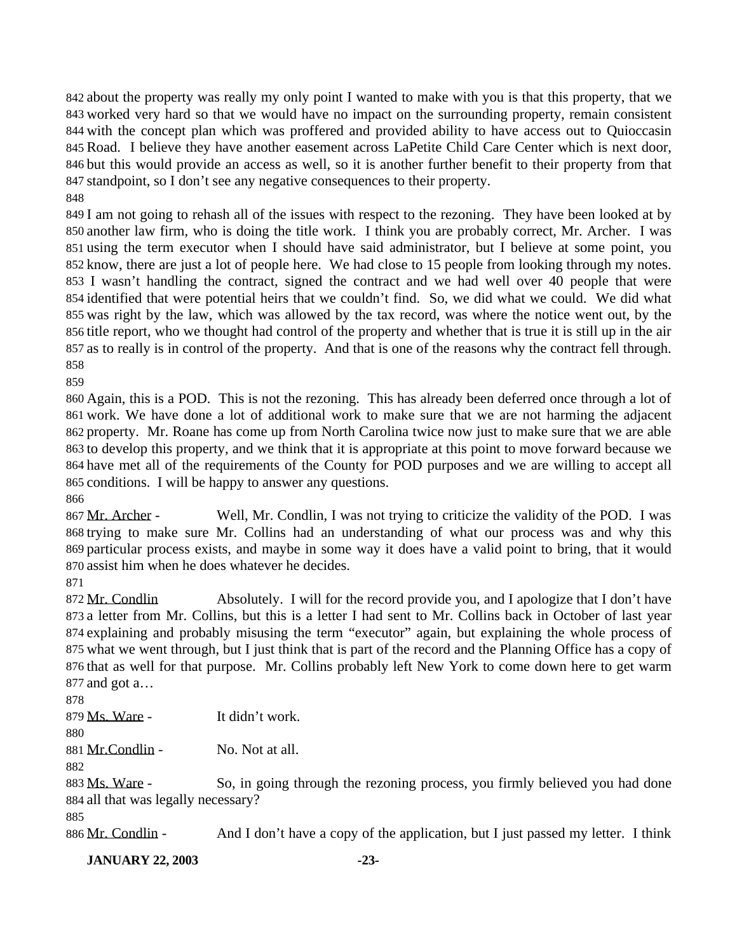about the property was really my only point I wanted to make with you is that this property, that we worked very hard so that we would have no impact on the surrounding property, remain consistent with the concept plan which was proffered and provided ability to have access out to Quioccasin Road. I believe they have another easement across LaPetite Child Care Center which is next door, but this would provide an access as well, so it is another further benefit to their property from that standpoint, so I don't see any negative consequences to their property. 

 I am not going to rehash all of the issues with respect to the rezoning. They have been looked at by another law firm, who is doing the title work. I think you are probably correct, Mr. Archer. I was using the term executor when I should have said administrator, but I believe at some point, you know, there are just a lot of people here. We had close to 15 people from looking through my notes. I wasn't handling the contract, signed the contract and we had well over 40 people that were identified that were potential heirs that we couldn't find. So, we did what we could. We did what was right by the law, which was allowed by the tax record, was where the notice went out, by the title report, who we thought had control of the property and whether that is true it is still up in the air as to really is in control of the property. And that is one of the reasons why the contract fell through. 

 Again, this is a POD. This is not the rezoning. This has already been deferred once through a lot of work. We have done a lot of additional work to make sure that we are not harming the adjacent property. Mr. Roane has come up from North Carolina twice now just to make sure that we are able to develop this property, and we think that it is appropriate at this point to move forward because we have met all of the requirements of the County for POD purposes and we are willing to accept all conditions. I will be happy to answer any questions.

867 Mr. Archer - Well, Mr. Condlin, I was not trying to criticize the validity of the POD. I was trying to make sure Mr. Collins had an understanding of what our process was and why this particular process exists, and maybe in some way it does have a valid point to bring, that it would assist him when he does whatever he decides.

872 Mr. Condlin Absolutely. I will for the record provide you, and I apologize that I don't have a letter from Mr. Collins, but this is a letter I had sent to Mr. Collins back in October of last year explaining and probably misusing the term "executor" again, but explaining the whole process of what we went through, but I just think that is part of the record and the Planning Office has a copy of that as well for that purpose. Mr. Collins probably left New York to come down here to get warm and got a…

Ms. Ware - It didn't work.

881 Mr. Condlin - No. Not at all.

883 Ms. Ware - So, in going through the rezoning process, you firmly believed you had done all that was legally necessary?

886 Mr. Condlin - And I don't have a copy of the application, but I just passed my letter. I think

**JANUARY 22, 2003 -23-**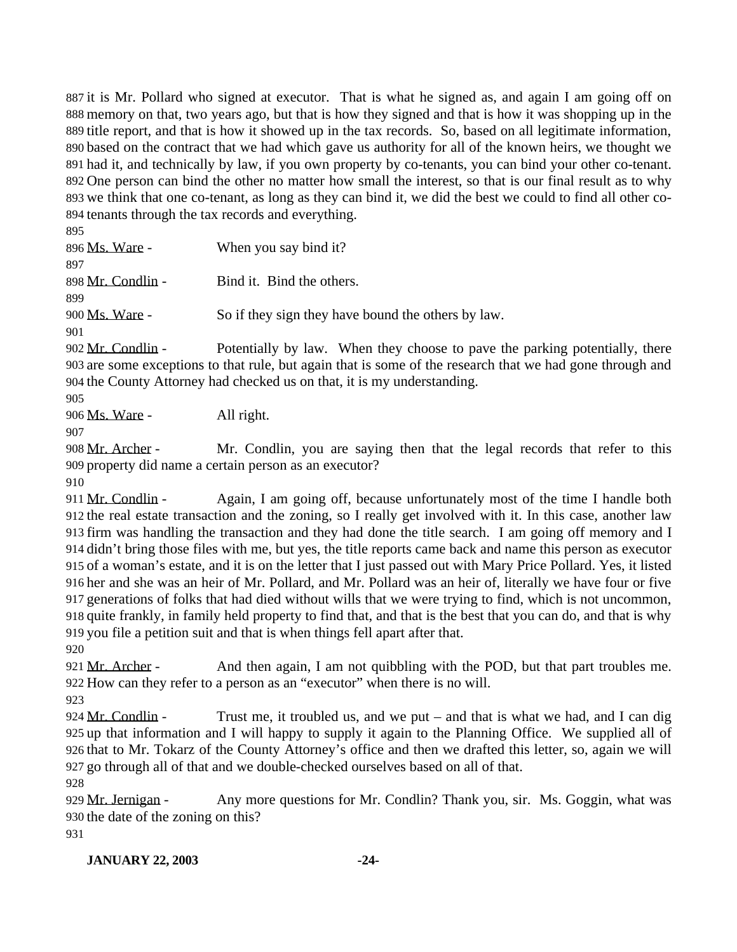it is Mr. Pollard who signed at executor. That is what he signed as, and again I am going off on memory on that, two years ago, but that is how they signed and that is how it was shopping up in the title report, and that is how it showed up in the tax records. So, based on all legitimate information, based on the contract that we had which gave us authority for all of the known heirs, we thought we had it, and technically by law, if you own property by co-tenants, you can bind your other co-tenant. One person can bind the other no matter how small the interest, so that is our final result as to why we think that one co-tenant, as long as they can bind it, we did the best we could to find all other co- tenants through the tax records and everything.  $\overline{8}$ 

| ני א                  |                                                    |
|-----------------------|----------------------------------------------------|
| 896 <u>Ms. Ware</u> - | When you say bind it?                              |
| 897                   |                                                    |
| 898 Mr. Condlin -     | Bind it. Bind the others.                          |
| 899                   |                                                    |
| 900 Ms. Ware -        | So if they sign they have bound the others by law. |
| 901                   |                                                    |
| 902 Mr. Condlin -     | Potentially by law When they choose to pave the    |

Potentially by law. When they choose to pave the parking potentially, there are some exceptions to that rule, but again that is some of the research that we had gone through and the County Attorney had checked us on that, it is my understanding.

Ms. Ware - All right.

908 Mr. Archer - Mr. Condlin, you are saying then that the legal records that refer to this property did name a certain person as an executor?

911 Mr. Condlin - Again, I am going off, because unfortunately most of the time I handle both the real estate transaction and the zoning, so I really get involved with it. In this case, another law firm was handling the transaction and they had done the title search. I am going off memory and I didn't bring those files with me, but yes, the title reports came back and name this person as executor of a woman's estate, and it is on the letter that I just passed out with Mary Price Pollard. Yes, it listed her and she was an heir of Mr. Pollard, and Mr. Pollard was an heir of, literally we have four or five generations of folks that had died without wills that we were trying to find, which is not uncommon, quite frankly, in family held property to find that, and that is the best that you can do, and that is why you file a petition suit and that is when things fell apart after that.

921 Mr. Archer - And then again, I am not quibbling with the POD, but that part troubles me. How can they refer to a person as an "executor" when there is no will.

924 Mr. Condlin - Trust me, it troubled us, and we put – and that is what we had, and I can dig up that information and I will happy to supply it again to the Planning Office. We supplied all of that to Mr. Tokarz of the County Attorney's office and then we drafted this letter, so, again we will go through all of that and we double-checked ourselves based on all of that.

929 Mr. Jernigan - Any more questions for Mr. Condlin? Thank you, sir. Ms. Goggin, what was the date of the zoning on this?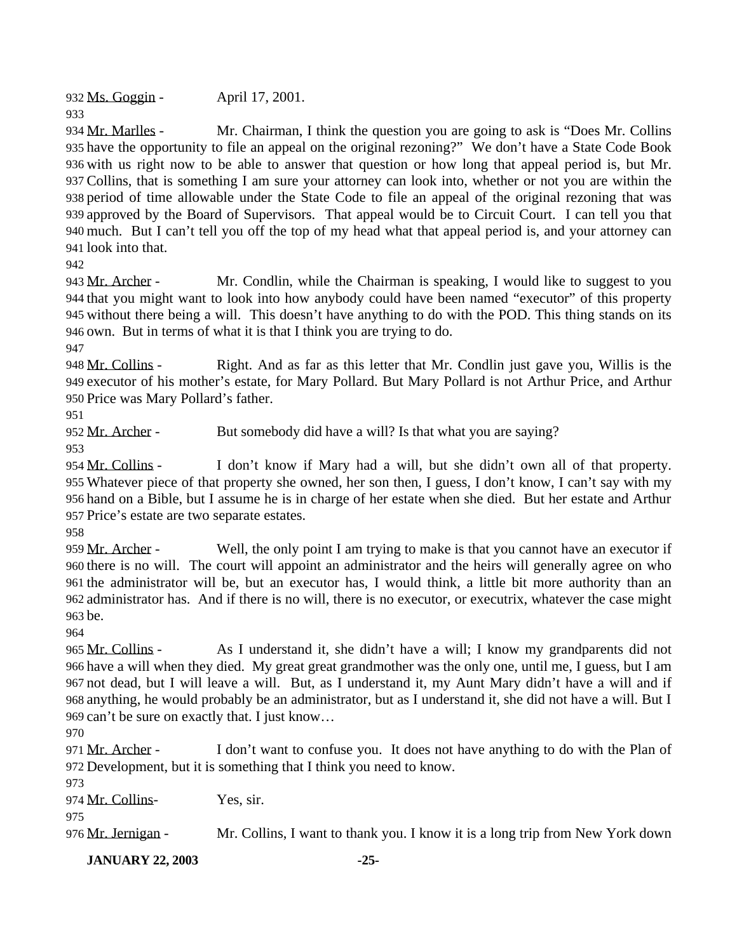932 Ms. Goggin - April 17, 2001.

934 Mr. Marlles - Mr. Chairman, I think the question you are going to ask is "Does Mr. Collins" have the opportunity to file an appeal on the original rezoning?" We don't have a State Code Book with us right now to be able to answer that question or how long that appeal period is, but Mr. Collins, that is something I am sure your attorney can look into, whether or not you are within the period of time allowable under the State Code to file an appeal of the original rezoning that was approved by the Board of Supervisors. That appeal would be to Circuit Court. I can tell you that much. But I can't tell you off the top of my head what that appeal period is, and your attorney can look into that.

943 Mr. Archer - Mr. Condlin, while the Chairman is speaking, I would like to suggest to you that you might want to look into how anybody could have been named "executor" of this property without there being a will. This doesn't have anything to do with the POD. This thing stands on its own. But in terms of what it is that I think you are trying to do.

 Mr. Collins - Right. And as far as this letter that Mr. Condlin just gave you, Willis is the executor of his mother's estate, for Mary Pollard. But Mary Pollard is not Arthur Price, and Arthur Price was Mary Pollard's father.

952 Mr. Archer - But somebody did have a will? Is that what you are saying?

 Mr. Collins - I don't know if Mary had a will, but she didn't own all of that property. Whatever piece of that property she owned, her son then, I guess, I don't know, I can't say with my hand on a Bible, but I assume he is in charge of her estate when she died. But her estate and Arthur Price's estate are two separate estates.

959 Mr. Archer - Well, the only point I am trying to make is that you cannot have an executor if there is no will. The court will appoint an administrator and the heirs will generally agree on who the administrator will be, but an executor has, I would think, a little bit more authority than an administrator has. And if there is no will, there is no executor, or executrix, whatever the case might be.

965 Mr. Collins - As I understand it, she didn't have a will; I know my grandparents did not have a will when they died. My great great grandmother was the only one, until me, I guess, but I am not dead, but I will leave a will. But, as I understand it, my Aunt Mary didn't have a will and if anything, he would probably be an administrator, but as I understand it, she did not have a will. But I can't be sure on exactly that. I just know…

971 Mr. Archer - I don't want to confuse you. It does not have anything to do with the Plan of Development, but it is something that I think you need to know.

974 Mr. Collins- Yes, sir.

976 Mr. Jernigan - Mr. Collins, I want to thank you. I know it is a long trip from New York down

**JANUARY 22, 2003 -25-**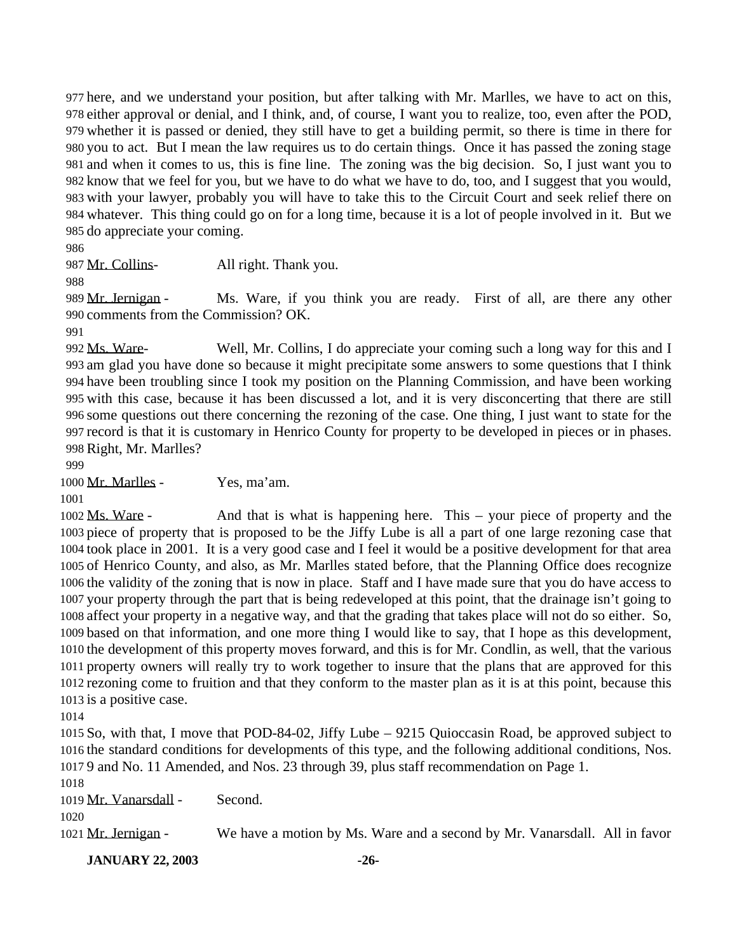here, and we understand your position, but after talking with Mr. Marlles, we have to act on this, either approval or denial, and I think, and, of course, I want you to realize, too, even after the POD, whether it is passed or denied, they still have to get a building permit, so there is time in there for you to act. But I mean the law requires us to do certain things. Once it has passed the zoning stage and when it comes to us, this is fine line. The zoning was the big decision. So, I just want you to know that we feel for you, but we have to do what we have to do, too, and I suggest that you would, with your lawyer, probably you will have to take this to the Circuit Court and seek relief there on whatever. This thing could go on for a long time, because it is a lot of people involved in it. But we do appreciate your coming.

987 Mr. Collins-<br>All right. Thank you.

989 Mr. Jernigan - Ms. Ware, if you think you are ready. First of all, are there any other comments from the Commission? OK.

992 Ms. Ware- Well, Mr. Collins, I do appreciate your coming such a long way for this and I am glad you have done so because it might precipitate some answers to some questions that I think have been troubling since I took my position on the Planning Commission, and have been working with this case, because it has been discussed a lot, and it is very disconcerting that there are still some questions out there concerning the rezoning of the case. One thing, I just want to state for the record is that it is customary in Henrico County for property to be developed in pieces or in phases. Right, Mr. Marlles?

Mr. Marlles - Yes, ma'am.

 Ms. Ware - And that is what is happening here. This – your piece of property and the piece of property that is proposed to be the Jiffy Lube is all a part of one large rezoning case that took place in 2001. It is a very good case and I feel it would be a positive development for that area of Henrico County, and also, as Mr. Marlles stated before, that the Planning Office does recognize the validity of the zoning that is now in place. Staff and I have made sure that you do have access to your property through the part that is being redeveloped at this point, that the drainage isn't going to affect your property in a negative way, and that the grading that takes place will not do so either. So, based on that information, and one more thing I would like to say, that I hope as this development, the development of this property moves forward, and this is for Mr. Condlin, as well, that the various property owners will really try to work together to insure that the plans that are approved for this rezoning come to fruition and that they conform to the master plan as it is at this point, because this is a positive case.

 So, with that, I move that POD-84-02, Jiffy Lube – 9215 Quioccasin Road, be approved subject to the standard conditions for developments of this type, and the following additional conditions, Nos. 9 and No. 11 Amended, and Nos. 23 through 39, plus staff recommendation on Page 1.

Mr. Vanarsdall - Second.

Mr. Jernigan - We have a motion by Ms. Ware and a second by Mr. Vanarsdall. All in favor

**JANUARY 22, 2003 -26-**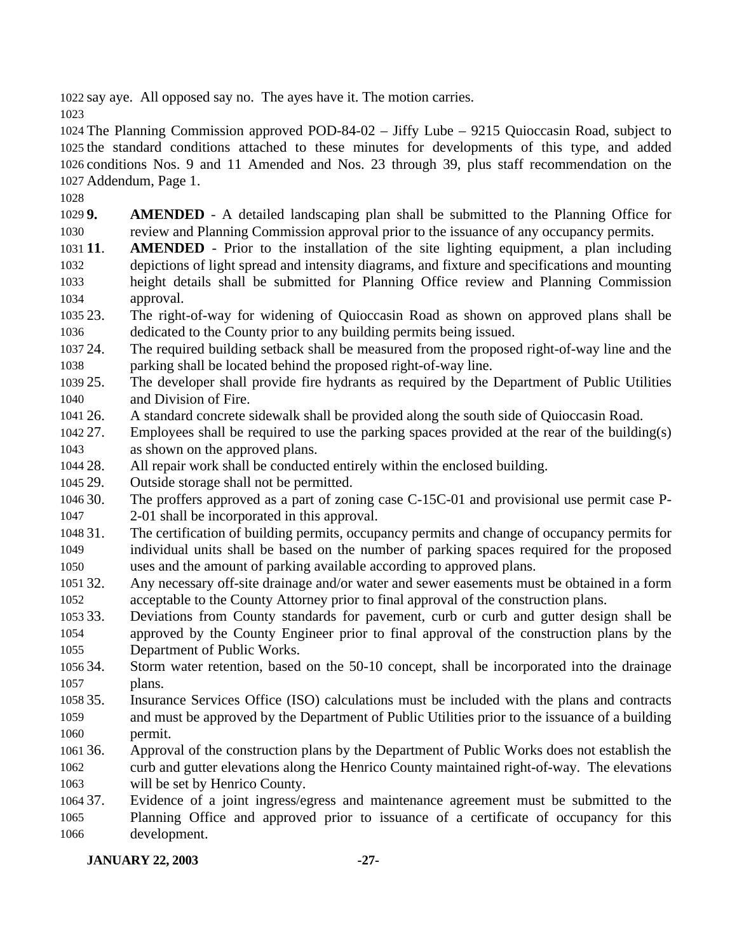say aye. All opposed say no. The ayes have it. The motion carries.

 The Planning Commission approved POD-84-02 – Jiffy Lube – 9215 Quioccasin Road, subject to the standard conditions attached to these minutes for developments of this type, and added conditions Nos. 9 and 11 Amended and Nos. 23 through 39, plus staff recommendation on the Addendum, Page 1.

 **9. AMENDED** - A detailed landscaping plan shall be submitted to the Planning Office for review and Planning Commission approval prior to the issuance of any occupancy permits.

- **11**. **AMENDED** Prior to the installation of the site lighting equipment, a plan including depictions of light spread and intensity diagrams, and fixture and specifications and mounting height details shall be submitted for Planning Office review and Planning Commission approval.
- 23. The right-of-way for widening of Quioccasin Road as shown on approved plans shall be dedicated to the County prior to any building permits being issued.
- 24. The required building setback shall be measured from the proposed right-of-way line and the parking shall be located behind the proposed right-of-way line.
- 25. The developer shall provide fire hydrants as required by the Department of Public Utilities and Division of Fire.
- 26. A standard concrete sidewalk shall be provided along the south side of Quioccasin Road.
- 27. Employees shall be required to use the parking spaces provided at the rear of the building(s) as shown on the approved plans.
- 28. All repair work shall be conducted entirely within the enclosed building.
- 29. Outside storage shall not be permitted.
- 30. The proffers approved as a part of zoning case C-15C-01 and provisional use permit case P-
- 2-01 shall be incorporated in this approval.
- 31. The certification of building permits, occupancy permits and change of occupancy permits for individual units shall be based on the number of parking spaces required for the proposed uses and the amount of parking available according to approved plans.
- 32. Any necessary off-site drainage and/or water and sewer easements must be obtained in a form acceptable to the County Attorney prior to final approval of the construction plans.
- 33. Deviations from County standards for pavement, curb or curb and gutter design shall be approved by the County Engineer prior to final approval of the construction plans by the Department of Public Works.
- 34. Storm water retention, based on the 50-10 concept, shall be incorporated into the drainage plans.
- 35. Insurance Services Office (ISO) calculations must be included with the plans and contracts and must be approved by the Department of Public Utilities prior to the issuance of a building permit.
- 36. Approval of the construction plans by the Department of Public Works does not establish the curb and gutter elevations along the Henrico County maintained right-of-way. The elevations will be set by Henrico County.
- 37. Evidence of a joint ingress/egress and maintenance agreement must be submitted to the Planning Office and approved prior to issuance of a certificate of occupancy for this development.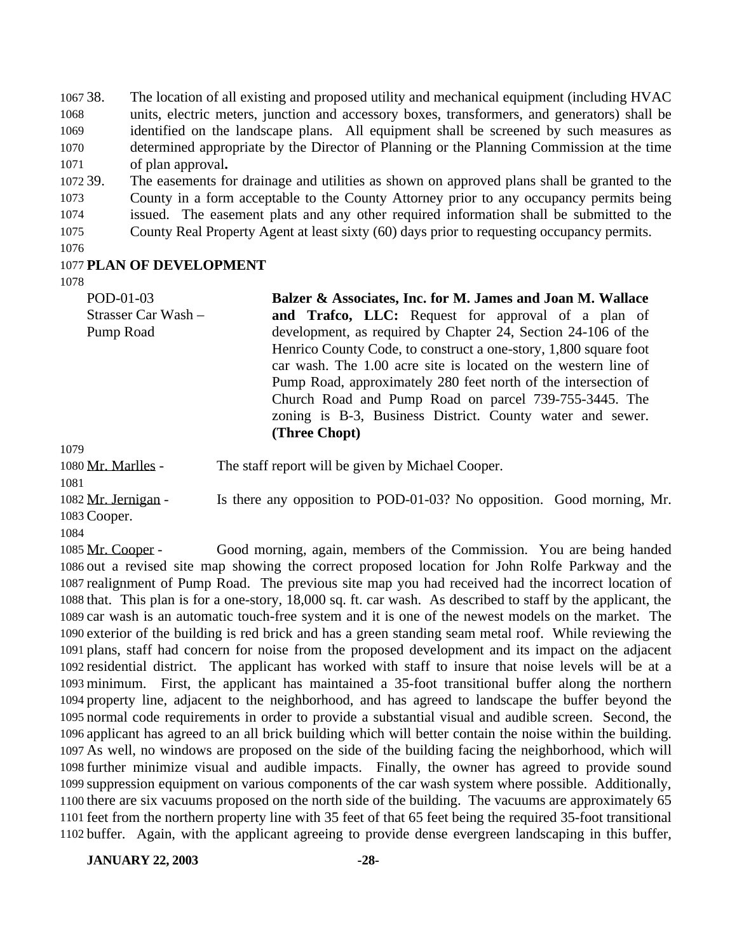38. The location of all existing and proposed utility and mechanical equipment (including HVAC units, electric meters, junction and accessory boxes, transformers, and generators) shall be identified on the landscape plans. All equipment shall be screened by such measures as determined appropriate by the Director of Planning or the Planning Commission at the time of plan approval**.**

 39. The easements for drainage and utilities as shown on approved plans shall be granted to the County in a form acceptable to the County Attorney prior to any occupancy permits being issued. The easement plats and any other required information shall be submitted to the County Real Property Agent at least sixty (60) days prior to requesting occupancy permits.

#### **PLAN OF DEVELOPMENT**

POD-01-03 Strasser Car Wash – Pump Road **Balzer & Associates, Inc. for M. James and Joan M. Wallace and Trafco, LLC:** Request for approval of a plan of development, as required by Chapter 24, Section 24-106 of the Henrico County Code, to construct a one-story, 1,800 square foot car wash. The 1.00 acre site is located on the western line of Pump Road, approximately 280 feet north of the intersection of Church Road and Pump Road on parcel 739-755-3445. The zoning is B-3, Business District. County water and sewer. **(Three Chopt)**

Mr. Marlles - The staff report will be given by Michael Cooper.

1082 Mr. Jernigan - Is there any opposition to POD-01-03? No opposition. Good morning, Mr.

Cooper.

 Mr. Cooper - Good morning, again, members of the Commission. You are being handed out a revised site map showing the correct proposed location for John Rolfe Parkway and the realignment of Pump Road. The previous site map you had received had the incorrect location of that. This plan is for a one-story, 18,000 sq. ft. car wash. As described to staff by the applicant, the car wash is an automatic touch-free system and it is one of the newest models on the market. The exterior of the building is red brick and has a green standing seam metal roof. While reviewing the plans, staff had concern for noise from the proposed development and its impact on the adjacent residential district. The applicant has worked with staff to insure that noise levels will be at a minimum. First, the applicant has maintained a 35-foot transitional buffer along the northern property line, adjacent to the neighborhood, and has agreed to landscape the buffer beyond the normal code requirements in order to provide a substantial visual and audible screen. Second, the applicant has agreed to an all brick building which will better contain the noise within the building. As well, no windows are proposed on the side of the building facing the neighborhood, which will further minimize visual and audible impacts. Finally, the owner has agreed to provide sound suppression equipment on various components of the car wash system where possible. Additionally, there are six vacuums proposed on the north side of the building. The vacuums are approximately 65 feet from the northern property line with 35 feet of that 65 feet being the required 35-foot transitional buffer. Again, with the applicant agreeing to provide dense evergreen landscaping in this buffer,

**JANUARY 22, 2003 -28-**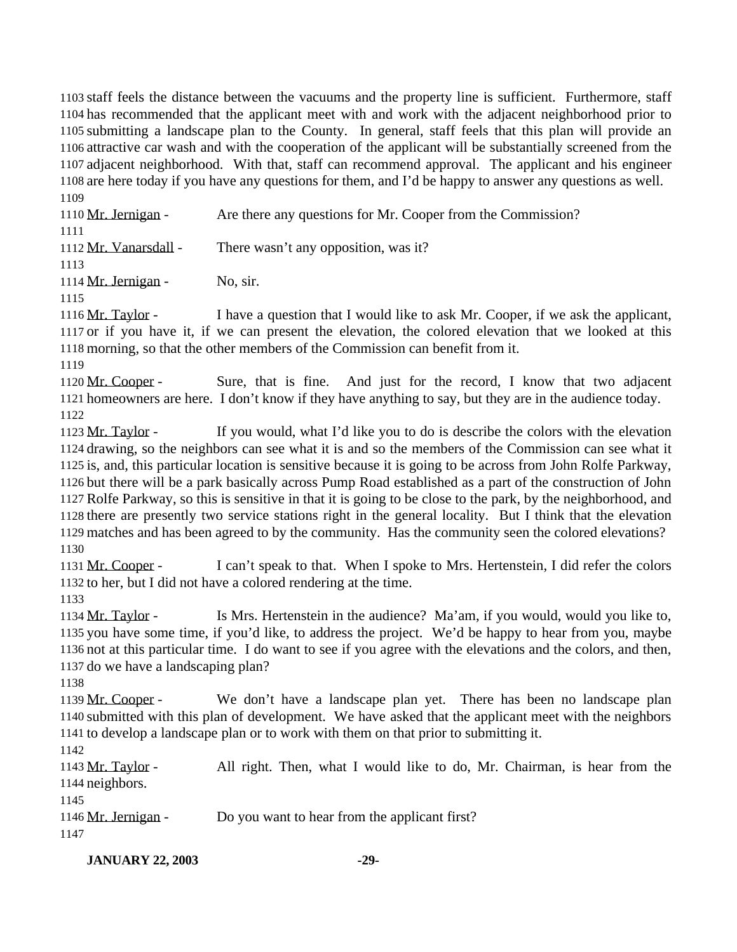staff feels the distance between the vacuums and the property line is sufficient. Furthermore, staff has recommended that the applicant meet with and work with the adjacent neighborhood prior to submitting a landscape plan to the County. In general, staff feels that this plan will provide an attractive car wash and with the cooperation of the applicant will be substantially screened from the adjacent neighborhood. With that, staff can recommend approval. The applicant and his engineer are here today if you have any questions for them, and I'd be happy to answer any questions as well. 

 Mr. Jernigan - Are there any questions for Mr. Cooper from the Commission? Mr. Vanarsdall - There wasn't any opposition, was it? 1114 Mr. Jernigan - No, sir. Mr. Taylor - I have a question that I would like to ask Mr. Cooper, if we ask the applicant, or if you have it, if we can present the elevation, the colored elevation that we looked at this morning, so that the other members of the Commission can benefit from it. 

1120 Mr. Cooper - Sure, that is fine. And just for the record, I know that two adjacent homeowners are here. I don't know if they have anything to say, but they are in the audience today. 

 Mr. Taylor - If you would, what I'd like you to do is describe the colors with the elevation drawing, so the neighbors can see what it is and so the members of the Commission can see what it is, and, this particular location is sensitive because it is going to be across from John Rolfe Parkway, but there will be a park basically across Pump Road established as a part of the construction of John Rolfe Parkway, so this is sensitive in that it is going to be close to the park, by the neighborhood, and there are presently two service stations right in the general locality. But I think that the elevation matches and has been agreed to by the community. Has the community seen the colored elevations? 

 Mr. Cooper - I can't speak to that. When I spoke to Mrs. Hertenstein, I did refer the colors to her, but I did not have a colored rendering at the time. 

 Mr. Taylor - Is Mrs. Hertenstein in the audience? Ma'am, if you would, would you like to, you have some time, if you'd like, to address the project. We'd be happy to hear from you, maybe not at this particular time. I do want to see if you agree with the elevations and the colors, and then, do we have a landscaping plan?

 Mr. Cooper - We don't have a landscape plan yet. There has been no landscape plan submitted with this plan of development. We have asked that the applicant meet with the neighbors to develop a landscape plan or to work with them on that prior to submitting it.

 Mr. Taylor - All right. Then, what I would like to do, Mr. Chairman, is hear from the neighbors.

1146 Mr. Jernigan - Do you want to hear from the applicant first?

**JANUARY 22, 2003 -29-**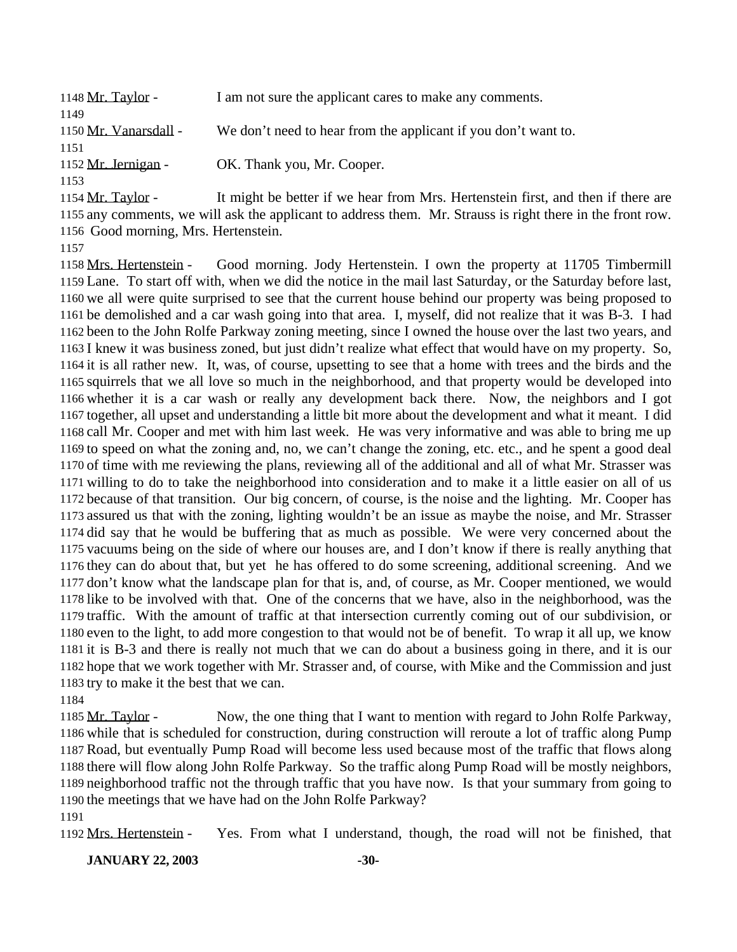| 1148 Mr. Taylor -                                   | I am not sure the applicant cares to make any comments.            |
|-----------------------------------------------------|--------------------------------------------------------------------|
| 1149                                                |                                                                    |
| 1150 Mr. Vanarsdall -                               | We don't need to hear from the applicant if you don't want to.     |
| 1151                                                |                                                                    |
| 1152 Mr. Jernigan -                                 | OK. Thank you, Mr. Cooper.                                         |
| 1153                                                |                                                                    |
| $1154$ $M_{\odot}$ T <sub>ort</sub> l <sub>on</sub> | It might be better if we hear from Mrs. Hortonatein first, and the |

1154 Mr. Taylor - It might be better if we hear from Mrs. Hertenstein first, and then if there are any comments, we will ask the applicant to address them. Mr. Strauss is right there in the front row. Good morning, Mrs. Hertenstein.

 Mrs. Hertenstein - Good morning. Jody Hertenstein. I own the property at 11705 Timbermill Lane. To start off with, when we did the notice in the mail last Saturday, or the Saturday before last, we all were quite surprised to see that the current house behind our property was being proposed to be demolished and a car wash going into that area. I, myself, did not realize that it was B-3. I had been to the John Rolfe Parkway zoning meeting, since I owned the house over the last two years, and I knew it was business zoned, but just didn't realize what effect that would have on my property. So, it is all rather new. It, was, of course, upsetting to see that a home with trees and the birds and the squirrels that we all love so much in the neighborhood, and that property would be developed into whether it is a car wash or really any development back there. Now, the neighbors and I got together, all upset and understanding a little bit more about the development and what it meant. I did call Mr. Cooper and met with him last week. He was very informative and was able to bring me up to speed on what the zoning and, no, we can't change the zoning, etc. etc., and he spent a good deal of time with me reviewing the plans, reviewing all of the additional and all of what Mr. Strasser was willing to do to take the neighborhood into consideration and to make it a little easier on all of us because of that transition. Our big concern, of course, is the noise and the lighting. Mr. Cooper has assured us that with the zoning, lighting wouldn't be an issue as maybe the noise, and Mr. Strasser did say that he would be buffering that as much as possible. We were very concerned about the vacuums being on the side of where our houses are, and I don't know if there is really anything that they can do about that, but yet he has offered to do some screening, additional screening. And we don't know what the landscape plan for that is, and, of course, as Mr. Cooper mentioned, we would like to be involved with that. One of the concerns that we have, also in the neighborhood, was the traffic. With the amount of traffic at that intersection currently coming out of our subdivision, or even to the light, to add more congestion to that would not be of benefit. To wrap it all up, we know it is B-3 and there is really not much that we can do about a business going in there, and it is our hope that we work together with Mr. Strasser and, of course, with Mike and the Commission and just try to make it the best that we can.

 Mr. Taylor - Now, the one thing that I want to mention with regard to John Rolfe Parkway, while that is scheduled for construction, during construction will reroute a lot of traffic along Pump Road, but eventually Pump Road will become less used because most of the traffic that flows along there will flow along John Rolfe Parkway. So the traffic along Pump Road will be mostly neighbors, neighborhood traffic not the through traffic that you have now. Is that your summary from going to the meetings that we have had on the John Rolfe Parkway?

Mrs. Hertenstein - Yes. From what I understand, though, the road will not be finished, that

**JANUARY 22, 2003 -30-**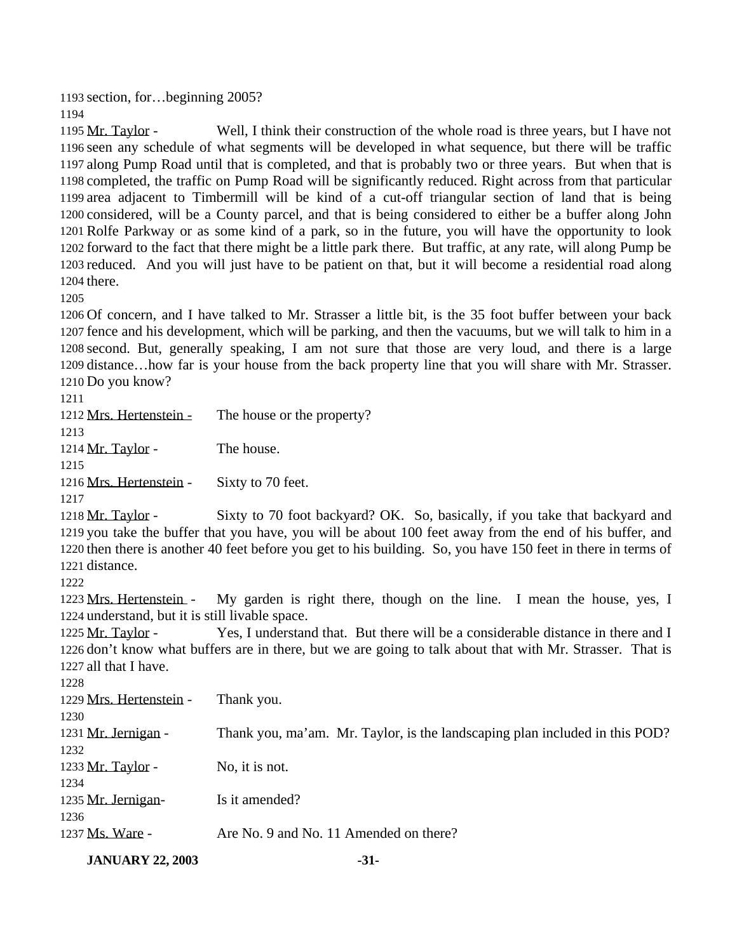section, for…beginning 2005?

 Mr. Taylor - Well, I think their construction of the whole road is three years, but I have not seen any schedule of what segments will be developed in what sequence, but there will be traffic along Pump Road until that is completed, and that is probably two or three years. But when that is completed, the traffic on Pump Road will be significantly reduced. Right across from that particular area adjacent to Timbermill will be kind of a cut-off triangular section of land that is being considered, will be a County parcel, and that is being considered to either be a buffer along John Rolfe Parkway or as some kind of a park, so in the future, you will have the opportunity to look forward to the fact that there might be a little park there. But traffic, at any rate, will along Pump be reduced. And you will just have to be patient on that, but it will become a residential road along there.

 Of concern, and I have talked to Mr. Strasser a little bit, is the 35 foot buffer between your back fence and his development, which will be parking, and then the vacuums, but we will talk to him in a second. But, generally speaking, I am not sure that those are very loud, and there is a large distance…how far is your house from the back property line that you will share with Mr. Strasser. Do you know?

1212 Mrs. Hertenstein - The house or the property? 1214 Mr. Taylor - The house. 1216 Mrs. Hertenstein - Sixty to 70 feet. Mr. Taylor - Sixty to 70 foot backyard? OK. So, basically, if you take that backyard and you take the buffer that you have, you will be about 100 feet away from the end of his buffer, and then there is another 40 feet before you get to his building. So, you have 150 feet in there in terms of distance. Mrs. Hertenstein - My garden is right there, though on the line. I mean the house, yes, I understand, but it is still livable space. Mr. Taylor - Yes, I understand that. But there will be a considerable distance in there and I don't know what buffers are in there, but we are going to talk about that with Mr. Strasser. That is all that I have. Mrs. Hertenstein - Thank you. Mr. Jernigan - Thank you, ma'am. Mr. Taylor, is the landscaping plan included in this POD? 1233  $Mr. Taylor -$  No, it is not. 1235 Mr. Jernigan- Is it amended? 1237 Ms. Ware - Are No. 9 and No. 11 Amended on there?

**JANUARY 22, 2003 -31-**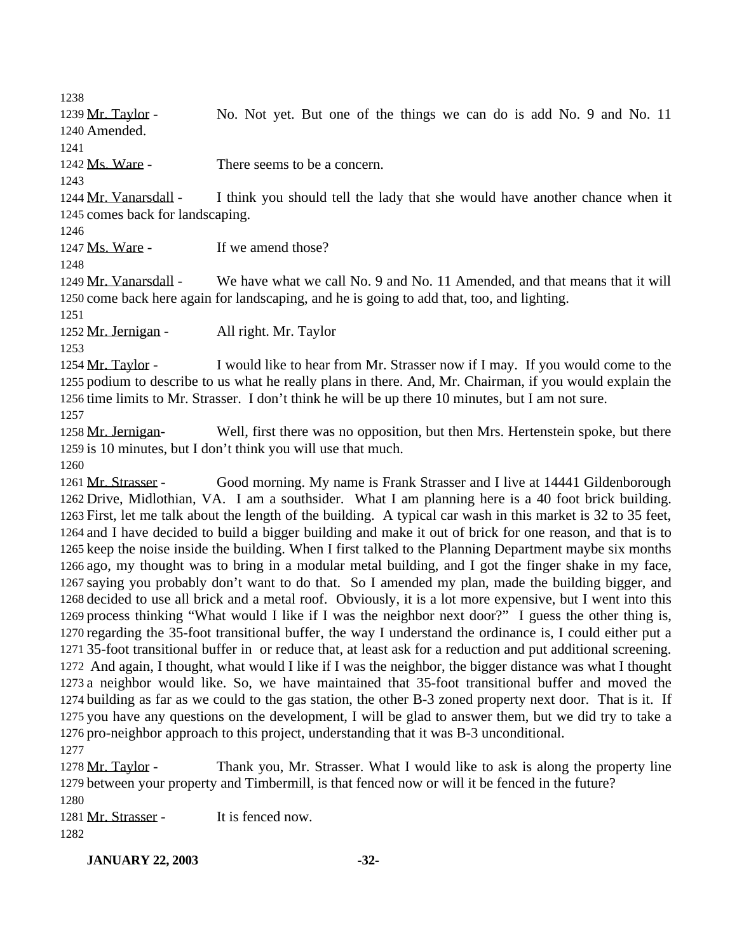1239 Mr. Taylor - No. Not yet. But one of the things we can do is add No. 9 and No. 11 Amended.

Ms. Ware - There seems to be a concern.

 Mr. Vanarsdall - I think you should tell the lady that she would have another chance when it comes back for landscaping.

1247 Ms. Ware - If we amend those?

 Mr. Vanarsdall - We have what we call No. 9 and No. 11 Amended, and that means that it will come back here again for landscaping, and he is going to add that, too, and lighting.

Mr. Jernigan - All right. Mr. Taylor

1254 Mr. Taylor - I would like to hear from Mr. Strasser now if I may. If you would come to the podium to describe to us what he really plans in there. And, Mr. Chairman, if you would explain the time limits to Mr. Strasser. I don't think he will be up there 10 minutes, but I am not sure.

 Mr. Jernigan- Well, first there was no opposition, but then Mrs. Hertenstein spoke, but there is 10 minutes, but I don't think you will use that much.

 Mr. Strasser - Good morning. My name is Frank Strasser and I live at 14441 Gildenborough Drive, Midlothian, VA. I am a southsider. What I am planning here is a 40 foot brick building. First, let me talk about the length of the building. A typical car wash in this market is 32 to 35 feet, and I have decided to build a bigger building and make it out of brick for one reason, and that is to keep the noise inside the building. When I first talked to the Planning Department maybe six months ago, my thought was to bring in a modular metal building, and I got the finger shake in my face, saying you probably don't want to do that. So I amended my plan, made the building bigger, and decided to use all brick and a metal roof. Obviously, it is a lot more expensive, but I went into this process thinking "What would I like if I was the neighbor next door?" I guess the other thing is, regarding the 35-foot transitional buffer, the way I understand the ordinance is, I could either put a 35-foot transitional buffer in or reduce that, at least ask for a reduction and put additional screening. And again, I thought, what would I like if I was the neighbor, the bigger distance was what I thought a neighbor would like. So, we have maintained that 35-foot transitional buffer and moved the building as far as we could to the gas station, the other B-3 zoned property next door. That is it. If you have any questions on the development, I will be glad to answer them, but we did try to take a pro-neighbor approach to this project, understanding that it was B-3 unconditional.

1278 Mr. Taylor - Thank you, Mr. Strasser. What I would like to ask is along the property line between your property and Timbermill, is that fenced now or will it be fenced in the future?

 1281 Mr. Strasser - It is fenced now. 

**JANUARY 22, 2003 -32-**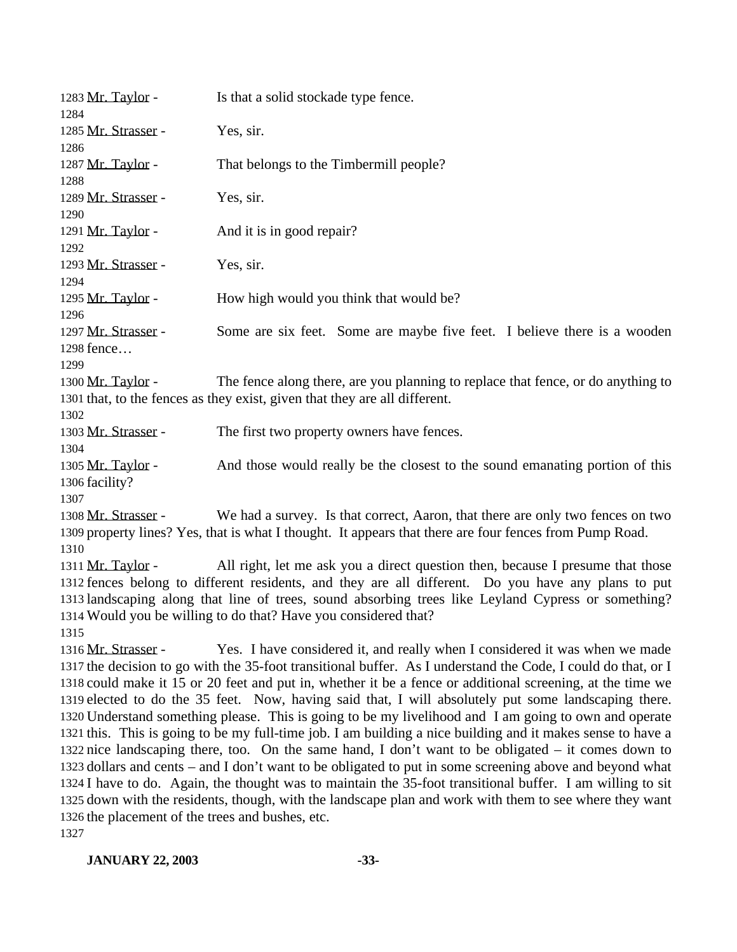| 1283 Mr. Taylor -<br>1284                                                       | Is that a solid stockade type fence.                                                                                                                                                                                                                                                                                                                                                                                                                                                                                                                                                                                                                                                                                                                                                                                                                                                                                                                                                                                                                                                   |
|---------------------------------------------------------------------------------|----------------------------------------------------------------------------------------------------------------------------------------------------------------------------------------------------------------------------------------------------------------------------------------------------------------------------------------------------------------------------------------------------------------------------------------------------------------------------------------------------------------------------------------------------------------------------------------------------------------------------------------------------------------------------------------------------------------------------------------------------------------------------------------------------------------------------------------------------------------------------------------------------------------------------------------------------------------------------------------------------------------------------------------------------------------------------------------|
| 1285 Mr. Strasser -<br>1286                                                     | Yes, sir.                                                                                                                                                                                                                                                                                                                                                                                                                                                                                                                                                                                                                                                                                                                                                                                                                                                                                                                                                                                                                                                                              |
| 1287 Mr. Taylor -<br>1288                                                       | That belongs to the Timbermill people?                                                                                                                                                                                                                                                                                                                                                                                                                                                                                                                                                                                                                                                                                                                                                                                                                                                                                                                                                                                                                                                 |
| 1289 Mr. Strasser -<br>1290                                                     | Yes, sir.                                                                                                                                                                                                                                                                                                                                                                                                                                                                                                                                                                                                                                                                                                                                                                                                                                                                                                                                                                                                                                                                              |
| 1291 Mr. Taylor -<br>1292                                                       | And it is in good repair?                                                                                                                                                                                                                                                                                                                                                                                                                                                                                                                                                                                                                                                                                                                                                                                                                                                                                                                                                                                                                                                              |
| 1293 Mr. Strasser -<br>1294                                                     | Yes, sir.                                                                                                                                                                                                                                                                                                                                                                                                                                                                                                                                                                                                                                                                                                                                                                                                                                                                                                                                                                                                                                                                              |
| 1295 Mr. Taylor -<br>1296                                                       | How high would you think that would be?                                                                                                                                                                                                                                                                                                                                                                                                                                                                                                                                                                                                                                                                                                                                                                                                                                                                                                                                                                                                                                                |
| 1297 Mr. Strasser -<br>1298 fence<br>1299                                       | Some are six feet. Some are maybe five feet. I believe there is a wooden                                                                                                                                                                                                                                                                                                                                                                                                                                                                                                                                                                                                                                                                                                                                                                                                                                                                                                                                                                                                               |
| 1300 Mr. Taylor -                                                               | The fence along there, are you planning to replace that fence, or do anything to<br>1301 that, to the fences as they exist, given that they are all different.                                                                                                                                                                                                                                                                                                                                                                                                                                                                                                                                                                                                                                                                                                                                                                                                                                                                                                                         |
| 1302<br>1303 Mr. Strasser -<br>1304                                             | The first two property owners have fences.                                                                                                                                                                                                                                                                                                                                                                                                                                                                                                                                                                                                                                                                                                                                                                                                                                                                                                                                                                                                                                             |
| 1305 Mr. Taylor -<br>1306 facility?                                             | And those would really be the closest to the sound emanating portion of this                                                                                                                                                                                                                                                                                                                                                                                                                                                                                                                                                                                                                                                                                                                                                                                                                                                                                                                                                                                                           |
| 1307<br>1308 Mr. Strasser -                                                     | We had a survey. Is that correct, Aaron, that there are only two fences on two<br>1309 property lines? Yes, that is what I thought. It appears that there are four fences from Pump Road.                                                                                                                                                                                                                                                                                                                                                                                                                                                                                                                                                                                                                                                                                                                                                                                                                                                                                              |
| 1310<br>1311 Mr. Taylor -<br>1315                                               | All right, let me ask you a direct question then, because I presume that those<br>1312 fences belong to different residents, and they are all different. Do you have any plans to put<br>1313 landscaping along that line of trees, sound absorbing trees like Leyland Cypress or something?<br>1314 Would you be willing to do that? Have you considered that?                                                                                                                                                                                                                                                                                                                                                                                                                                                                                                                                                                                                                                                                                                                        |
| 1316 Mr. Strasser -<br>1326 the placement of the trees and bushes, etc.<br>1327 | Yes. I have considered it, and really when I considered it was when we made<br>1317 the decision to go with the 35-foot transitional buffer. As I understand the Code, I could do that, or I<br>1318 could make it 15 or 20 feet and put in, whether it be a fence or additional screening, at the time we<br>1319 elected to do the 35 feet. Now, having said that, I will absolutely put some landscaping there.<br>1320 Understand something please. This is going to be my livelihood and I am going to own and operate<br>1321 this. This is going to be my full-time job. I am building a nice building and it makes sense to have a<br>1322 nice landscaping there, too. On the same hand, I don't want to be obligated – it comes down to<br>1323 dollars and cents – and I don't want to be obligated to put in some screening above and beyond what<br>1324 I have to do. Again, the thought was to maintain the 35-foot transitional buffer. I am willing to sit<br>1325 down with the residents, though, with the landscape plan and work with them to see where they want |

## **JANUARY 22, 2003 -33-**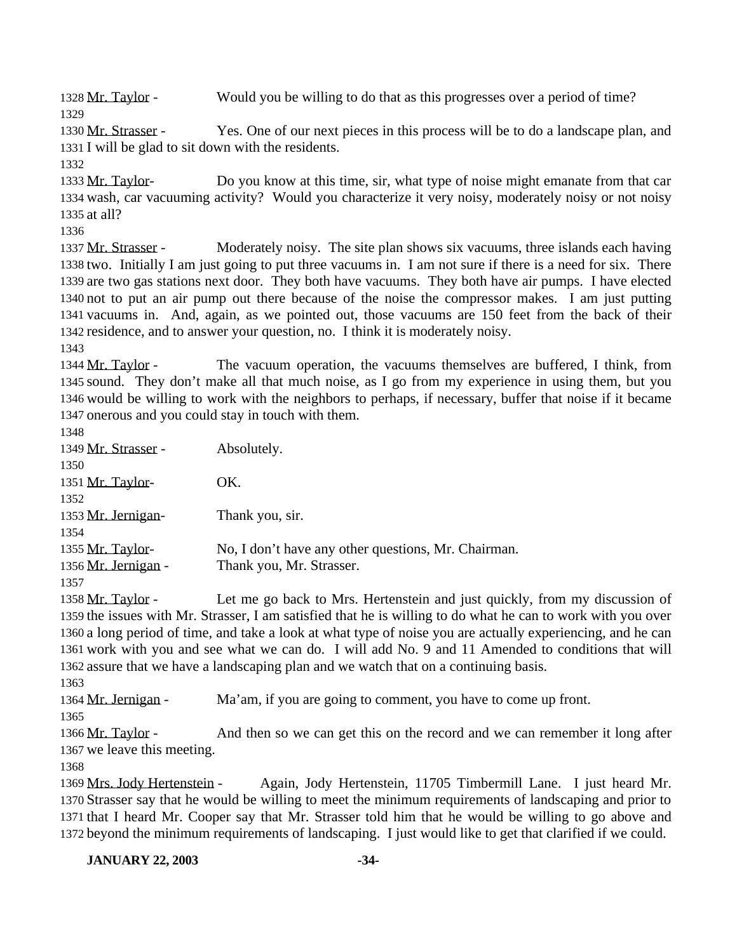Mr. Taylor - Would you be willing to do that as this progresses over a period of time? 

 Mr. Strasser - Yes. One of our next pieces in this process will be to do a landscape plan, and I will be glad to sit down with the residents.

1333 Mr. Taylor- Do you know at this time, sir, what type of noise might emanate from that car wash, car vacuuming activity? Would you characterize it very noisy, moderately noisy or not noisy at all?

 Mr. Strasser - Moderately noisy. The site plan shows six vacuums, three islands each having two. Initially I am just going to put three vacuums in. I am not sure if there is a need for six. There are two gas stations next door. They both have vacuums. They both have air pumps. I have elected not to put an air pump out there because of the noise the compressor makes. I am just putting vacuums in. And, again, as we pointed out, those vacuums are 150 feet from the back of their residence, and to answer your question, no. I think it is moderately noisy.

 Mr. Taylor - The vacuum operation, the vacuums themselves are buffered, I think, from sound. They don't make all that much noise, as I go from my experience in using them, but you would be willing to work with the neighbors to perhaps, if necessary, buffer that noise if it became onerous and you could stay in touch with them.

| I<br>v<br>× | ×<br>۰, |
|-------------|---------|

| 1349 Mr. Strasser - | Absolutely.                                         |
|---------------------|-----------------------------------------------------|
| 1350                |                                                     |
| 1351 Mr. Taylor-    | OK.                                                 |
| 1352                |                                                     |
| 1353 Mr. Jernigan-  | Thank you, sir.                                     |
| 1354                |                                                     |
| 1355 Mr. Taylor-    | No, I don't have any other questions, Mr. Chairman. |
| 1356 Mr. Jernigan - | Thank you, Mr. Strasser.                            |
| 1357                |                                                     |

 Mr. Taylor - Let me go back to Mrs. Hertenstein and just quickly, from my discussion of the issues with Mr. Strasser, I am satisfied that he is willing to do what he can to work with you over a long period of time, and take a look at what type of noise you are actually experiencing, and he can work with you and see what we can do. I will add No. 9 and 11 Amended to conditions that will assure that we have a landscaping plan and we watch that on a continuing basis.

Mr. Jernigan - Ma'am, if you are going to comment, you have to come up front.

1366 Mr. Taylor - And then so we can get this on the record and we can remember it long after we leave this meeting.

 Mrs. Jody Hertenstein - Again, Jody Hertenstein, 11705 Timbermill Lane. I just heard Mr. Strasser say that he would be willing to meet the minimum requirements of landscaping and prior to that I heard Mr. Cooper say that Mr. Strasser told him that he would be willing to go above and beyond the minimum requirements of landscaping. I just would like to get that clarified if we could.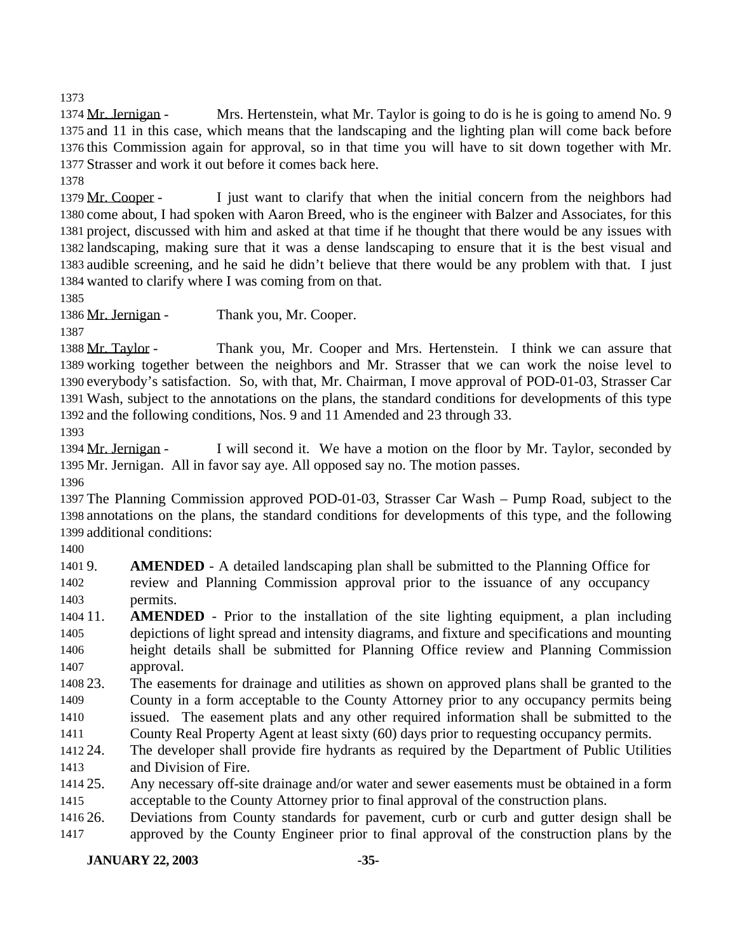Mr. Jernigan - Mrs. Hertenstein, what Mr. Taylor is going to do is he is going to amend No. 9 and 11 in this case, which means that the landscaping and the lighting plan will come back before this Commission again for approval, so in that time you will have to sit down together with Mr. Strasser and work it out before it comes back here.

1379 Mr. Cooper - I just want to clarify that when the initial concern from the neighbors had come about, I had spoken with Aaron Breed, who is the engineer with Balzer and Associates, for this project, discussed with him and asked at that time if he thought that there would be any issues with landscaping, making sure that it was a dense landscaping to ensure that it is the best visual and audible screening, and he said he didn't believe that there would be any problem with that. I just wanted to clarify where I was coming from on that.

1386 Mr. Jernigan - Thank you, Mr. Cooper. 

 Mr. Taylor - Thank you, Mr. Cooper and Mrs. Hertenstein. I think we can assure that working together between the neighbors and Mr. Strasser that we can work the noise level to everybody's satisfaction. So, with that, Mr. Chairman, I move approval of POD-01-03, Strasser Car Wash, subject to the annotations on the plans, the standard conditions for developments of this type and the following conditions, Nos. 9 and 11 Amended and 23 through 33.

1394 Mr. Jernigan - I will second it. We have a motion on the floor by Mr. Taylor, seconded by Mr. Jernigan. All in favor say aye. All opposed say no. The motion passes.

 The Planning Commission approved POD-01-03, Strasser Car Wash – Pump Road, subject to the annotations on the plans, the standard conditions for developments of this type, and the following additional conditions:

 9. **AMENDED** - A detailed landscaping plan shall be submitted to the Planning Office for review and Planning Commission approval prior to the issuance of any occupancy permits.

- 11. **AMENDED** Prior to the installation of the site lighting equipment, a plan including depictions of light spread and intensity diagrams, and fixture and specifications and mounting height details shall be submitted for Planning Office review and Planning Commission approval.
- 23. The easements for drainage and utilities as shown on approved plans shall be granted to the County in a form acceptable to the County Attorney prior to any occupancy permits being issued. The easement plats and any other required information shall be submitted to the

County Real Property Agent at least sixty (60) days prior to requesting occupancy permits.

- 24. The developer shall provide fire hydrants as required by the Department of Public Utilities and Division of Fire.
- 25. Any necessary off-site drainage and/or water and sewer easements must be obtained in a form acceptable to the County Attorney prior to final approval of the construction plans.

 26. Deviations from County standards for pavement, curb or curb and gutter design shall be approved by the County Engineer prior to final approval of the construction plans by the

**JANUARY 22, 2003 -35-**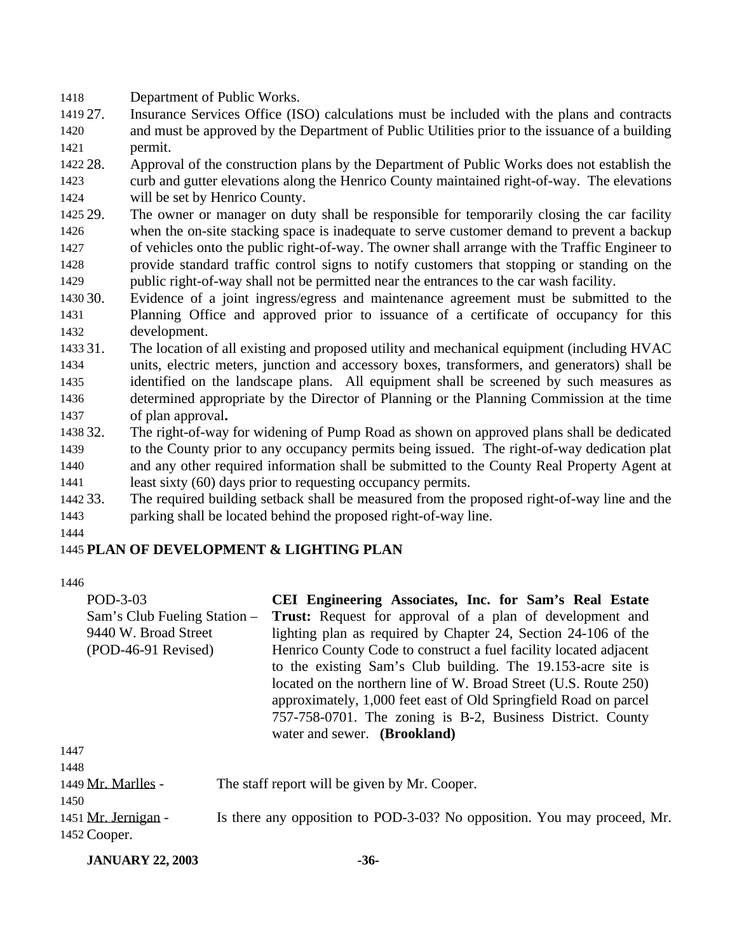Department of Public Works.

 27. Insurance Services Office (ISO) calculations must be included with the plans and contracts and must be approved by the Department of Public Utilities prior to the issuance of a building permit.

 28. Approval of the construction plans by the Department of Public Works does not establish the curb and gutter elevations along the Henrico County maintained right-of-way. The elevations will be set by Henrico County.

- 29. The owner or manager on duty shall be responsible for temporarily closing the car facility when the on-site stacking space is inadequate to serve customer demand to prevent a backup of vehicles onto the public right-of-way. The owner shall arrange with the Traffic Engineer to provide standard traffic control signs to notify customers that stopping or standing on the public right-of-way shall not be permitted near the entrances to the car wash facility.
- 30. Evidence of a joint ingress/egress and maintenance agreement must be submitted to the Planning Office and approved prior to issuance of a certificate of occupancy for this development.
- 31. The location of all existing and proposed utility and mechanical equipment (including HVAC units, electric meters, junction and accessory boxes, transformers, and generators) shall be identified on the landscape plans. All equipment shall be screened by such measures as determined appropriate by the Director of Planning or the Planning Commission at the time of plan approval**.**
- 32. The right-of-way for widening of Pump Road as shown on approved plans shall be dedicated to the County prior to any occupancy permits being issued. The right-of-way dedication plat and any other required information shall be submitted to the County Real Property Agent at least sixty (60) days prior to requesting occupancy permits.
- 33. The required building setback shall be measured from the proposed right-of-way line and the parking shall be located behind the proposed right-of-way line.

# **PLAN OF DEVELOPMENT & LIGHTING PLAN**

| POD-3-03                     | CEI Engineering Associates, Inc. for Sam's Real Estate            |
|------------------------------|-------------------------------------------------------------------|
| Sam's Club Fueling Station – | <b>Trust:</b> Request for approval of a plan of development and   |
| 9440 W. Broad Street         | lighting plan as required by Chapter 24, Section 24-106 of the    |
| $(POD-46-91$ Revised)        | Henrico County Code to construct a fuel facility located adjacent |
|                              | to the existing Sam's Club building. The 19.153-acre site is      |
|                              | located on the northern line of W. Broad Street (U.S. Route 250)  |
|                              | approximately, 1,000 feet east of Old Springfield Road on parcel  |
|                              | 757-758-0701. The zoning is B-2, Business District. County        |
|                              | water and sewer. (Brookland)                                      |
| 1447                         |                                                                   |
| 1448                         |                                                                   |
|                              |                                                                   |

| 1449 Mr. Marlles - | The staff report will be given by Mr. Cooper. |
|--------------------|-----------------------------------------------|
|--------------------|-----------------------------------------------|

 1451 Mr. Jernigan - Is there any opposition to POD-3-03? No opposition. You may proceed, Mr. Cooper.

**JANUARY 22, 2003 -36-**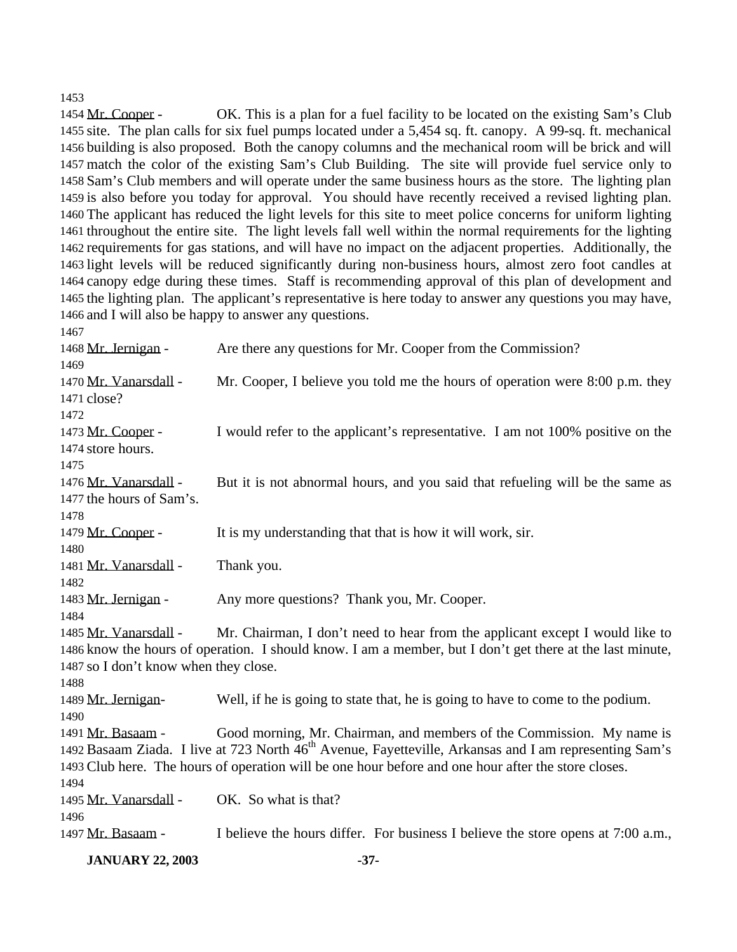Mr. Cooper - OK. This is a plan for a fuel facility to be located on the existing Sam's Club site. The plan calls for six fuel pumps located under a 5,454 sq. ft. canopy. A 99-sq. ft. mechanical building is also proposed. Both the canopy columns and the mechanical room will be brick and will match the color of the existing Sam's Club Building. The site will provide fuel service only to Sam's Club members and will operate under the same business hours as the store. The lighting plan is also before you today for approval. You should have recently received a revised lighting plan. The applicant has reduced the light levels for this site to meet police concerns for uniform lighting throughout the entire site. The light levels fall well within the normal requirements for the lighting requirements for gas stations, and will have no impact on the adjacent properties. Additionally, the light levels will be reduced significantly during non-business hours, almost zero foot candles at canopy edge during these times. Staff is recommending approval of this plan of development and the lighting plan. The applicant's representative is here today to answer any questions you may have, and I will also be happy to answer any questions.

1468 Mr. Jernigan - Are there any questions for Mr. Cooper from the Commission? 1470 Mr. Vanarsdall - Mr. Cooper, I believe you told me the hours of operation were 8:00 p.m. they close? Mr. Cooper - I would refer to the applicant's representative. I am not 100% positive on the store hours. 1476 Mr. Vanarsdall - But it is not abnormal hours, and you said that refueling will be the same as the hours of Sam's. Mr. Cooper - It is my understanding that that is how it will work, sir. Mr. Vanarsdall - Thank you. 1483 Mr. Jernigan - Any more questions? Thank you, Mr. Cooper. 1485 Mr. Vanarsdall - Mr. Chairman, I don't need to hear from the applicant except I would like to know the hours of operation. I should know. I am a member, but I don't get there at the last minute, so I don't know when they close. Mr. Jernigan- Well, if he is going to state that, he is going to have to come to the podium. Mr. Basaam - Good morning, Mr. Chairman, and members of the Commission. My name is 1492 Basaam Ziada. I live at 723 North 46<sup>th</sup> Avenue, Fayetteville, Arkansas and I am representing Sam's Club here. The hours of operation will be one hour before and one hour after the store closes. Mr. Vanarsdall - OK. So what is that? Mr. Basaam - I believe the hours differ. For business I believe the store opens at 7:00 a.m.,

**JANUARY 22, 2003 -37-**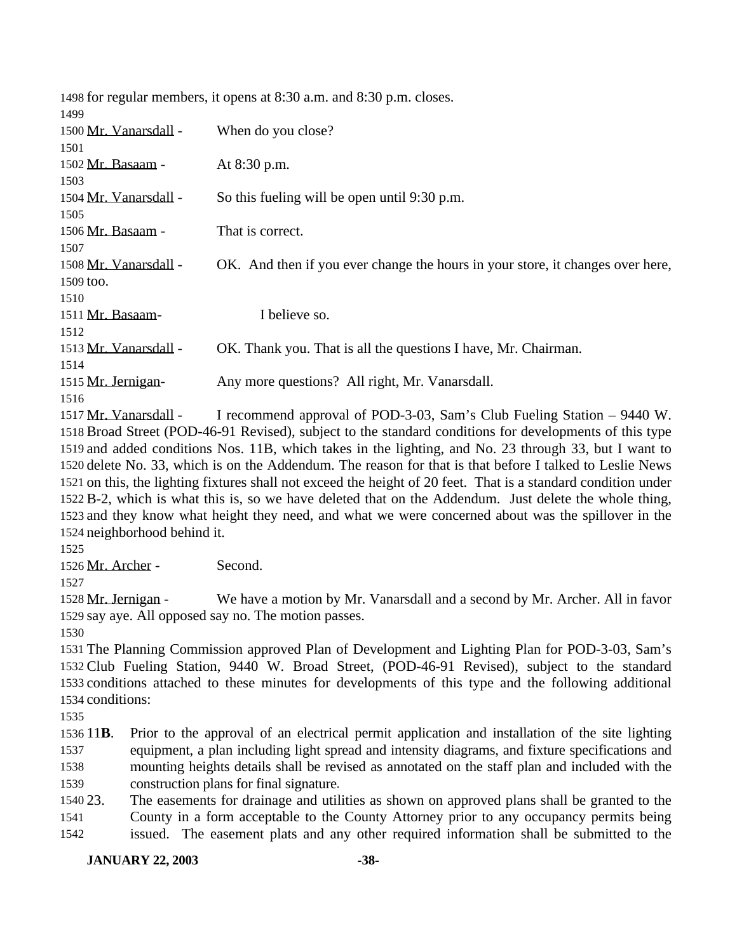|                       |                              | 1498 for regular members, it opens at 8:30 a.m. and 8:30 p.m. closes.                                          |
|-----------------------|------------------------------|----------------------------------------------------------------------------------------------------------------|
| 1499                  |                              |                                                                                                                |
| 1500 Mr. Vanarsdall - |                              | When do you close?                                                                                             |
| 1501                  |                              |                                                                                                                |
| 1502 Mr. Basaam -     |                              | At 8:30 p.m.                                                                                                   |
| 1503                  |                              |                                                                                                                |
| 1504 Mr. Vanarsdall - |                              | So this fueling will be open until 9:30 p.m.                                                                   |
| 1505                  |                              |                                                                                                                |
| 1506 Mr. Basaam -     |                              | That is correct.                                                                                               |
| 1507                  |                              |                                                                                                                |
| 1508 Mr. Vanarsdall - |                              | OK. And then if you ever change the hours in your store, it changes over here,                                 |
| 1509 too.             |                              |                                                                                                                |
| 1510                  |                              |                                                                                                                |
| 1511 Mr. Basaam-      |                              | I believe so.                                                                                                  |
| 1512                  |                              |                                                                                                                |
| 1513 Mr. Vanarsdall - |                              | OK. Thank you. That is all the questions I have, Mr. Chairman.                                                 |
| 1514                  |                              |                                                                                                                |
| 1515 Mr. Jernigan-    |                              | Any more questions? All right, Mr. Vanarsdall.                                                                 |
| 1516                  |                              |                                                                                                                |
| 1517 Mr. Vanarsdall - |                              | I recommend approval of POD-3-03, Sam's Club Fueling Station – 9440 W.                                         |
|                       |                              | 1518 Broad Street (POD-46-91 Revised), subject to the standard conditions for developments of this type        |
|                       |                              | 1519 and added conditions Nos. 11B, which takes in the lighting, and No. 23 through 33, but I want to          |
|                       |                              | 1520 delete No. 33, which is on the Addendum. The reason for that is that before I talked to Leslie News       |
|                       |                              | 1521 on this, the lighting fixtures shall not exceed the height of 20 feet. That is a standard condition under |
|                       |                              | 1522 B-2, which is what this is, so we have deleted that on the Addendum. Just delete the whole thing,         |
|                       |                              | 1523 and they know what height they need, and what we were concerned about was the spillover in the            |
|                       | 1524 neighborhood behind it. |                                                                                                                |
|                       |                              |                                                                                                                |
| 1525                  |                              | Second.                                                                                                        |
| 1526 Mr. Archer -     |                              |                                                                                                                |
| 1527                  |                              |                                                                                                                |
| 1528 Mr. Jernigan -   |                              | We have a motion by Mr. Vanarsdall and a second by Mr. Archer. All in favor                                    |
|                       |                              | 1529 say aye. All opposed say no. The motion passes.                                                           |
| 1530                  |                              |                                                                                                                |
|                       |                              | 1531 The Planning Commission approved Plan of Development and Lighting Plan for POD-3-03, Sam's                |
|                       |                              | 1532 Club Fueling Station, 9440 W. Broad Street, (POD-46-91 Revised), subject to the standard                  |
|                       |                              | 1533 conditions attached to these minutes for developments of this type and the following additional           |
| 1534 conditions:      |                              |                                                                                                                |
| 1535                  |                              |                                                                                                                |
| 1536 11 <b>B</b> .    |                              | Prior to the approval of an electrical permit application and installation of the site lighting                |
| 1537                  |                              | equipment, a plan including light spread and intensity diagrams, and fixture specifications and                |
| 1538                  |                              | mounting heights details shall be revised as annotated on the staff plan and included with the                 |
| 1539                  |                              | construction plans for final signature.                                                                        |
| 1540 23.              |                              | The easements for drainage and utilities as shown on approved plans shall be granted to the                    |

 County in a form acceptable to the County Attorney prior to any occupancy permits being issued. The easement plats and any other required information shall be submitted to the

**JANUARY 22, 2003 -38-**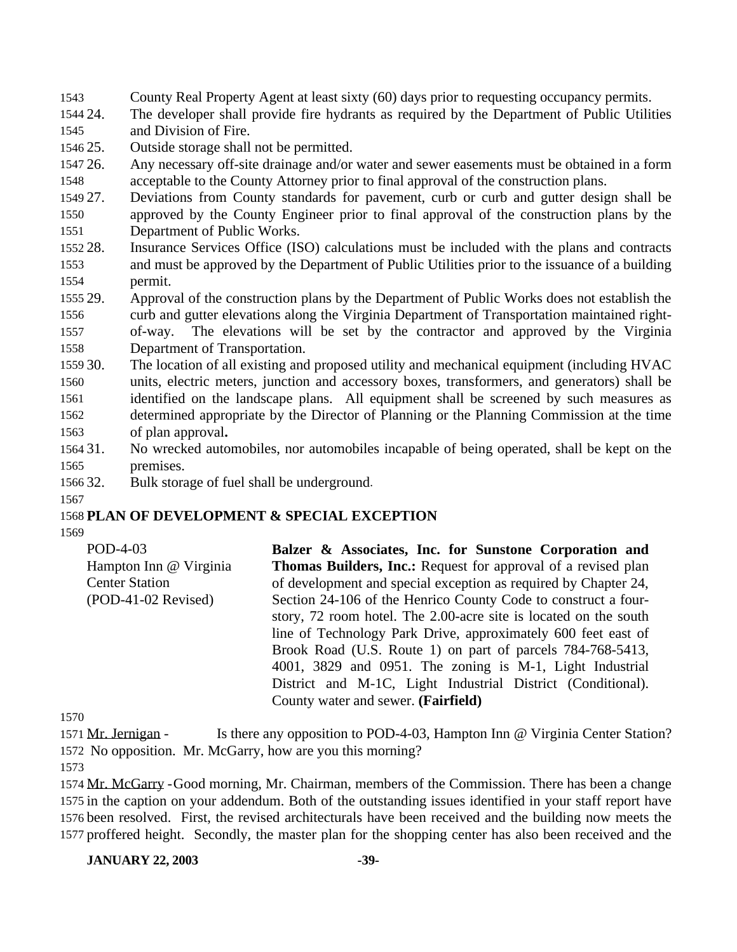- County Real Property Agent at least sixty (60) days prior to requesting occupancy permits.
- 24. The developer shall provide fire hydrants as required by the Department of Public Utilities and Division of Fire.
- 25. Outside storage shall not be permitted.
- 26. Any necessary off-site drainage and/or water and sewer easements must be obtained in a form acceptable to the County Attorney prior to final approval of the construction plans.
- 27. Deviations from County standards for pavement, curb or curb and gutter design shall be
- approved by the County Engineer prior to final approval of the construction plans by the Department of Public Works.
- 28. Insurance Services Office (ISO) calculations must be included with the plans and contracts and must be approved by the Department of Public Utilities prior to the issuance of a building permit.
- 29. Approval of the construction plans by the Department of Public Works does not establish the curb and gutter elevations along the Virginia Department of Transportation maintained right- of-way. The elevations will be set by the contractor and approved by the Virginia Department of Transportation.
- 30. The location of all existing and proposed utility and mechanical equipment (including HVAC units, electric meters, junction and accessory boxes, transformers, and generators) shall be identified on the landscape plans. All equipment shall be screened by such measures as determined appropriate by the Director of Planning or the Planning Commission at the time of plan approval**.**
- 31. No wrecked automobiles, nor automobiles incapable of being operated, shall be kept on the premises.
- 32. Bulk storage of fuel shall be underground.
- 

### **PLAN OF DEVELOPMENT & SPECIAL EXCEPTION**

| POD-4-03               | Balzer & Associates, Inc. for Sunstone Corporation and               |
|------------------------|----------------------------------------------------------------------|
| Hampton Inn @ Virginia | <b>Thomas Builders, Inc.:</b> Request for approval of a revised plan |
| <b>Center Station</b>  | of development and special exception as required by Chapter 24,      |
| (POD-41-02 Revised)    | Section 24-106 of the Henrico County Code to construct a four-       |
|                        | story, 72 room hotel. The 2.00-acre site is located on the south     |
|                        | line of Technology Park Drive, approximately 600 feet east of        |
|                        | Brook Road (U.S. Route 1) on part of parcels 784-768-5413,           |
|                        | 4001, 3829 and 0951. The zoning is M-1, Light Industrial             |
|                        | District and M-1C, Light Industrial District (Conditional).          |
|                        | County water and sewer. (Fairfield)                                  |

 Mr. Jernigan - Is there any opposition to POD-4-03, Hampton Inn @ Virginia Center Station? No opposition. Mr. McGarry, how are you this morning?

 Mr. McGarry -Good morning, Mr. Chairman, members of the Commission. There has been a change in the caption on your addendum. Both of the outstanding issues identified in your staff report have been resolved. First, the revised architecturals have been received and the building now meets the proffered height. Secondly, the master plan for the shopping center has also been received and the

#### **JANUARY 22, 2003 -39-**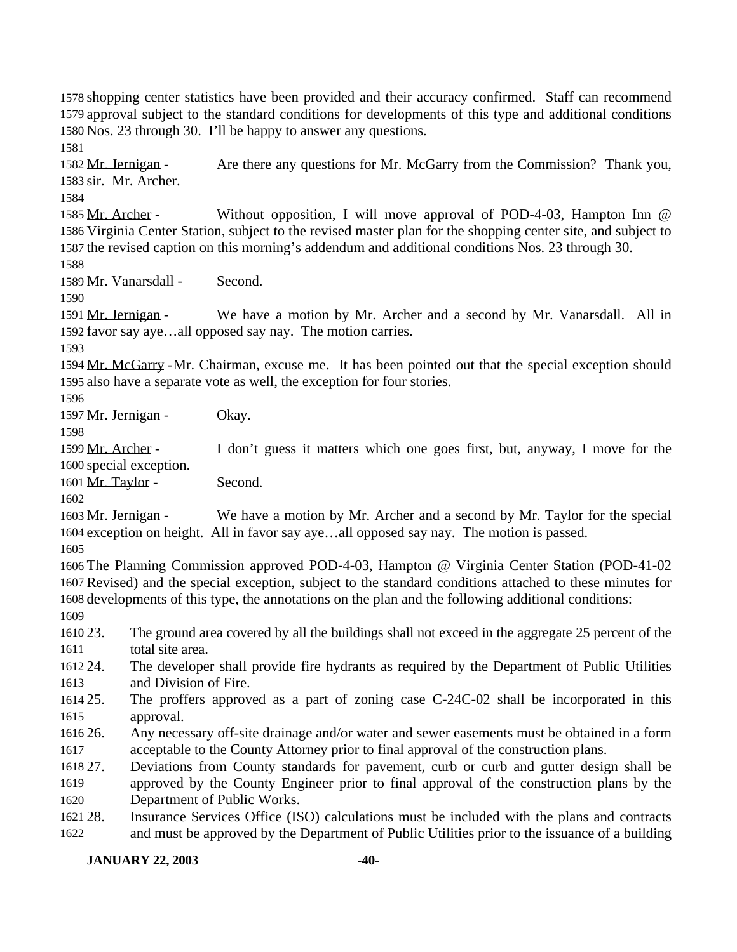shopping center statistics have been provided and their accuracy confirmed. Staff can recommend approval subject to the standard conditions for developments of this type and additional conditions Nos. 23 through 30. I'll be happy to answer any questions.

1582 Mr. Jernigan - Are there any questions for Mr. McGarry from the Commission? Thank you, sir. Mr. Archer.

 Mr. Archer - Without opposition, I will move approval of POD-4-03, Hampton Inn @ Virginia Center Station, subject to the revised master plan for the shopping center site, and subject to the revised caption on this morning's addendum and additional conditions Nos. 23 through 30.

Mr. Vanarsdall - Second.

 Mr. Jernigan - We have a motion by Mr. Archer and a second by Mr. Vanarsdall. All in favor say aye…all opposed say nay. The motion carries.

 Mr. McGarry -Mr. Chairman, excuse me. It has been pointed out that the special exception should also have a separate vote as well, the exception for four stories.

Mr. Jernigan - Okay.

 Mr. Archer - I don't guess it matters which one goes first, but, anyway, I move for the special exception.

1601 Mr. Taylor - Second.

1603 Mr. Jernigan - We have a motion by Mr. Archer and a second by Mr. Taylor for the special exception on height. All in favor say aye…all opposed say nay. The motion is passed.

 The Planning Commission approved POD-4-03, Hampton @ Virginia Center Station (POD-41-02 Revised) and the special exception, subject to the standard conditions attached to these minutes for developments of this type, the annotations on the plan and the following additional conditions: 

 23. The ground area covered by all the buildings shall not exceed in the aggregate 25 percent of the total site area.

 24. The developer shall provide fire hydrants as required by the Department of Public Utilities and Division of Fire.

- 25. The proffers approved as a part of zoning case C-24C-02 shall be incorporated in this approval.
- 26. Any necessary off-site drainage and/or water and sewer easements must be obtained in a form acceptable to the County Attorney prior to final approval of the construction plans.

 27. Deviations from County standards for pavement, curb or curb and gutter design shall be approved by the County Engineer prior to final approval of the construction plans by the Department of Public Works.

 28. Insurance Services Office (ISO) calculations must be included with the plans and contracts and must be approved by the Department of Public Utilities prior to the issuance of a building

## **JANUARY 22, 2003 -40-**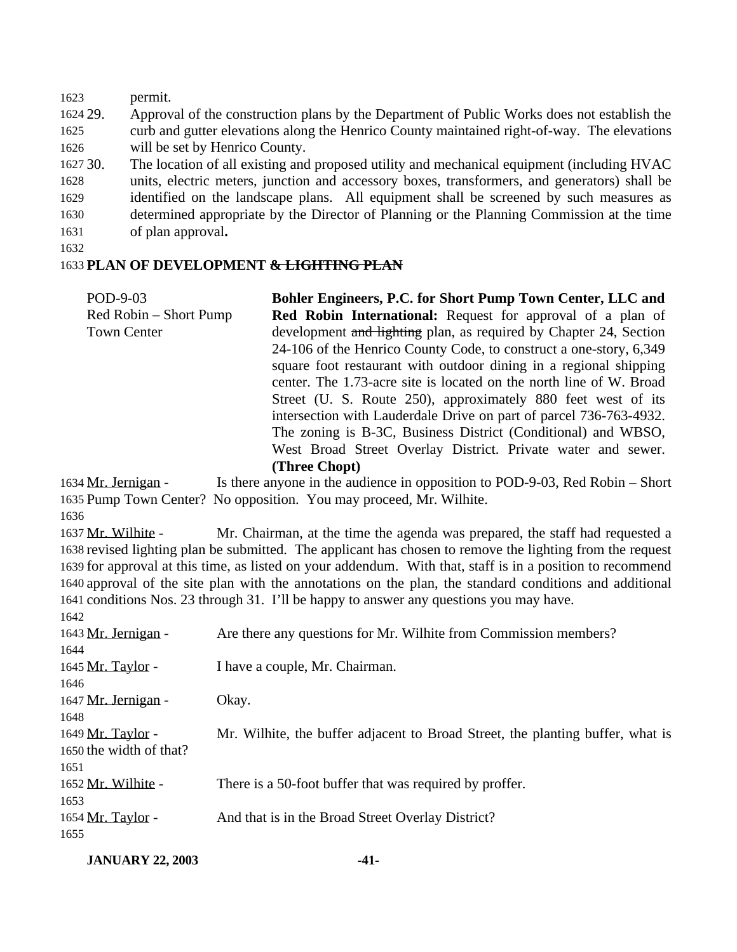permit. 29. Approval of the construction plans by the Department of Public Works does not establish the curb and gutter elevations along the Henrico County maintained right-of-way. The elevations will be set by Henrico County. 30. The location of all existing and proposed utility and mechanical equipment (including HVAC units, electric meters, junction and accessory boxes, transformers, and generators) shall be identified on the landscape plans. All equipment shall be screened by such measures as determined appropriate by the Director of Planning or the Planning Commission at the time of plan approval**.** 

#### **PLAN OF DEVELOPMENT & LIGHTING PLAN**

POD-9-03 Red Robin – Short Pump Town Center **Bohler Engineers, P.C. for Short Pump Town Center, LLC and Red Robin International:** Request for approval of a plan of development and lighting plan, as required by Chapter 24, Section 24-106 of the Henrico County Code, to construct a one-story, 6,349 square foot restaurant with outdoor dining in a regional shipping center. The 1.73-acre site is located on the north line of W. Broad Street (U. S. Route 250), approximately 880 feet west of its intersection with Lauderdale Drive on part of parcel 736-763-4932. The zoning is B-3C, Business District (Conditional) and WBSO, West Broad Street Overlay District. Private water and sewer. **(Three Chopt)**

1634 Mr. Jernigan - Is there anyone in the audience in opposition to POD-9-03, Red Robin – Short Pump Town Center? No opposition. You may proceed, Mr. Wilhite.

 Mr. Wilhite - Mr. Chairman, at the time the agenda was prepared, the staff had requested a revised lighting plan be submitted. The applicant has chosen to remove the lighting from the request for approval at this time, as listed on your addendum. With that, staff is in a position to recommend approval of the site plan with the annotations on the plan, the standard conditions and additional conditions Nos. 23 through 31. I'll be happy to answer any questions you may have.

| Are there any questions for Mr. Wilhite from Commission members?               |
|--------------------------------------------------------------------------------|
|                                                                                |
| I have a couple, Mr. Chairman.                                                 |
|                                                                                |
| Okay.                                                                          |
|                                                                                |
| Mr. Wilhite, the buffer adjacent to Broad Street, the planting buffer, what is |
|                                                                                |
|                                                                                |
| There is a 50-foot buffer that was required by proffer.                        |
|                                                                                |
| And that is in the Broad Street Overlay District?                              |
|                                                                                |
|                                                                                |

**JANUARY 22, 2003 -41-**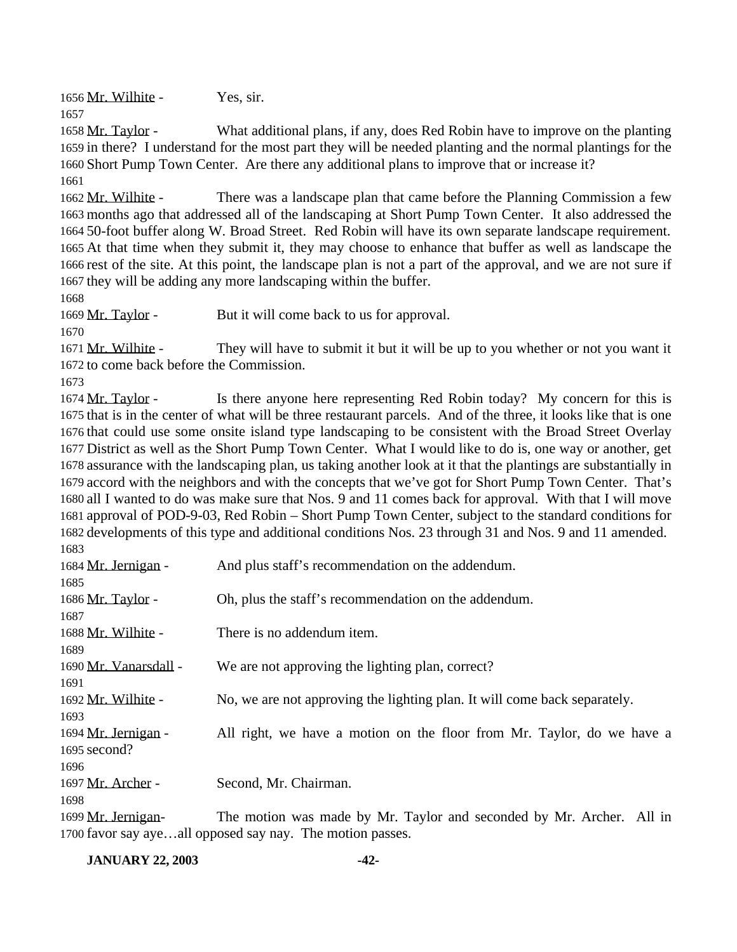1656 Mr. Wilhite - Yes, sir. 

 Mr. Taylor - What additional plans, if any, does Red Robin have to improve on the planting in there? I understand for the most part they will be needed planting and the normal plantings for the Short Pump Town Center. Are there any additional plans to improve that or increase it? 

1662 Mr. Wilhite - There was a landscape plan that came before the Planning Commission a few months ago that addressed all of the landscaping at Short Pump Town Center. It also addressed the 50-foot buffer along W. Broad Street. Red Robin will have its own separate landscape requirement. At that time when they submit it, they may choose to enhance that buffer as well as landscape the rest of the site. At this point, the landscape plan is not a part of the approval, and we are not sure if they will be adding any more landscaping within the buffer.

1669 Mr. Taylor - But it will come back to us for approval.

 Mr. Wilhite - They will have to submit it but it will be up to you whether or not you want it to come back before the Commission.

1674 Mr. Taylor - Is there anyone here representing Red Robin today? My concern for this is that is in the center of what will be three restaurant parcels. And of the three, it looks like that is one that could use some onsite island type landscaping to be consistent with the Broad Street Overlay District as well as the Short Pump Town Center. What I would like to do is, one way or another, get assurance with the landscaping plan, us taking another look at it that the plantings are substantially in accord with the neighbors and with the concepts that we've got for Short Pump Town Center. That's all I wanted to do was make sure that Nos. 9 and 11 comes back for approval. With that I will move approval of POD-9-03, Red Robin – Short Pump Town Center, subject to the standard conditions for developments of this type and additional conditions Nos. 23 through 31 and Nos. 9 and 11 amended. 

| 1684 Mr. Jernigan -   | And plus staff's recommendation on the addendum.                          |
|-----------------------|---------------------------------------------------------------------------|
| 1685                  |                                                                           |
| 1686 Mr. Taylor -     | Oh, plus the staff's recommendation on the addendum.                      |
| 1687                  |                                                                           |
| 1688 Mr. Wilhite -    | There is no addendum item.                                                |
| 1689                  |                                                                           |
| 1690 Mr. Vanarsdall - | We are not approving the lighting plan, correct?                          |
| 1691                  |                                                                           |
| 1692 Mr. Wilhite -    | No, we are not approving the lighting plan. It will come back separately. |
| 1693                  |                                                                           |
| 1694 Mr. Jernigan -   | All right, we have a motion on the floor from Mr. Taylor, do we have a    |
| 1695 second?          |                                                                           |
| 1696                  |                                                                           |
| 1697 Mr. Archer -     | Second, Mr. Chairman.                                                     |
| 1698                  |                                                                           |
| 1699 Mr. Jernigan-    | The motion was made by Mr. Taylor and seconded by Mr. Archer. All in      |
|                       | 1700 favor say ayeall opposed say nay. The motion passes.                 |

**JANUARY 22, 2003 -42-**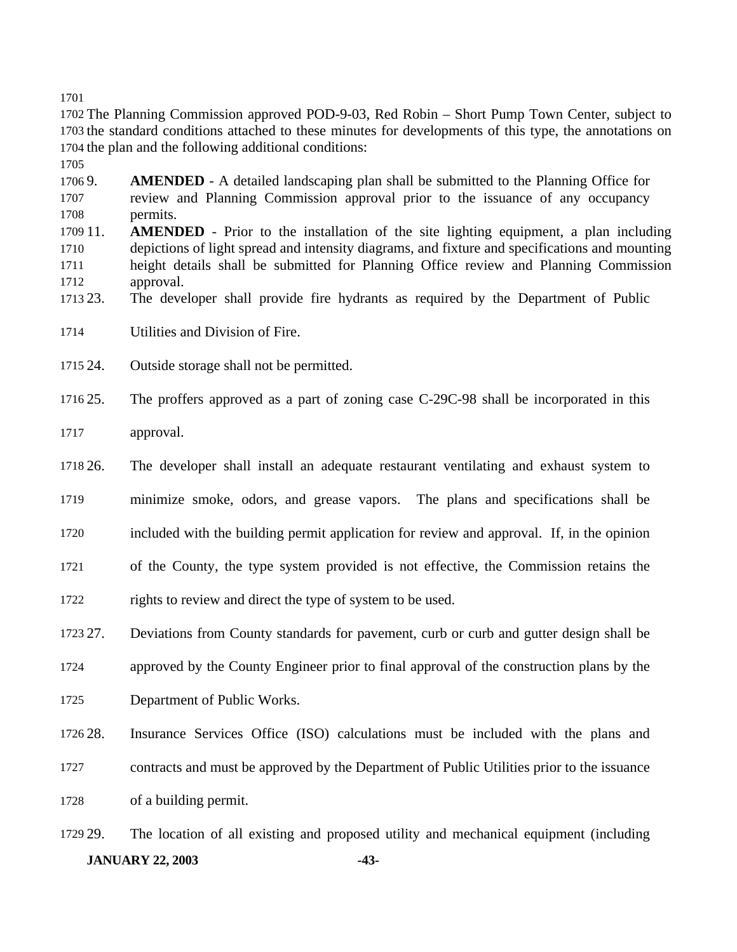The Planning Commission approved POD-9-03, Red Robin – Short Pump Town Center, subject to the standard conditions attached to these minutes for developments of this type, the annotations on the plan and the following additional conditions:

 9. **AMENDED** - A detailed landscaping plan shall be submitted to the Planning Office for review and Planning Commission approval prior to the issuance of any occupancy permits.

- 11. **AMENDED** Prior to the installation of the site lighting equipment, a plan including depictions of light spread and intensity diagrams, and fixture and specifications and mounting height details shall be submitted for Planning Office review and Planning Commission approval.
- 23. The developer shall provide fire hydrants as required by the Department of Public

Utilities and Division of Fire.

24. Outside storage shall not be permitted.

25. The proffers approved as a part of zoning case C-29C-98 shall be incorporated in this

approval.

 26. The developer shall install an adequate restaurant ventilating and exhaust system to minimize smoke, odors, and grease vapors. The plans and specifications shall be

included with the building permit application for review and approval. If, in the opinion

of the County, the type system provided is not effective, the Commission retains the

rights to review and direct the type of system to be used.

27. Deviations from County standards for pavement, curb or curb and gutter design shall be

approved by the County Engineer prior to final approval of the construction plans by the

Department of Public Works.

28. Insurance Services Office (ISO) calculations must be included with the plans and

contracts and must be approved by the Department of Public Utilities prior to the issuance

of a building permit.

**JANUARY 22, 2003 -43-** 29. The location of all existing and proposed utility and mechanical equipment (including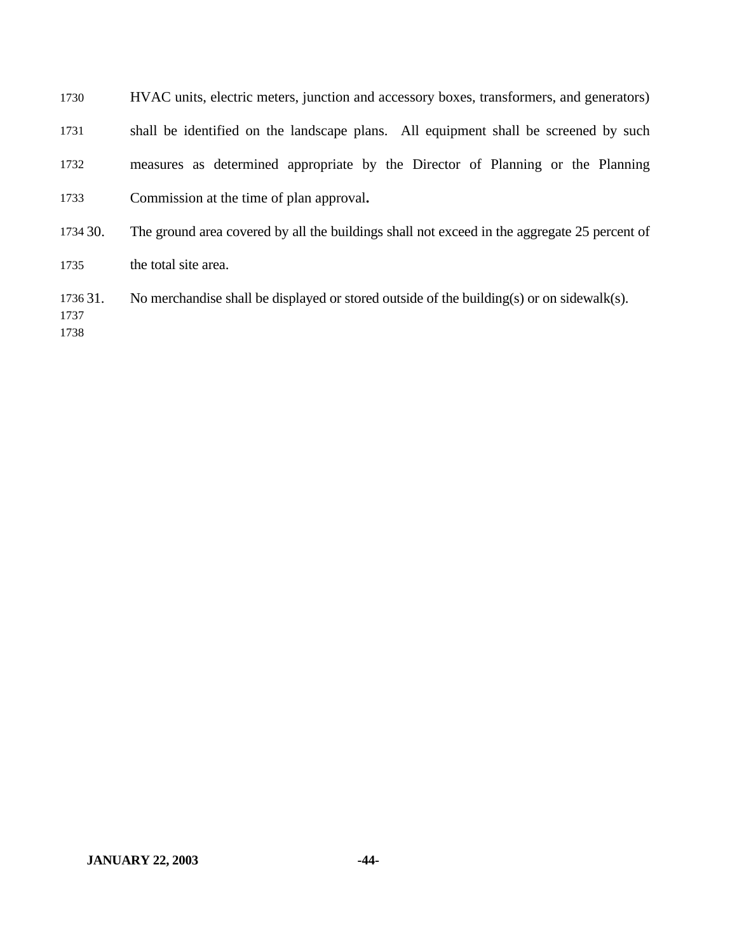| 1730             | HVAC units, electric meters, junction and accessory boxes, transformers, and generators)     |
|------------------|----------------------------------------------------------------------------------------------|
| 1731             | shall be identified on the landscape plans. All equipment shall be screened by such          |
| 1732             | measures as determined appropriate by the Director of Planning or the Planning               |
| 1733             | Commission at the time of plan approval.                                                     |
| 1734 30.         | The ground area covered by all the buildings shall not exceed in the aggregate 25 percent of |
| 1735             | the total site area.                                                                         |
| 1736 31.<br>1737 | No merchandise shall be displayed or stored outside of the building(s) or on sidewalk(s).    |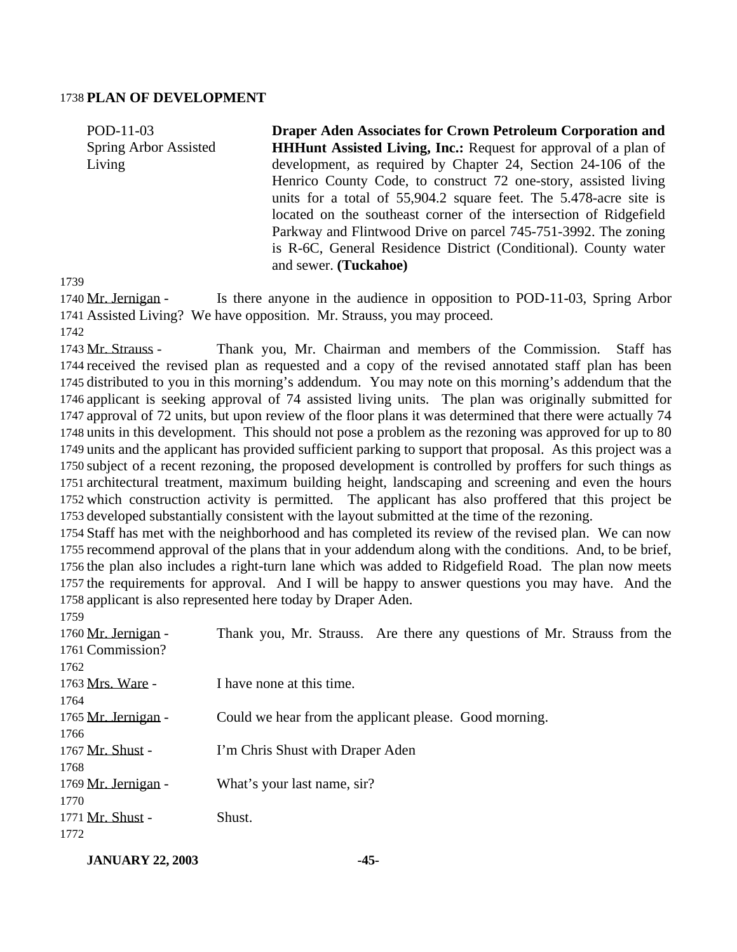#### **PLAN OF DEVELOPMENT**

POD-11-03 Spring Arbor Assisted Living **Draper Aden Associates for Crown Petroleum Corporation and HHHunt Assisted Living, Inc.:** Request for approval of a plan of development, as required by Chapter 24, Section 24-106 of the Henrico County Code, to construct 72 one-story, assisted living units for a total of 55,904.2 square feet. The 5.478-acre site is located on the southeast corner of the intersection of Ridgefield Parkway and Flintwood Drive on parcel 745-751-3992. The zoning is R-6C, General Residence District (Conditional). County water and sewer. **(Tuckahoe)**

 Mr. Jernigan - Is there anyone in the audience in opposition to POD-11-03, Spring Arbor Assisted Living? We have opposition. Mr. Strauss, you may proceed. 

 Mr. Strauss - Thank you, Mr. Chairman and members of the Commission. Staff has received the revised plan as requested and a copy of the revised annotated staff plan has been distributed to you in this morning's addendum. You may note on this morning's addendum that the applicant is seeking approval of 74 assisted living units. The plan was originally submitted for approval of 72 units, but upon review of the floor plans it was determined that there were actually 74 units in this development. This should not pose a problem as the rezoning was approved for up to 80 units and the applicant has provided sufficient parking to support that proposal. As this project was a subject of a recent rezoning, the proposed development is controlled by proffers for such things as architectural treatment, maximum building height, landscaping and screening and even the hours which construction activity is permitted. The applicant has also proffered that this project be developed substantially consistent with the layout submitted at the time of the rezoning.

 Staff has met with the neighborhood and has completed its review of the revised plan. We can now recommend approval of the plans that in your addendum along with the conditions. And, to be brief, the plan also includes a right-turn lane which was added to Ridgefield Road. The plan now meets the requirements for approval. And I will be happy to answer questions you may have. And the applicant is also represented here today by Draper Aden.

| 1759                |                                                                         |
|---------------------|-------------------------------------------------------------------------|
| 1760 Mr. Jernigan - | Thank you, Mr. Strauss. Are there any questions of Mr. Strauss from the |
| 1761 Commission?    |                                                                         |
| 1762                |                                                                         |
| 1763 Mrs. Ware -    | I have none at this time.                                               |
| 1764                |                                                                         |
| 1765 Mr. Jernigan - | Could we hear from the applicant please. Good morning.                  |
| 1766                |                                                                         |
| 1767 Mr. Shust -    | I'm Chris Shust with Draper Aden                                        |
| 1768                |                                                                         |
| 1769 Mr. Jernigan - | What's your last name, sir?                                             |
| 1770                |                                                                         |
| 1771 Mr. Shust -    | Shust.                                                                  |
| 1772                |                                                                         |

**JANUARY 22, 2003 -45-**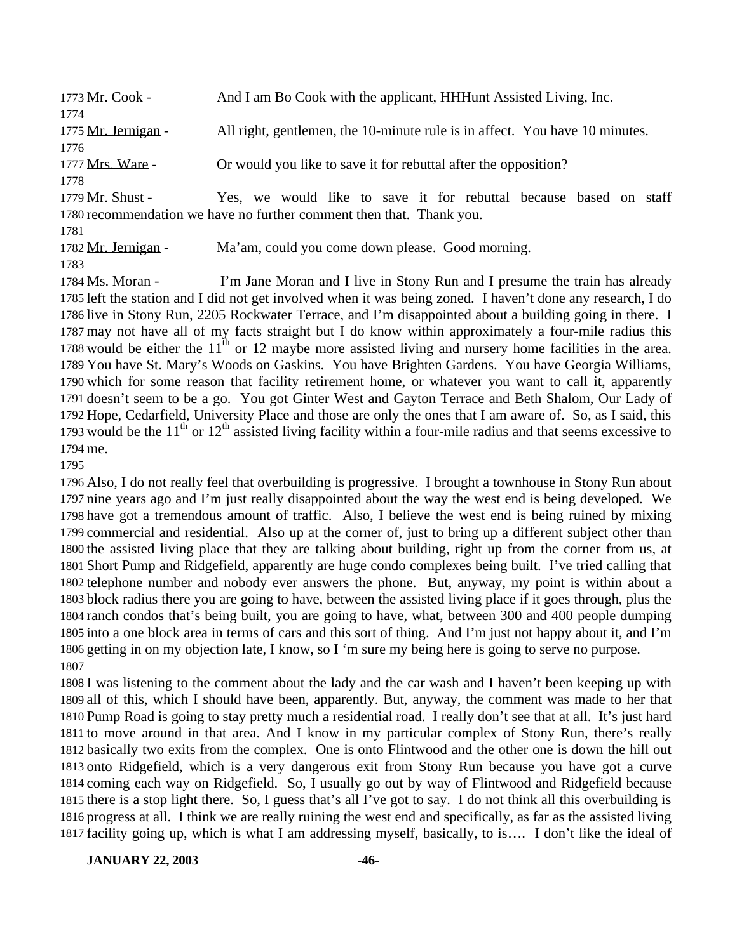| 1773 Mr. Cook -     | And I am Bo Cook with the applicant, HHHunt Assisted Living, Inc.           |
|---------------------|-----------------------------------------------------------------------------|
| 1774                |                                                                             |
| 1775 Mr. Jernigan - | All right, gentlemen, the 10-minute rule is in affect. You have 10 minutes. |
| 1776                |                                                                             |
| 1777 Mrs. Ware -    | Or would you like to save it for rebuttal after the opposition?             |
| 1778                |                                                                             |
| 1779 Mr. Shust -    | Yes, we would like to save it for rebuttal because based on<br>staff        |
|                     | 1780 recommendation we have no further comment then that. Thank you.        |
| 1781                |                                                                             |
| 1782 Mr. Jernigan - | Ma'am, could you come down please. Good morning.                            |

1784 Ms. Moran - I'm Jane Moran and I live in Stony Run and I presume the train has already left the station and I did not get involved when it was being zoned. I haven't done any research, I do live in Stony Run, 2205 Rockwater Terrace, and I'm disappointed about a building going in there. I may not have all of my facts straight but I do know within approximately a four-mile radius this 1788 would be either the  $11<sup>th</sup>$  or 12 maybe more assisted living and nursery home facilities in the area. You have St. Mary's Woods on Gaskins. You have Brighten Gardens. You have Georgia Williams, which for some reason that facility retirement home, or whatever you want to call it, apparently doesn't seem to be a go. You got Ginter West and Gayton Terrace and Beth Shalom, Our Lady of Hope, Cedarfield, University Place and those are only the ones that I am aware of. So, as I said, this 1793 would be the  $11<sup>th</sup>$  or  $12<sup>th</sup>$  assisted living facility within a four-mile radius and that seems excessive to me.

 Also, I do not really feel that overbuilding is progressive. I brought a townhouse in Stony Run about nine years ago and I'm just really disappointed about the way the west end is being developed. We have got a tremendous amount of traffic. Also, I believe the west end is being ruined by mixing commercial and residential. Also up at the corner of, just to bring up a different subject other than the assisted living place that they are talking about building, right up from the corner from us, at Short Pump and Ridgefield, apparently are huge condo complexes being built. I've tried calling that telephone number and nobody ever answers the phone. But, anyway, my point is within about a block radius there you are going to have, between the assisted living place if it goes through, plus the ranch condos that's being built, you are going to have, what, between 300 and 400 people dumping into a one block area in terms of cars and this sort of thing. And I'm just not happy about it, and I'm getting in on my objection late, I know, so I 'm sure my being here is going to serve no purpose. 

 I was listening to the comment about the lady and the car wash and I haven't been keeping up with all of this, which I should have been, apparently. But, anyway, the comment was made to her that Pump Road is going to stay pretty much a residential road. I really don't see that at all. It's just hard to move around in that area. And I know in my particular complex of Stony Run, there's really basically two exits from the complex. One is onto Flintwood and the other one is down the hill out onto Ridgefield, which is a very dangerous exit from Stony Run because you have got a curve coming each way on Ridgefield. So, I usually go out by way of Flintwood and Ridgefield because there is a stop light there. So, I guess that's all I've got to say. I do not think all this overbuilding is progress at all. I think we are really ruining the west end and specifically, as far as the assisted living facility going up, which is what I am addressing myself, basically, to is…. I don't like the ideal of

**JANUARY 22, 2003 -46-**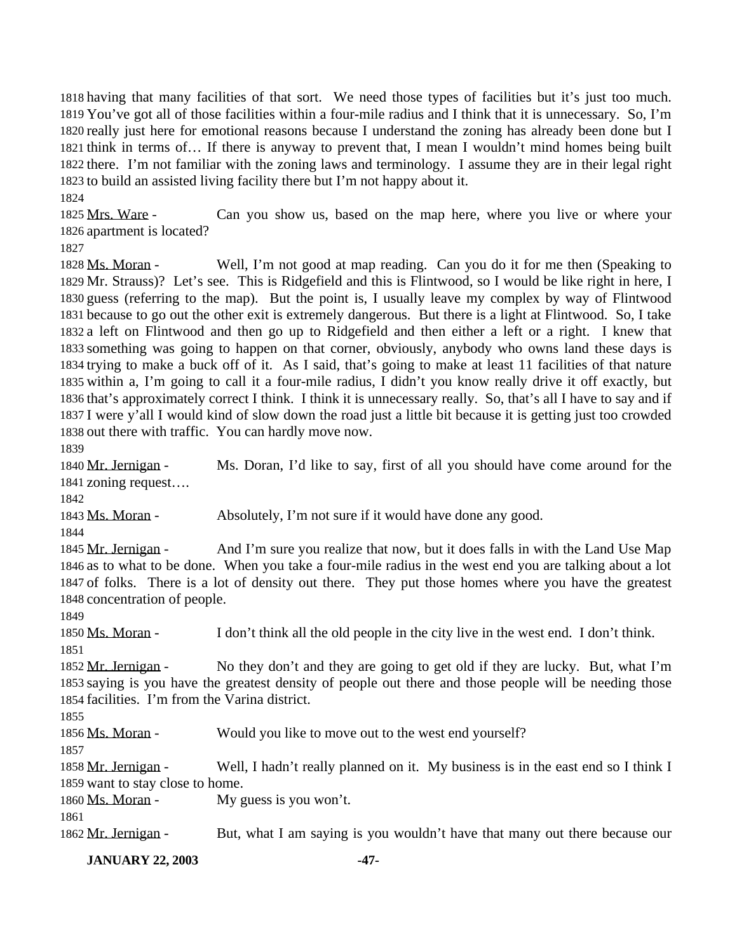having that many facilities of that sort. We need those types of facilities but it's just too much. You've got all of those facilities within a four-mile radius and I think that it is unnecessary. So, I'm really just here for emotional reasons because I understand the zoning has already been done but I think in terms of… If there is anyway to prevent that, I mean I wouldn't mind homes being built there. I'm not familiar with the zoning laws and terminology. I assume they are in their legal right to build an assisted living facility there but I'm not happy about it.

 Mrs. Ware - Can you show us, based on the map here, where you live or where your apartment is located?

 Ms. Moran - Well, I'm not good at map reading. Can you do it for me then (Speaking to Mr. Strauss)? Let's see. This is Ridgefield and this is Flintwood, so I would be like right in here, I guess (referring to the map). But the point is, I usually leave my complex by way of Flintwood because to go out the other exit is extremely dangerous. But there is a light at Flintwood. So, I take a left on Flintwood and then go up to Ridgefield and then either a left or a right. I knew that something was going to happen on that corner, obviously, anybody who owns land these days is trying to make a buck off of it. As I said, that's going to make at least 11 facilities of that nature within a, I'm going to call it a four-mile radius, I didn't you know really drive it off exactly, but that's approximately correct I think. I think it is unnecessary really. So, that's all I have to say and if I were y'all I would kind of slow down the road just a little bit because it is getting just too crowded out there with traffic. You can hardly move now.

 Mr. Jernigan - Ms. Doran, I'd like to say, first of all you should have come around for the zoning request….

1843 Ms. Moran - Absolutely, I'm not sure if it would have done any good.

1845 Mr. Jernigan - And I'm sure you realize that now, but it does falls in with the Land Use Map as to what to be done. When you take a four-mile radius in the west end you are talking about a lot of folks. There is a lot of density out there. They put those homes where you have the greatest concentration of people.

 Ms. Moran - I don't think all the old people in the city live in the west end. I don't think. 

1852 Mr. Jernigan - No they don't and they are going to get old if they are lucky. But, what I'm saying is you have the greatest density of people out there and those people will be needing those facilities. I'm from the Varina district.

1856 Ms. Moran - Would you like to move out to the west end yourself?

1858 Mr. Jernigan - Well, I hadn't really planned on it. My business is in the east end so I think I want to stay close to home.

1860 Ms. Moran - My guess is you won't.

1862 Mr. Jernigan - But, what I am saying is you wouldn't have that many out there because our

**JANUARY 22, 2003 -47-**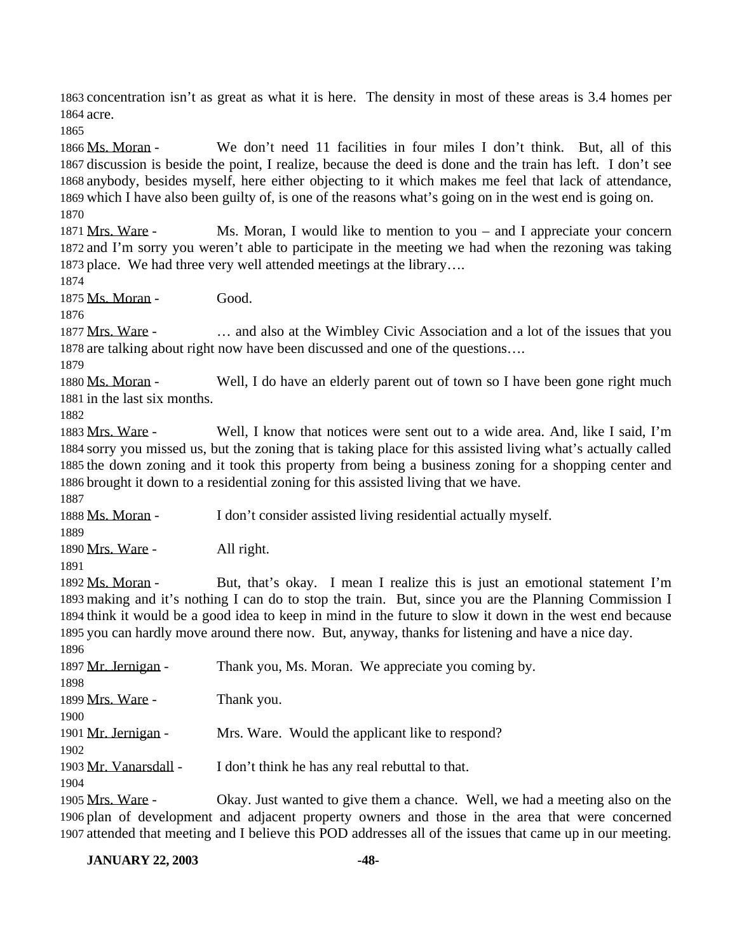concentration isn't as great as what it is here. The density in most of these areas is 3.4 homes per acre.

 Ms. Moran - We don't need 11 facilities in four miles I don't think. But, all of this discussion is beside the point, I realize, because the deed is done and the train has left. I don't see anybody, besides myself, here either objecting to it which makes me feel that lack of attendance, which I have also been guilty of, is one of the reasons what's going on in the west end is going on. 

 Mrs. Ware - Ms. Moran, I would like to mention to you – and I appreciate your concern and I'm sorry you weren't able to participate in the meeting we had when the rezoning was taking place. We had three very well attended meetings at the library….

1875 Ms. Moran - Good.

 Mrs. Ware - … and also at the Wimbley Civic Association and a lot of the issues that you are talking about right now have been discussed and one of the questions….

1880 Ms. Moran - Well, I do have an elderly parent out of town so I have been gone right much in the last six months.

 Mrs. Ware - Well, I know that notices were sent out to a wide area. And, like I said, I'm sorry you missed us, but the zoning that is taking place for this assisted living what's actually called the down zoning and it took this property from being a business zoning for a shopping center and brought it down to a residential zoning for this assisted living that we have.

Ms. Moran - I don't consider assisted living residential actually myself.

1890 Mrs. Ware - All right.

 Ms. Moran - But, that's okay. I mean I realize this is just an emotional statement I'm making and it's nothing I can do to stop the train. But, since you are the Planning Commission I think it would be a good idea to keep in mind in the future to slow it down in the west end because you can hardly move around there now. But, anyway, thanks for listening and have a nice day. 

| 1897 Mr. Jernigan -   | Thank you, Ms. Moran. We appreciate you coming by.   |
|-----------------------|------------------------------------------------------|
| 1898                  |                                                      |
| 1899 Mrs. Ware -      | Thank you.                                           |
| 1900                  |                                                      |
| 1901 Mr. Jernigan -   | Mrs. Ware. Would the applicant like to respond?      |
| 1902                  |                                                      |
| 1903 Mr. Vanarsdall - | I don't think he has any real rebuttal to that.      |
| 1904                  |                                                      |
| 1905 Mrs. Ware -      | Okay. Just wanted to give them a chance. Well, we ha |

had a meeting also on the plan of development and adjacent property owners and those in the area that were concerned attended that meeting and I believe this POD addresses all of the issues that came up in our meeting.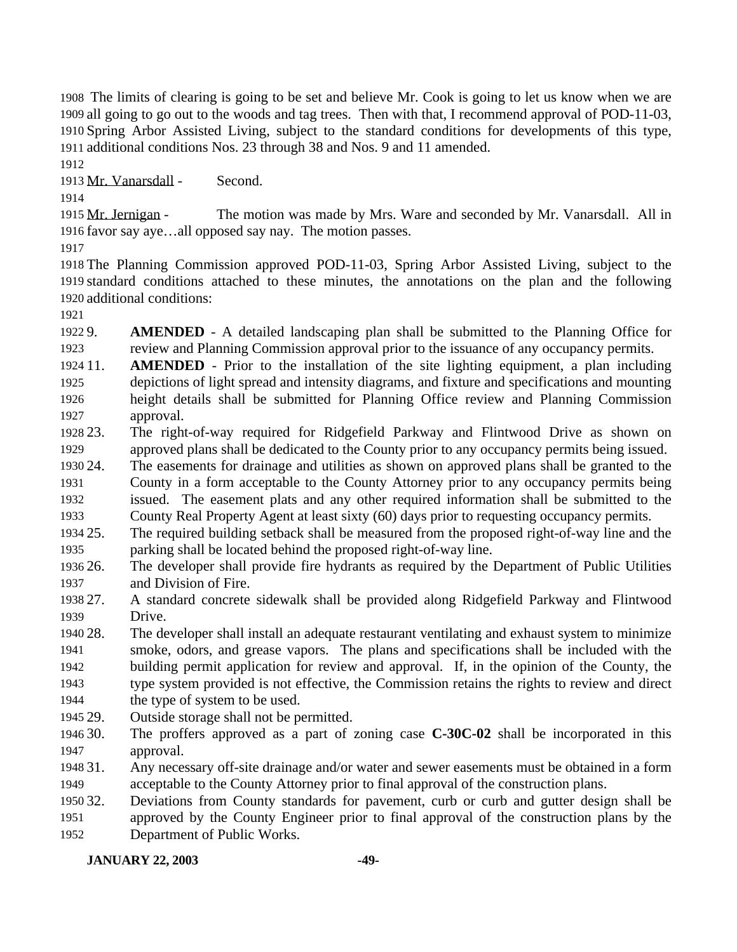The limits of clearing is going to be set and believe Mr. Cook is going to let us know when we are all going to go out to the woods and tag trees. Then with that, I recommend approval of POD-11-03, Spring Arbor Assisted Living, subject to the standard conditions for developments of this type, additional conditions Nos. 23 through 38 and Nos. 9 and 11 amended.

Mr. Vanarsdall - Second.

 Mr. Jernigan - The motion was made by Mrs. Ware and seconded by Mr. Vanarsdall. All in favor say aye…all opposed say nay. The motion passes.

 The Planning Commission approved POD-11-03, Spring Arbor Assisted Living, subject to the standard conditions attached to these minutes, the annotations on the plan and the following additional conditions:

 9. **AMENDED** - A detailed landscaping plan shall be submitted to the Planning Office for review and Planning Commission approval prior to the issuance of any occupancy permits.

- 11. **AMENDED** Prior to the installation of the site lighting equipment, a plan including depictions of light spread and intensity diagrams, and fixture and specifications and mounting height details shall be submitted for Planning Office review and Planning Commission approval.
- 23. The right-of-way required for Ridgefield Parkway and Flintwood Drive as shown on approved plans shall be dedicated to the County prior to any occupancy permits being issued.

24. The easements for drainage and utilities as shown on approved plans shall be granted to the

 County in a form acceptable to the County Attorney prior to any occupancy permits being issued. The easement plats and any other required information shall be submitted to the

County Real Property Agent at least sixty (60) days prior to requesting occupancy permits.

 25. The required building setback shall be measured from the proposed right-of-way line and the parking shall be located behind the proposed right-of-way line.

 26. The developer shall provide fire hydrants as required by the Department of Public Utilities and Division of Fire.

 27. A standard concrete sidewalk shall be provided along Ridgefield Parkway and Flintwood Drive.

 28. The developer shall install an adequate restaurant ventilating and exhaust system to minimize smoke, odors, and grease vapors. The plans and specifications shall be included with the building permit application for review and approval. If, in the opinion of the County, the type system provided is not effective, the Commission retains the rights to review and direct

- 1944 the type of system to be used.
- 29. Outside storage shall not be permitted.
- 30. The proffers approved as a part of zoning case **C-30C-02** shall be incorporated in this approval.

 31. Any necessary off-site drainage and/or water and sewer easements must be obtained in a form acceptable to the County Attorney prior to final approval of the construction plans.

 32. Deviations from County standards for pavement, curb or curb and gutter design shall be approved by the County Engineer prior to final approval of the construction plans by the Department of Public Works.

## **JANUARY 22, 2003 -49-**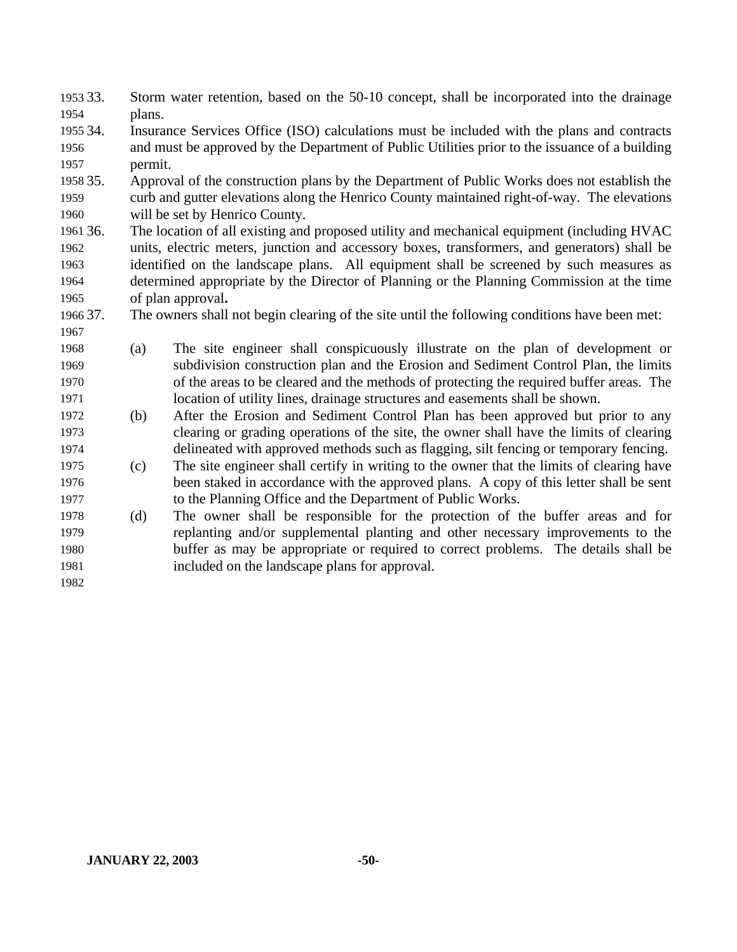33. Storm water retention, based on the 50-10 concept, shall be incorporated into the drainage plans.

 34. Insurance Services Office (ISO) calculations must be included with the plans and contracts and must be approved by the Department of Public Utilities prior to the issuance of a building permit.

 35. Approval of the construction plans by the Department of Public Works does not establish the curb and gutter elevations along the Henrico County maintained right-of-way. The elevations will be set by Henrico County.

 36. The location of all existing and proposed utility and mechanical equipment (including HVAC units, electric meters, junction and accessory boxes, transformers, and generators) shall be identified on the landscape plans. All equipment shall be screened by such measures as determined appropriate by the Director of Planning or the Planning Commission at the time of plan approval**.**

37. The owners shall not begin clearing of the site until the following conditions have been met:

- (a) The site engineer shall conspicuously illustrate on the plan of development or subdivision construction plan and the Erosion and Sediment Control Plan, the limits of the areas to be cleared and the methods of protecting the required buffer areas. The location of utility lines, drainage structures and easements shall be shown.
- (b) After the Erosion and Sediment Control Plan has been approved but prior to any clearing or grading operations of the site, the owner shall have the limits of clearing delineated with approved methods such as flagging, silt fencing or temporary fencing.
- (c) The site engineer shall certify in writing to the owner that the limits of clearing have been staked in accordance with the approved plans. A copy of this letter shall be sent to the Planning Office and the Department of Public Works.
- (d) The owner shall be responsible for the protection of the buffer areas and for replanting and/or supplemental planting and other necessary improvements to the buffer as may be appropriate or required to correct problems. The details shall be included on the landscape plans for approval.
-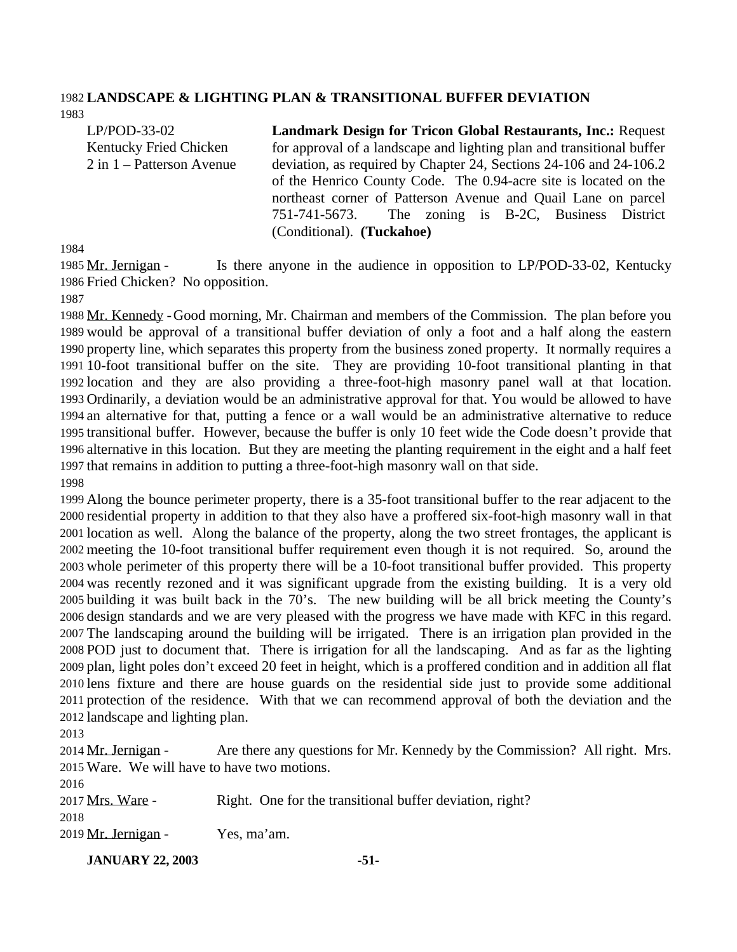#### **LANDSCAPE & LIGHTING PLAN & TRANSITIONAL BUFFER DEVIATION**

LP/POD-33-02 Kentucky Fried Chicken 2 in 1 – Patterson Avenue **Landmark Design for Tricon Global Restaurants, Inc.:** Request for approval of a landscape and lighting plan and transitional buffer deviation, as required by Chapter 24, Sections 24-106 and 24-106.2 of the Henrico County Code. The 0.94-acre site is located on the northeast corner of Patterson Avenue and Quail Lane on parcel 751-741-5673. The zoning is B-2C, Business District

 Mr. Jernigan - Is there anyone in the audience in opposition to LP/POD-33-02, Kentucky Fried Chicken? No opposition.

(Conditional). **(Tuckahoe)**

 Mr. Kennedy -Good morning, Mr. Chairman and members of the Commission. The plan before you would be approval of a transitional buffer deviation of only a foot and a half along the eastern property line, which separates this property from the business zoned property. It normally requires a 10-foot transitional buffer on the site. They are providing 10-foot transitional planting in that location and they are also providing a three-foot-high masonry panel wall at that location. Ordinarily, a deviation would be an administrative approval for that. You would be allowed to have an alternative for that, putting a fence or a wall would be an administrative alternative to reduce transitional buffer. However, because the buffer is only 10 feet wide the Code doesn't provide that alternative in this location. But they are meeting the planting requirement in the eight and a half feet that remains in addition to putting a three-foot-high masonry wall on that side. 

 Along the bounce perimeter property, there is a 35-foot transitional buffer to the rear adjacent to the residential property in addition to that they also have a proffered six-foot-high masonry wall in that location as well. Along the balance of the property, along the two street frontages, the applicant is meeting the 10-foot transitional buffer requirement even though it is not required. So, around the whole perimeter of this property there will be a 10-foot transitional buffer provided. This property was recently rezoned and it was significant upgrade from the existing building. It is a very old building it was built back in the 70's. The new building will be all brick meeting the County's design standards and we are very pleased with the progress we have made with KFC in this regard. The landscaping around the building will be irrigated. There is an irrigation plan provided in the POD just to document that. There is irrigation for all the landscaping. And as far as the lighting plan, light poles don't exceed 20 feet in height, which is a proffered condition and in addition all flat lens fixture and there are house guards on the residential side just to provide some additional protection of the residence. With that we can recommend approval of both the deviation and the landscape and lighting plan.

2014 Mr. Jernigan - Are there any questions for Mr. Kennedy by the Commission? All right. Mrs. Ware. We will have to have two motions. 

| 2016                |                                                          |
|---------------------|----------------------------------------------------------|
| 2017 Mrs. Ware -    | Right. One for the transitional buffer deviation, right? |
| 2018                |                                                          |
| 2019 Mr. Jernigan - | Yes, ma'am.                                              |

**JANUARY 22, 2003 -51-**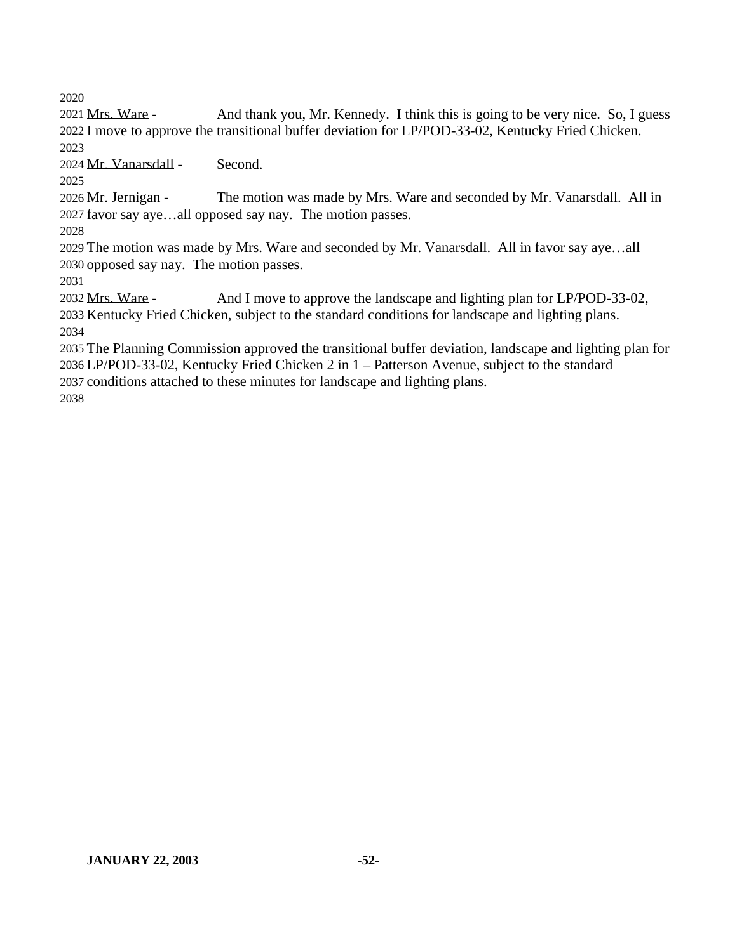Mrs. Ware - And thank you, Mr. Kennedy. I think this is going to be very nice. So, I guess I move to approve the transitional buffer deviation for LP/POD-33-02, Kentucky Fried Chicken. 

Mr. Vanarsdall - Second.

 Mr. Jernigan - The motion was made by Mrs. Ware and seconded by Mr. Vanarsdall. All in favor say aye…all opposed say nay. The motion passes.

 The motion was made by Mrs. Ware and seconded by Mr. Vanarsdall. All in favor say aye…all opposed say nay. The motion passes.

 Mrs. Ware - And I move to approve the landscape and lighting plan for LP/POD-33-02, Kentucky Fried Chicken, subject to the standard conditions for landscape and lighting plans. 

 The Planning Commission approved the transitional buffer deviation, landscape and lighting plan for LP/POD-33-02, Kentucky Fried Chicken 2 in 1 – Patterson Avenue, subject to the standard conditions attached to these minutes for landscape and lighting plans.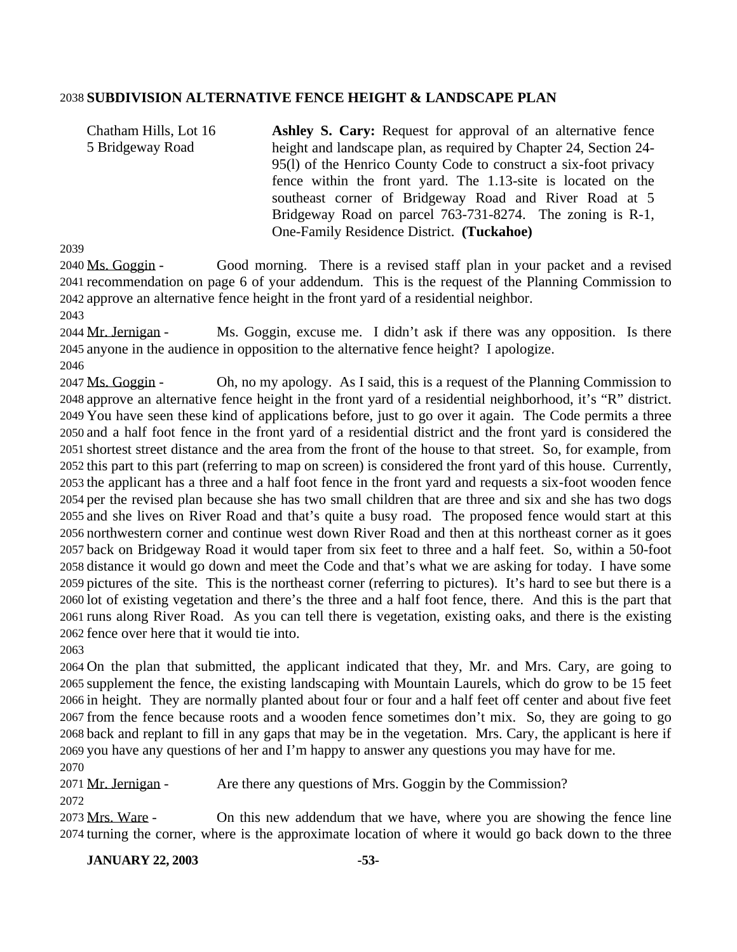### **SUBDIVISION ALTERNATIVE FENCE HEIGHT & LANDSCAPE PLAN**

Chatham Hills, Lot 16 5 Bridgeway Road **Ashley S. Cary:** Request for approval of an alternative fence height and landscape plan, as required by Chapter 24, Section 24- 95(l) of the Henrico County Code to construct a six-foot privacy fence within the front yard. The 1.13-site is located on the southeast corner of Bridgeway Road and River Road at 5 Bridgeway Road on parcel 763-731-8274. The zoning is R-1, One-Family Residence District. **(Tuckahoe)**

 Ms. Goggin - Good morning. There is a revised staff plan in your packet and a revised recommendation on page 6 of your addendum. This is the request of the Planning Commission to approve an alternative fence height in the front yard of a residential neighbor. 

 Mr. Jernigan - Ms. Goggin, excuse me. I didn't ask if there was any opposition. Is there anyone in the audience in opposition to the alternative fence height? I apologize. 

 Ms. Goggin - Oh, no my apology. As I said, this is a request of the Planning Commission to approve an alternative fence height in the front yard of a residential neighborhood, it's "R" district. You have seen these kind of applications before, just to go over it again. The Code permits a three and a half foot fence in the front yard of a residential district and the front yard is considered the shortest street distance and the area from the front of the house to that street. So, for example, from this part to this part (referring to map on screen) is considered the front yard of this house. Currently, the applicant has a three and a half foot fence in the front yard and requests a six-foot wooden fence per the revised plan because she has two small children that are three and six and she has two dogs and she lives on River Road and that's quite a busy road. The proposed fence would start at this northwestern corner and continue west down River Road and then at this northeast corner as it goes back on Bridgeway Road it would taper from six feet to three and a half feet. So, within a 50-foot distance it would go down and meet the Code and that's what we are asking for today. I have some pictures of the site. This is the northeast corner (referring to pictures). It's hard to see but there is a lot of existing vegetation and there's the three and a half foot fence, there. And this is the part that runs along River Road. As you can tell there is vegetation, existing oaks, and there is the existing fence over here that it would tie into.

 On the plan that submitted, the applicant indicated that they, Mr. and Mrs. Cary, are going to supplement the fence, the existing landscaping with Mountain Laurels, which do grow to be 15 feet in height. They are normally planted about four or four and a half feet off center and about five feet from the fence because roots and a wooden fence sometimes don't mix. So, they are going to go back and replant to fill in any gaps that may be in the vegetation. Mrs. Cary, the applicant is here if you have any questions of her and I'm happy to answer any questions you may have for me. 

Mr. Jernigan - Are there any questions of Mrs. Goggin by the Commission?

 Mrs. Ware - On this new addendum that we have, where you are showing the fence line turning the corner, where is the approximate location of where it would go back down to the three

**JANUARY 22, 2003 -53-**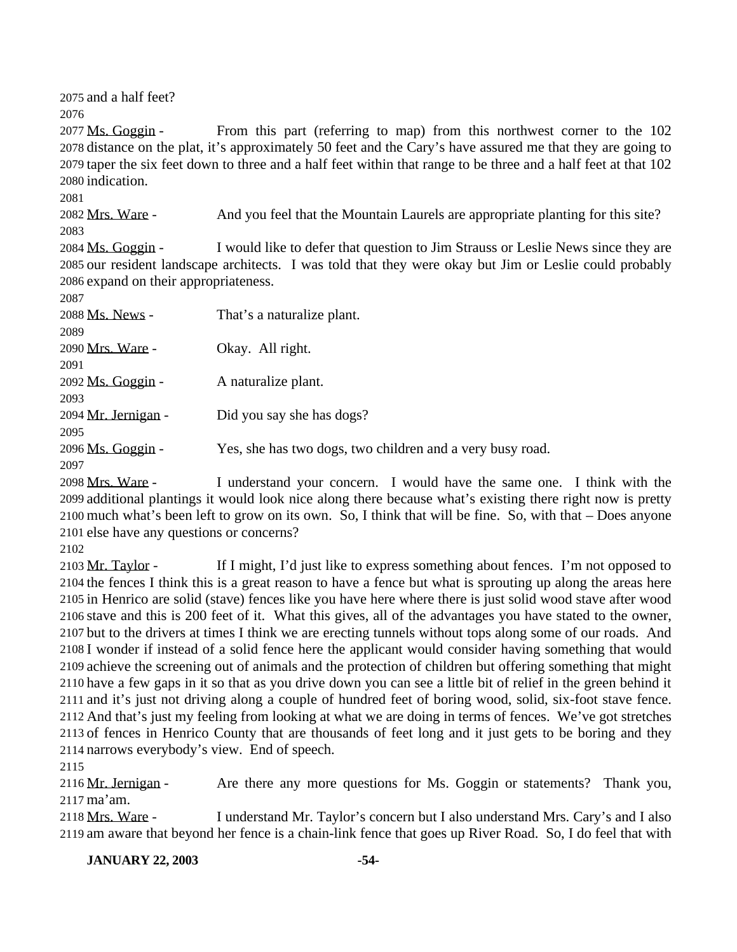and a half feet?

 Ms. Goggin - From this part (referring to map) from this northwest corner to the 102 distance on the plat, it's approximately 50 feet and the Cary's have assured me that they are going to taper the six feet down to three and a half feet within that range to be three and a half feet at that 102 indication.

### 

2082 Mrs. Ware - And you feel that the Mountain Laurels are appropriate planting for this site? 

 Ms. Goggin - I would like to defer that question to Jim Strauss or Leslie News since they are our resident landscape architects. I was told that they were okay but Jim or Leslie could probably expand on their appropriateness.

| 2087                |                                                           |
|---------------------|-----------------------------------------------------------|
| 2088 Ms. News -     | That's a naturalize plant.                                |
| 2089                |                                                           |
| 2090 Mrs. Ware -    | Okay. All right.                                          |
| 2091                |                                                           |
| 2092 Ms. Goggin -   | A naturalize plant.                                       |
| 2093                |                                                           |
| 2094 Mr. Jernigan - | Did you say she has dogs?                                 |
| 2095                |                                                           |
| 2096 Ms. Goggin -   | Yes, she has two dogs, two children and a very busy road. |
| 2097                |                                                           |

 Mrs. Ware - I understand your concern. I would have the same one. I think with the additional plantings it would look nice along there because what's existing there right now is pretty much what's been left to grow on its own. So, I think that will be fine. So, with that – Does anyone else have any questions or concerns?

 Mr. Taylor - If I might, I'd just like to express something about fences. I'm not opposed to the fences I think this is a great reason to have a fence but what is sprouting up along the areas here in Henrico are solid (stave) fences like you have here where there is just solid wood stave after wood stave and this is 200 feet of it. What this gives, all of the advantages you have stated to the owner, but to the drivers at times I think we are erecting tunnels without tops along some of our roads. And I wonder if instead of a solid fence here the applicant would consider having something that would achieve the screening out of animals and the protection of children but offering something that might have a few gaps in it so that as you drive down you can see a little bit of relief in the green behind it and it's just not driving along a couple of hundred feet of boring wood, solid, six-foot stave fence. And that's just my feeling from looking at what we are doing in terms of fences. We've got stretches of fences in Henrico County that are thousands of feet long and it just gets to be boring and they narrows everybody's view. End of speech.

 Mr. Jernigan - Are there any more questions for Ms. Goggin or statements? Thank you, ma'am.

 Mrs. Ware - I understand Mr. Taylor's concern but I also understand Mrs. Cary's and I also am aware that beyond her fence is a chain-link fence that goes up River Road. So, I do feel that with

**JANUARY 22, 2003 -54-**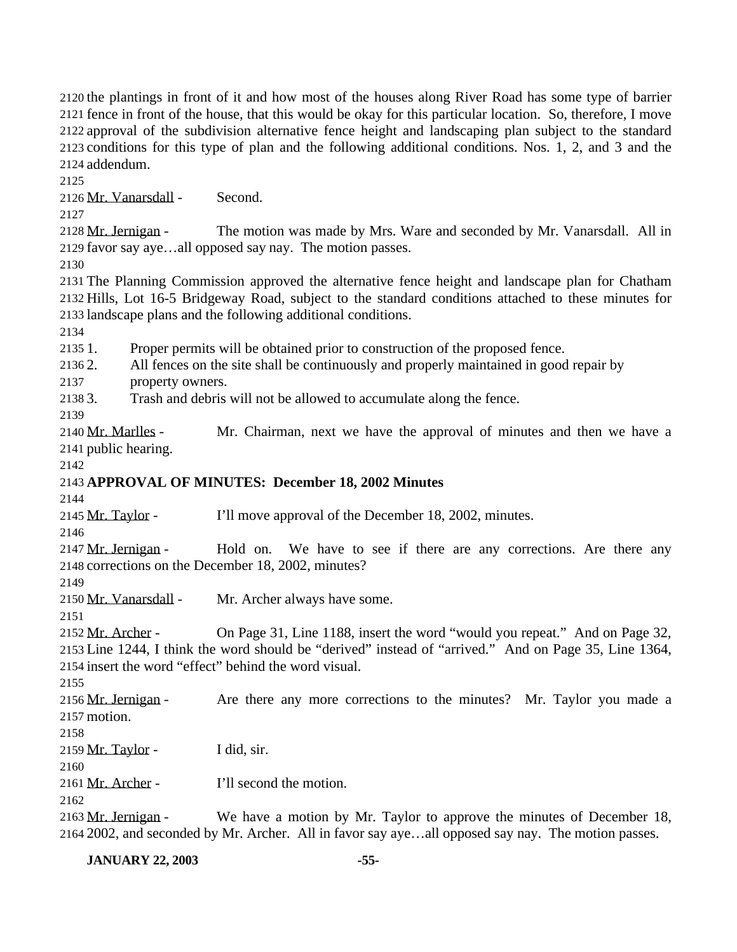the plantings in front of it and how most of the houses along River Road has some type of barrier fence in front of the house, that this would be okay for this particular location. So, therefore, I move approval of the subdivision alternative fence height and landscaping plan subject to the standard conditions for this type of plan and the following additional conditions. Nos. 1, 2, and 3 and the addendum.

Mr. Vanarsdall - Second.

 Mr. Jernigan - The motion was made by Mrs. Ware and seconded by Mr. Vanarsdall. All in favor say aye…all opposed say nay. The motion passes.

 The Planning Commission approved the alternative fence height and landscape plan for Chatham Hills, Lot 16-5 Bridgeway Road, subject to the standard conditions attached to these minutes for landscape plans and the following additional conditions.

1. Proper permits will be obtained prior to construction of the proposed fence.

2. All fences on the site shall be continuously and properly maintained in good repair by

property owners.

3. Trash and debris will not be allowed to accumulate along the fence.

 Mr. Marlles - Mr. Chairman, next we have the approval of minutes and then we have a public hearing.

## **APPROVAL OF MINUTES: December 18, 2002 Minutes**

2145 Mr. Taylor - I'll move approval of the December 18, 2002, minutes.

2147 Mr. Jernigan - Hold on. We have to see if there are any corrections. Are there any corrections on the December 18, 2002, minutes?

Mr. Vanarsdall - Mr. Archer always have some.

 Mr. Archer - On Page 31, Line 1188, insert the word "would you repeat." And on Page 32, Line 1244, I think the word should be "derived" instead of "arrived." And on Page 35, Line 1364, insert the word "effect" behind the word visual.

 Mr. Jernigan - Are there any more corrections to the minutes? Mr. Taylor you made a motion.

 $2159 \text{ Mr. Taylor}$  - I did, sir.

2161 Mr. Archer - I'll second the motion.

2163 Mr. Jernigan - We have a motion by Mr. Taylor to approve the minutes of December 18, 2002, and seconded by Mr. Archer. All in favor say aye…all opposed say nay. The motion passes.

**JANUARY 22, 2003 -55-**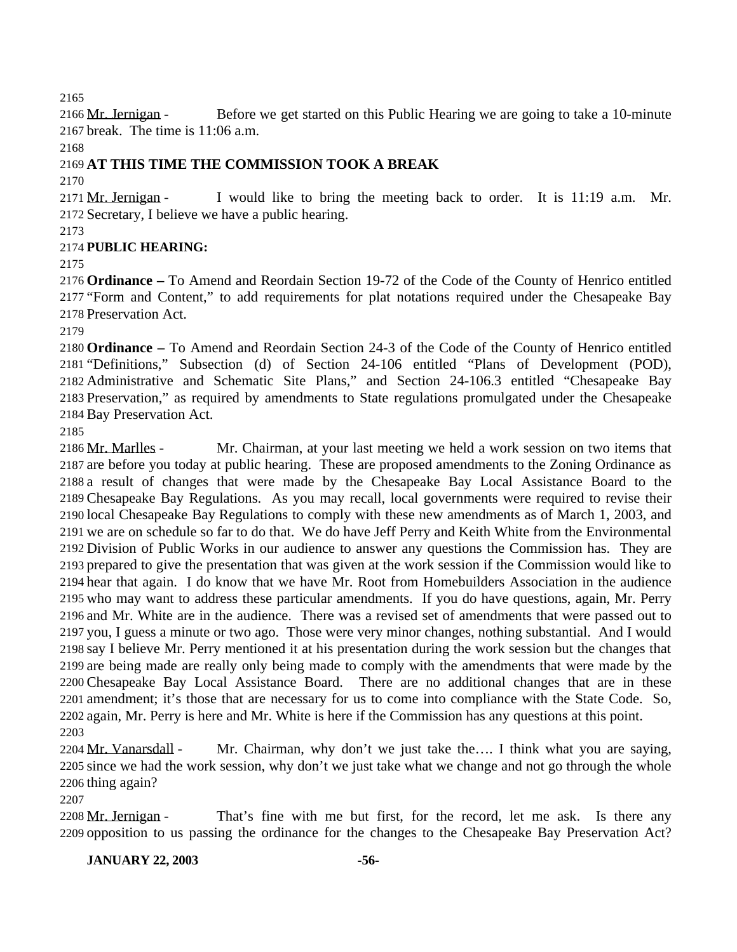Mr. Jernigan - Before we get started on this Public Hearing we are going to take a 10-minute break. The time is 11:06 a.m.

# **AT THIS TIME THE COMMISSION TOOK A BREAK**

 Mr. Jernigan - I would like to bring the meeting back to order. It is 11:19 a.m. Mr. Secretary, I believe we have a public hearing.

# **PUBLIC HEARING:**

 **Ordinance –** To Amend and Reordain Section 19-72 of the Code of the County of Henrico entitled "Form and Content," to add requirements for plat notations required under the Chesapeake Bay Preservation Act.

 **Ordinance –** To Amend and Reordain Section 24-3 of the Code of the County of Henrico entitled "Definitions," Subsection (d) of Section 24-106 entitled "Plans of Development (POD), Administrative and Schematic Site Plans," and Section 24-106.3 entitled "Chesapeake Bay Preservation," as required by amendments to State regulations promulgated under the Chesapeake Bay Preservation Act.

 Mr. Marlles - Mr. Chairman, at your last meeting we held a work session on two items that are before you today at public hearing. These are proposed amendments to the Zoning Ordinance as a result of changes that were made by the Chesapeake Bay Local Assistance Board to the Chesapeake Bay Regulations. As you may recall, local governments were required to revise their local Chesapeake Bay Regulations to comply with these new amendments as of March 1, 2003, and we are on schedule so far to do that. We do have Jeff Perry and Keith White from the Environmental Division of Public Works in our audience to answer any questions the Commission has. They are prepared to give the presentation that was given at the work session if the Commission would like to hear that again. I do know that we have Mr. Root from Homebuilders Association in the audience who may want to address these particular amendments. If you do have questions, again, Mr. Perry and Mr. White are in the audience. There was a revised set of amendments that were passed out to you, I guess a minute or two ago. Those were very minor changes, nothing substantial. And I would say I believe Mr. Perry mentioned it at his presentation during the work session but the changes that are being made are really only being made to comply with the amendments that were made by the Chesapeake Bay Local Assistance Board. There are no additional changes that are in these amendment; it's those that are necessary for us to come into compliance with the State Code. So, again, Mr. Perry is here and Mr. White is here if the Commission has any questions at this point. 

2204 Mr. Vanarsdall - Mr. Chairman, why don't we just take the.... I think what you are saying, since we had the work session, why don't we just take what we change and not go through the whole thing again?

2208 Mr. Jernigan - That's fine with me but first, for the record, let me ask. Is there any opposition to us passing the ordinance for the changes to the Chesapeake Bay Preservation Act?

# **JANUARY 22, 2003 -56-**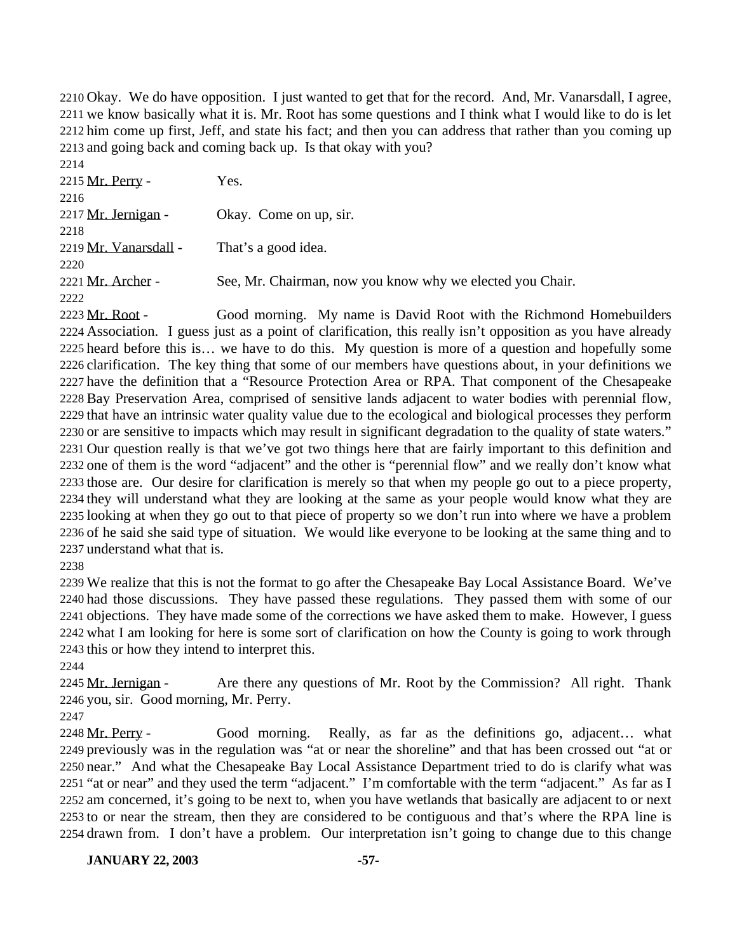Okay. We do have opposition. I just wanted to get that for the record. And, Mr. Vanarsdall, I agree, we know basically what it is. Mr. Root has some questions and I think what I would like to do is let him come up first, Jeff, and state his fact; and then you can address that rather than you coming up and going back and coming back up. Is that okay with you? 

| 22.14                 |                                                           |
|-----------------------|-----------------------------------------------------------|
| 2215 Mr. Perry -      | Yes.                                                      |
| 2216                  |                                                           |
| 2217 Mr. Jernigan -   | Okay. Come on up, sir.                                    |
| 2218                  |                                                           |
| 2219 Mr. Vanarsdall - | That's a good idea.                                       |
| 2220                  |                                                           |
| 2221 Mr. Archer -     | See, Mr. Chairman, now you know why we elected you Chair. |
| 2222                  |                                                           |
|                       |                                                           |

2223 Mr. Root - Good morning. My name is David Root with the Richmond Homebuilders Association. I guess just as a point of clarification, this really isn't opposition as you have already heard before this is… we have to do this. My question is more of a question and hopefully some clarification. The key thing that some of our members have questions about, in your definitions we have the definition that a "Resource Protection Area or RPA. That component of the Chesapeake Bay Preservation Area, comprised of sensitive lands adjacent to water bodies with perennial flow, that have an intrinsic water quality value due to the ecological and biological processes they perform or are sensitive to impacts which may result in significant degradation to the quality of state waters." Our question really is that we've got two things here that are fairly important to this definition and one of them is the word "adjacent" and the other is "perennial flow" and we really don't know what those are. Our desire for clarification is merely so that when my people go out to a piece property, they will understand what they are looking at the same as your people would know what they are looking at when they go out to that piece of property so we don't run into where we have a problem of he said she said type of situation. We would like everyone to be looking at the same thing and to understand what that is.

 We realize that this is not the format to go after the Chesapeake Bay Local Assistance Board. We've had those discussions. They have passed these regulations. They passed them with some of our objections. They have made some of the corrections we have asked them to make. However, I guess what I am looking for here is some sort of clarification on how the County is going to work through this or how they intend to interpret this.

2245 Mr. Jernigan - Are there any questions of Mr. Root by the Commission? All right. Thank you, sir. Good morning, Mr. Perry.

 Mr. Perry - Good morning. Really, as far as the definitions go, adjacent… what previously was in the regulation was "at or near the shoreline" and that has been crossed out "at or near." And what the Chesapeake Bay Local Assistance Department tried to do is clarify what was "at or near" and they used the term "adjacent." I'm comfortable with the term "adjacent." As far as I am concerned, it's going to be next to, when you have wetlands that basically are adjacent to or next to or near the stream, then they are considered to be contiguous and that's where the RPA line is drawn from. I don't have a problem. Our interpretation isn't going to change due to this change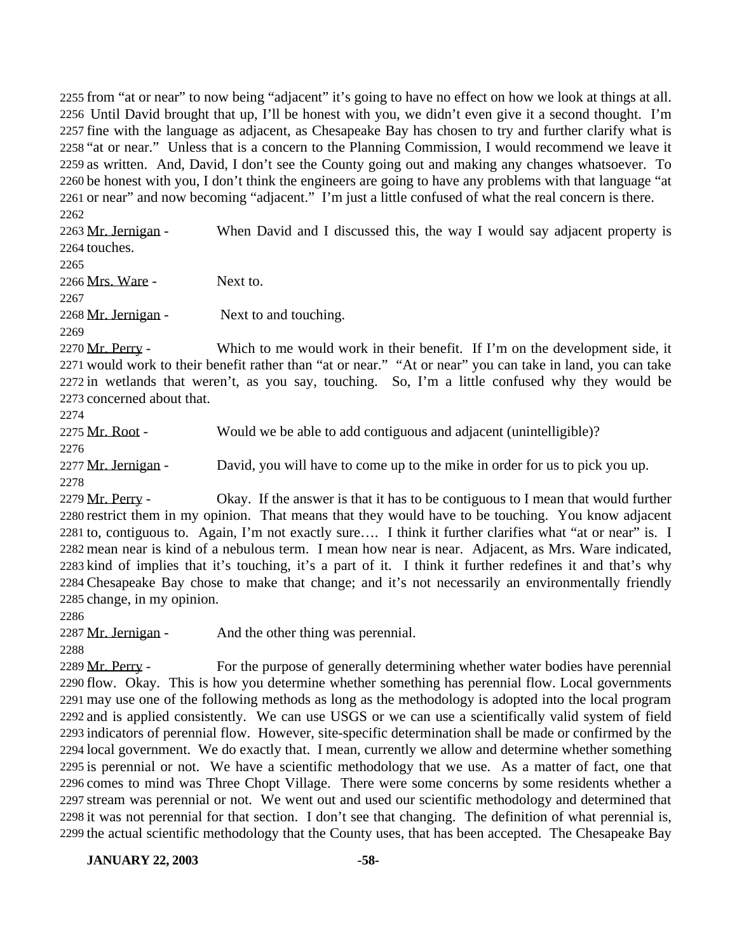from "at or near" to now being "adjacent" it's going to have no effect on how we look at things at all. Until David brought that up, I'll be honest with you, we didn't even give it a second thought. I'm fine with the language as adjacent, as Chesapeake Bay has chosen to try and further clarify what is "at or near." Unless that is a concern to the Planning Commission, I would recommend we leave it as written. And, David, I don't see the County going out and making any changes whatsoever. To be honest with you, I don't think the engineers are going to have any problems with that language "at or near" and now becoming "adjacent." I'm just a little confused of what the real concern is there. 

2263 Mr. Jernigan - When David and I discussed this, the way I would say adjacent property is touches. Mrs. Ware - Next to. Mr. Jernigan - Next to and touching. 2270 Mr. Perry - Which to me would work in their benefit. If I'm on the development side, it would work to their benefit rather than "at or near." "At or near" you can take in land, you can take in wetlands that weren't, as you say, touching. So, I'm a little confused why they would be

concerned about that.

 Mr. Root - Would we be able to add contiguous and adjacent (unintelligible)? 2277 Mr. Jernigan - David, you will have to come up to the mike in order for us to pick you up.

2279 Mr. Perry - Okay. If the answer is that it has to be contiguous to I mean that would further restrict them in my opinion. That means that they would have to be touching. You know adjacent to, contiguous to. Again, I'm not exactly sure…. I think it further clarifies what "at or near" is. I mean near is kind of a nebulous term. I mean how near is near. Adjacent, as Mrs. Ware indicated, kind of implies that it's touching, it's a part of it. I think it further redefines it and that's why Chesapeake Bay chose to make that change; and it's not necessarily an environmentally friendly change, in my opinion.

2287 Mr. Jernigan - And the other thing was perennial.

2289 Mr. Perry - For the purpose of generally determining whether water bodies have perennial flow. Okay. This is how you determine whether something has perennial flow. Local governments may use one of the following methods as long as the methodology is adopted into the local program and is applied consistently. We can use USGS or we can use a scientifically valid system of field indicators of perennial flow. However, site-specific determination shall be made or confirmed by the local government. We do exactly that. I mean, currently we allow and determine whether something is perennial or not. We have a scientific methodology that we use. As a matter of fact, one that comes to mind was Three Chopt Village. There were some concerns by some residents whether a stream was perennial or not. We went out and used our scientific methodology and determined that it was not perennial for that section. I don't see that changing. The definition of what perennial is, the actual scientific methodology that the County uses, that has been accepted. The Chesapeake Bay

**JANUARY 22, 2003 -58-**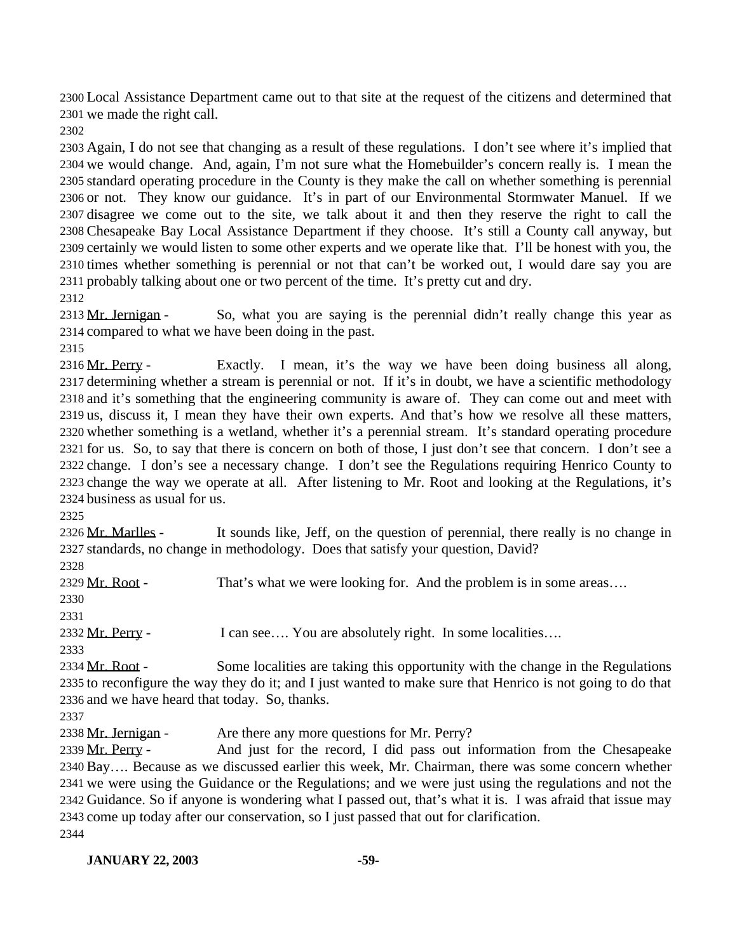Local Assistance Department came out to that site at the request of the citizens and determined that we made the right call.

 Again, I do not see that changing as a result of these regulations. I don't see where it's implied that we would change. And, again, I'm not sure what the Homebuilder's concern really is. I mean the standard operating procedure in the County is they make the call on whether something is perennial or not. They know our guidance. It's in part of our Environmental Stormwater Manuel. If we disagree we come out to the site, we talk about it and then they reserve the right to call the Chesapeake Bay Local Assistance Department if they choose. It's still a County call anyway, but certainly we would listen to some other experts and we operate like that. I'll be honest with you, the times whether something is perennial or not that can't be worked out, I would dare say you are probably talking about one or two percent of the time. It's pretty cut and dry. 

2313 Mr. Jernigan - So, what you are saying is the perennial didn't really change this year as compared to what we have been doing in the past.

 Mr. Perry - Exactly. I mean, it's the way we have been doing business all along, determining whether a stream is perennial or not. If it's in doubt, we have a scientific methodology and it's something that the engineering community is aware of. They can come out and meet with us, discuss it, I mean they have their own experts. And that's how we resolve all these matters, whether something is a wetland, whether it's a perennial stream. It's standard operating procedure for us. So, to say that there is concern on both of those, I just don't see that concern. I don't see a change. I don's see a necessary change. I don't see the Regulations requiring Henrico County to change the way we operate at all. After listening to Mr. Root and looking at the Regulations, it's business as usual for us.

 Mr. Marlles - It sounds like, Jeff, on the question of perennial, there really is no change in standards, no change in methodology. Does that satisfy your question, David?

2329 Mr. Root - That's what we were looking for. And the problem is in some areas... 2332 Mr. Perry - I can see.... You are absolutely right. In some localities.... 

2334 Mr. Root - Some localities are taking this opportunity with the change in the Regulations to reconfigure the way they do it; and I just wanted to make sure that Henrico is not going to do that and we have heard that today. So, thanks.

2338 Mr. Jernigan - Are there any more questions for Mr. Perry?

2339 Mr. Perry - And just for the record, I did pass out information from the Chesapeake Bay…. Because as we discussed earlier this week, Mr. Chairman, there was some concern whether we were using the Guidance or the Regulations; and we were just using the regulations and not the Guidance. So if anyone is wondering what I passed out, that's what it is. I was afraid that issue may come up today after our conservation, so I just passed that out for clarification.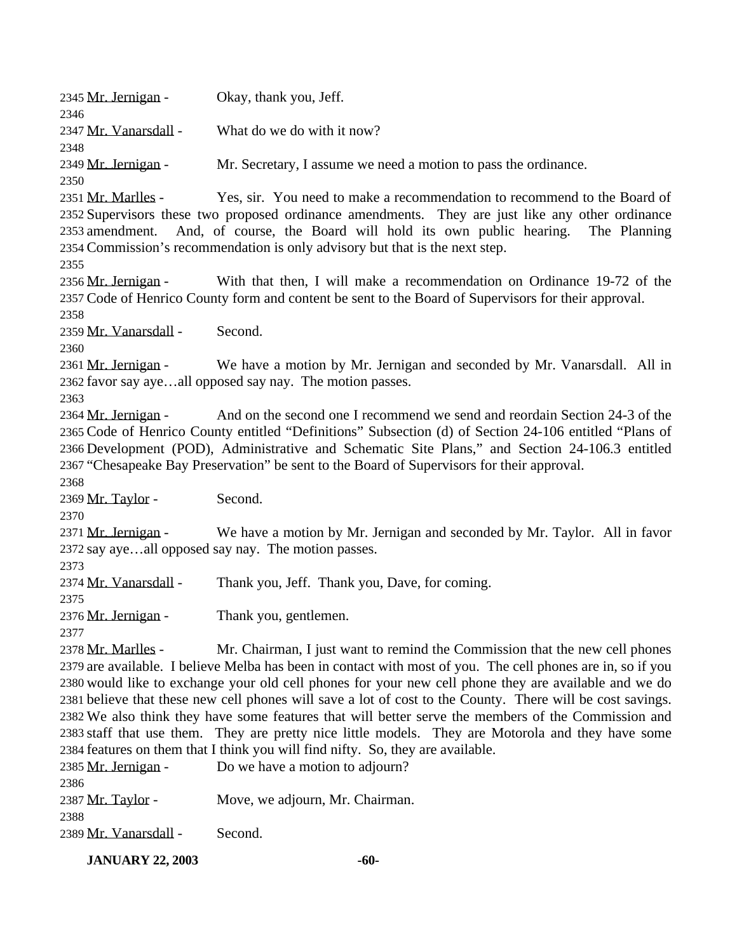| 2345 Mr. Jernigan -<br>2346                              | Okay, thank you, Jeff.                                                                                                                                                                                                                                                                                                                                                                                                                                                                                                                                                                                                                                                                                                                               |
|----------------------------------------------------------|------------------------------------------------------------------------------------------------------------------------------------------------------------------------------------------------------------------------------------------------------------------------------------------------------------------------------------------------------------------------------------------------------------------------------------------------------------------------------------------------------------------------------------------------------------------------------------------------------------------------------------------------------------------------------------------------------------------------------------------------------|
| 2347 Mr. Vanarsdall -<br>2348                            | What do we do with it now?                                                                                                                                                                                                                                                                                                                                                                                                                                                                                                                                                                                                                                                                                                                           |
| 2349 Mr. Jernigan -<br>2350                              | Mr. Secretary, I assume we need a motion to pass the ordinance.                                                                                                                                                                                                                                                                                                                                                                                                                                                                                                                                                                                                                                                                                      |
| 2351 <u>Mr. Marlles</u> -<br>2355                        | Yes, sir. You need to make a recommendation to recommend to the Board of<br>2352 Supervisors these two proposed ordinance amendments. They are just like any other ordinance<br>2353 amendment. And, of course, the Board will hold its own public hearing.<br>The Planning<br>2354 Commission's recommendation is only advisory but that is the next step.                                                                                                                                                                                                                                                                                                                                                                                          |
| 2356 <u>Mr. Jernigan</u> -<br>2358                       | With that then, I will make a recommendation on Ordinance 19-72 of the<br>2357 Code of Henrico County form and content be sent to the Board of Supervisors for their approval.                                                                                                                                                                                                                                                                                                                                                                                                                                                                                                                                                                       |
| 2359 Mr. Vanarsdall -<br>2360                            | Second.                                                                                                                                                                                                                                                                                                                                                                                                                                                                                                                                                                                                                                                                                                                                              |
| 2361 Mr. Jernigan -<br>2363                              | We have a motion by Mr. Jernigan and seconded by Mr. Vanarsdall. All in<br>2362 favor say ayeall opposed say nay. The motion passes.                                                                                                                                                                                                                                                                                                                                                                                                                                                                                                                                                                                                                 |
| 2364 <u>Mr. Jernigan</u> -                               | And on the second one I recommend we send and reordain Section 24-3 of the<br>2365 Code of Henrico County entitled "Definitions" Subsection (d) of Section 24-106 entitled "Plans of<br>2366 Development (POD), Administrative and Schematic Site Plans," and Section 24-106.3 entitled<br>2367 "Chesapeake Bay Preservation" be sent to the Board of Supervisors for their approval.                                                                                                                                                                                                                                                                                                                                                                |
| 2368<br>2369 Mr. Taylor -                                | Second.                                                                                                                                                                                                                                                                                                                                                                                                                                                                                                                                                                                                                                                                                                                                              |
| 2370<br>2371 Mr. Jernigan -<br>2373                      | We have a motion by Mr. Jernigan and seconded by Mr. Taylor. All in favor<br>2372 say ayeall opposed say nay. The motion passes.                                                                                                                                                                                                                                                                                                                                                                                                                                                                                                                                                                                                                     |
| 2374 Mr. Vanarsdall -<br>2375                            | Thank you, Jeff. Thank you, Dave, for coming.                                                                                                                                                                                                                                                                                                                                                                                                                                                                                                                                                                                                                                                                                                        |
| 2376 Mr. Jernigan -<br>2377                              | Thank you, gentlemen.                                                                                                                                                                                                                                                                                                                                                                                                                                                                                                                                                                                                                                                                                                                                |
| 2378 <u>Mr. Marlles</u> -<br>2385 Mr. Jernigan -<br>2386 | Mr. Chairman, I just want to remind the Commission that the new cell phones<br>2379 are available. I believe Melba has been in contact with most of you. The cell phones are in, so if you<br>2380 would like to exchange your old cell phones for your new cell phone they are available and we do<br>2381 believe that these new cell phones will save a lot of cost to the County. There will be cost savings.<br>2382 We also think they have some features that will better serve the members of the Commission and<br>2383 staff that use them. They are pretty nice little models. They are Motorola and they have some<br>2384 features on them that I think you will find nifty. So, they are available.<br>Do we have a motion to adjourn? |
| 2387 <u>Mr. Taylor</u> -<br>2388                         | Move, we adjourn, Mr. Chairman.                                                                                                                                                                                                                                                                                                                                                                                                                                                                                                                                                                                                                                                                                                                      |
| 2389 Mr. Vanarsdall -                                    | Second.                                                                                                                                                                                                                                                                                                                                                                                                                                                                                                                                                                                                                                                                                                                                              |

**JANUARY 22, 2003** -60-